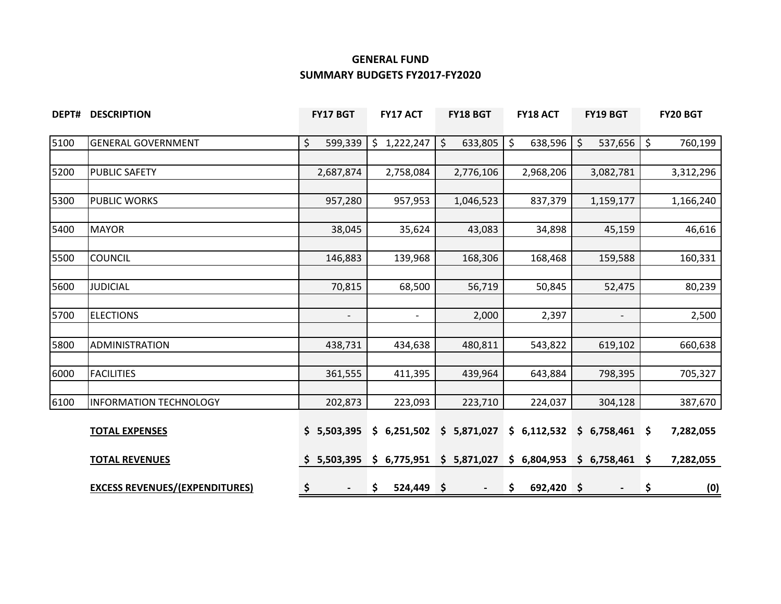## **GENERAL FUND SUMMARY BUDGETS FY2017-FY2020**

| DEPT# | <b>DESCRIPTION</b>                    | <b>FY17 BGT</b>                | <b>FY17 ACT</b>          | FY18 BGT                | <b>FY18 ACT</b>    | <b>FY19 BGT</b>              | FY20 BGT                      |
|-------|---------------------------------------|--------------------------------|--------------------------|-------------------------|--------------------|------------------------------|-------------------------------|
| 5100  | <b>GENERAL GOVERNMENT</b>             | \$<br>599,339                  | \$1,222,247              | \$<br>633,805           | \$<br>638,596      | $\varsigma$<br>537,656       | $\ddot{\varsigma}$<br>760,199 |
|       |                                       |                                |                          |                         |                    |                              |                               |
| 5200  | <b>PUBLIC SAFETY</b>                  | 2,687,874                      | 2,758,084                | 2,776,106               | 2,968,206          | 3,082,781                    | 3,312,296                     |
| 5300  | <b>PUBLIC WORKS</b>                   | 957,280                        | 957,953                  | 1,046,523               | 837,379            | 1,159,177                    | 1,166,240                     |
|       |                                       |                                |                          |                         |                    |                              |                               |
| 5400  | <b>MAYOR</b>                          | 38,045                         | 35,624                   | 43,083                  | 34,898             | 45,159                       | 46,616                        |
| 5500  | <b>COUNCIL</b>                        | 146,883                        | 139,968                  | 168,306                 | 168,468            | 159,588                      | 160,331                       |
|       |                                       |                                |                          |                         |                    |                              |                               |
| 5600  | <b>JUDICIAL</b>                       | 70,815                         | 68,500                   | 56,719                  | 50,845             | 52,475                       | 80,239                        |
|       |                                       |                                |                          |                         |                    |                              |                               |
| 5700  | <b>ELECTIONS</b>                      | $\overline{\phantom{a}}$       | $\overline{\phantom{a}}$ | 2,000                   | 2,397              | $\overline{\phantom{a}}$     | 2,500                         |
| 5800  | <b>ADMINISTRATION</b>                 | 438,731                        | 434,638                  | 480,811                 | 543,822            | 619,102                      | 660,638                       |
|       |                                       |                                |                          |                         |                    |                              |                               |
| 6000  | <b>FACILITIES</b>                     | 361,555                        | 411,395                  | 439,964                 | 643,884            | 798,395                      | 705,327                       |
|       |                                       |                                |                          |                         |                    |                              |                               |
| 6100  | <b>INFORMATION TECHNOLOGY</b>         | 202,873                        | 223,093                  | 223,710                 | 224,037            | 304,128                      | 387,670                       |
|       | <b>TOTAL EXPENSES</b>                 | \$5,503,395                    | \$6,251,502              | \$5,871,027             | \$6,112,532        | \$6,758,461                  | 7,282,055                     |
|       | <b>TOTAL REVENUES</b>                 | \$5,503,395                    |                          | \$6,775,951 \$5,871,027 |                    | $$6,804,953$ $$6,758,461$ \$ | 7,282,055                     |
|       | <b>EXCESS REVENUES/(EXPENDITURES)</b> | \$<br>$\overline{\phantom{a}}$ | $524,449$ \$<br>\$.      | $\sim$                  | \$<br>$692,420$ \$ | $\overline{\phantom{a}}$     | \$<br>(0)                     |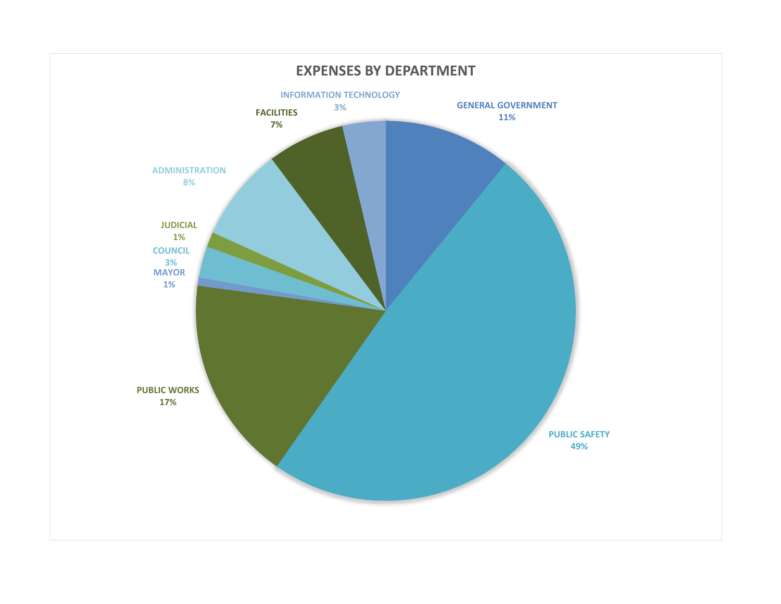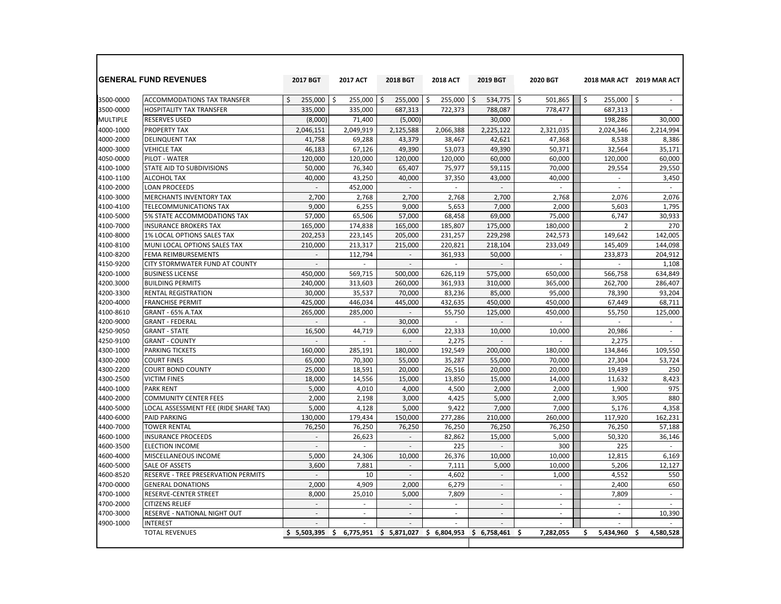|                 | <b>GENERAL FUND REVENUES</b>          | 2017 BGT                 | <b>2017 ACT</b>          | 2018 BGT                 | <b>2018 ACT</b> | 2019 BGT                 | 2020 BGT                 |                          | 2018 MAR ACT 2019 MAR ACT |
|-----------------|---------------------------------------|--------------------------|--------------------------|--------------------------|-----------------|--------------------------|--------------------------|--------------------------|---------------------------|
| 3500-0000       | <b>ACCOMMODATIONS TAX TRANSFER</b>    | 255.000<br>\$            | \$<br>255,000            | 255.000<br>\$            | \$<br>255,000   | \$<br>534,775            | \$<br>501,865            | \$<br>255,000            | \$<br>$\sim$              |
| 3500-0000       | HOSPITALITY TAX TRANSFER              | 335,000                  | 335,000                  | 687,313                  | 722,373         | 788,087                  | 778,477                  | 687,313                  | $\sim$                    |
| <b>MULTIPLE</b> | <b>RESERVES USED</b>                  | (8,000)                  | 71,400                   | (5,000)                  |                 | 30,000                   |                          | 198,286                  | 30,000                    |
| 4000-1000       | PROPERTY TAX                          | 2,046,151                | 2,049,919                | 2,125,588                | 2,066,388       | 2,225,122                | 2,321,035                | 2,024,346                | 2,214,994                 |
| 4000-2000       | <b>DELINQUENT TAX</b>                 | 41,758                   | 69,288                   | 43,379                   | 38,467          | 42,621                   | 47,368                   | 8,538                    | 8,386                     |
| 4000-3000       | <b>VEHICLE TAX</b>                    | 46.183                   | 67,126                   | 49.390                   | 53,073          | 49,390                   | 50.371                   | 32.564                   | 35.171                    |
| 4050-0000       | PILOT - WATER                         | 120,000                  | 120,000                  | 120,000                  | 120,000         | 60,000                   | 60,000                   | 120,000                  | 60,000                    |
| 4100-1000       | STATE AID TO SUBDIVISIONS             | 50,000                   | 76,340                   | 65,407                   | 75,977          | 59,115                   | 70,000                   | 29,554                   | 29,550                    |
| 4100-1100       | <b>ALCOHOL TAX</b>                    | 40,000                   | 43,250                   | 40,000                   | 37,350          | 43,000                   | 40,000                   | $\overline{\phantom{a}}$ | 3,450                     |
| 4100-2000       | <b>LOAN PROCEEDS</b>                  |                          | 452,000                  |                          | $\sim$          |                          | $\overline{\phantom{a}}$ | $\overline{\phantom{a}}$ | $\sim$                    |
| 4100-3000       | <b>MERCHANTS INVENTORY TAX</b>        | 2.700                    | 2,768                    | 2,700                    | 2.768           | 2.700                    | 2.768                    | 2.076                    | 2.076                     |
| 4100-4100       | TELECOMMUNICATIONS TAX                | 9,000                    | 6,255                    | 9,000                    | 5,653           | 7,000                    | 2,000                    | 5,603                    | 1,795                     |
| 4100-5000       | 5% STATE ACCOMMODATIONS TAX           | 57,000                   | 65,506                   | 57,000                   | 68,458          | 69,000                   | 75,000                   | 6,747                    | 30,933                    |
| 4100-7000       | <b>INSURANCE BROKERS TAX</b>          | 165,000                  | 174,838                  | 165,000                  | 185,807         | 175,000                  | 180,000                  | $\overline{2}$           | 270                       |
| 4100-8000       | 1% LOCAL OPTIONS SALES TAX            | 202,253                  | 223,145                  | 205,000                  | 231,257         | 229,298                  | 242,573                  | 149,642                  | 142,005                   |
| 4100-8100       | MUNI LOCAL OPTIONS SALES TAX          | 210,000                  | 213,317                  | 215,000                  | 220,821         | 218,104                  | 233,049                  | 145,409                  | 144,098                   |
| 4100-8200       | FEMA REIMBURSEMENTS                   |                          | 112,794                  | ÷.                       | 361,933         | 50,000                   |                          | 233,873                  | 204,912                   |
| 4150-9200       | CITY STORMWATER FUND AT COUNTY        | $\sim$                   |                          | $\mathbf{r}$             |                 |                          | $\sim$                   |                          | 1,108                     |
| 4200-1000       | <b>BUSINESS LICENSE</b>               | 450.000                  | 569.715                  | 500.000                  | 626.119         | 575,000                  | 650.000                  | 566,758                  | 634.849                   |
| 4200.3000       | <b>BUILDING PERMITS</b>               | 240,000                  | 313,603                  | 260.000                  | 361.933         | 310,000                  | 365,000                  | 262,700                  | 286,407                   |
| 4200-3300       | <b>RENTAL REGISTRATION</b>            | 30,000                   | 35,537                   | 70,000                   | 83,236          | 85,000                   | 95,000                   | 78,390                   | 93,204                    |
| 4200-4000       | <b>FRANCHISE PERMIT</b>               | 425,000                  | 446,034                  | 445,000                  | 432,635         | 450,000                  | 450,000                  | 67,449                   | 68,711                    |
| 4100-8610       | GRANT - 65% A.TAX                     | 265,000                  | 285,000                  | $\mathbf{r}$             | 55,750          | 125,000                  | 450,000                  | 55,750                   | 125,000                   |
| 4200-9000       | <b>GRANT - FEDERAL</b>                | $\sim$                   | $\sim$                   | 30,000                   | $\sim$          | $\sim$                   | $\sim$                   | $\overline{\phantom{a}}$ | $\sim$                    |
| 4250-9050       | <b>GRANT - STATE</b>                  | 16,500                   | 44,719                   | 6,000                    | 22,333          | 10,000                   | 10,000                   | 20,986                   | $\sim$                    |
| 4250-9100       | <b>GRANT - COUNTY</b>                 |                          |                          |                          | 2,275           |                          |                          | 2,275                    |                           |
| 4300-1000       | <b>PARKING TICKETS</b>                | 160,000                  | 285,191                  | 180,000                  | 192,549         | 200,000                  | 180,000                  | 134,846                  | 109,550                   |
| 4300-2000       | <b>COURT FINES</b>                    | 65,000                   | 70,300                   | 55,000                   | 35,287          | 55,000                   | 70.000                   | 27,304                   | 53,724                    |
| 4300-2200       | <b>COURT BOND COUNTY</b>              | 25,000                   | 18,591                   | 20.000                   | 26,516          | 20,000                   | 20.000                   | 19.439                   | 250                       |
| 4300-2500       | <b>VICTIM FINES</b>                   | 18,000                   | 14,556                   | 15,000                   | 13,850          | 15,000                   | 14,000                   | 11,632                   | 8,423                     |
| 4400-1000       | <b>PARK RENT</b>                      | 5,000                    | 4,010                    | 4,000                    | 4,500           | 2,000                    | 2,000                    | 1,900                    | 975                       |
| 4400-2000       | <b>COMMUNITY CENTER FEES</b>          | 2,000                    | 2,198                    | 3,000                    | 4,425           | 5,000                    | 2,000                    | 3,905                    | 880                       |
| 4400-5000       | LOCAL ASSESSMENT FEE (RIDE SHARE TAX) | 5,000                    | 4,128                    | 5,000                    | 9,422           | 7,000                    | 7,000                    | 5,176                    | 4,358                     |
| 4400-6000       | <b>PAID PARKING</b>                   | 130,000                  | 179,434                  | 150,000                  | 277,286         | 210,000                  | 260,000                  | 117,920                  | 162,231                   |
| 4400-7000       | <b>TOWER RENTAL</b>                   | 76,250                   | 76,250                   | 76,250                   | 76,250          | 76,250                   | 76,250                   | 76,250                   | 57,188                    |
| 4600-1000       | <b>INSURANCE PROCEEDS</b>             | $\overline{\phantom{a}}$ | 26,623                   | $\overline{\phantom{a}}$ | 82.862          | 15,000                   | 5,000                    | 50,320                   | 36,146                    |
| 4600-3500       | <b>ELECTION INCOME</b>                | $\sim$                   | ÷.                       | $\mathbf{r}$             | 225             |                          | 300                      | 225                      | ÷.                        |
| 4600-4000       | MISCELLANEOUS INCOME                  | 5,000                    | 24,306                   | 10,000                   | 26,376          | 10,000                   | 10,000                   | 12,815                   | 6,169                     |
| 4600-5000       | <b>SALE OF ASSETS</b>                 | 3,600                    | 7,881                    | $\sim$                   | 7,111           | 5,000                    | 10,000                   | 5,206                    | 12,127                    |
| 4600-8520       | RESERVE - TREE PRESERVATION PERMITS   | $\overline{a}$           | 10                       | ÷.                       | 4,602           | $\sim$                   | 1,000                    | 4,552                    | 550                       |
| 4700-0000       | <b>GENERAL DONATIONS</b>              | 2,000                    | 4,909                    | 2,000                    | 6,279           | $\overline{\phantom{a}}$ | $\overline{\phantom{a}}$ | 2,400                    | 650                       |
| 4700-1000       | RESERVE-CENTER STREET                 | 8,000                    | 25,010                   | 5,000                    | 7,809           | $\overline{\phantom{a}}$ | $\sim$                   | 7,809                    | ÷.                        |
| 4700-2000       | CITIZENS RELIEF                       | $\overline{\phantom{a}}$ | $\overline{\phantom{a}}$ | $\sim$                   | ٠               |                          |                          | $\sim$                   |                           |
| 4700-3000       | <b>RESERVE - NATIONAL NIGHT OUT</b>   | $\overline{\phantom{a}}$ | $\overline{\phantom{a}}$ | $\sim$                   | $\sim$          |                          |                          | $\overline{\phantom{a}}$ | 10,390                    |
| 4900-1000       | <b>INTEREST</b>                       |                          |                          |                          |                 |                          |                          |                          |                           |
|                 | <b>TOTAL REVENUES</b>                 | \$5,503,395              | Ŝ.<br>6,775,951          | \$5,871,027              | \$6,804,953     | \$6.758.461              | 7.282.055<br>Ŝ           | 5,434,960<br>Ŝ.          | 4,580,528<br>Ś            |

 $\Box$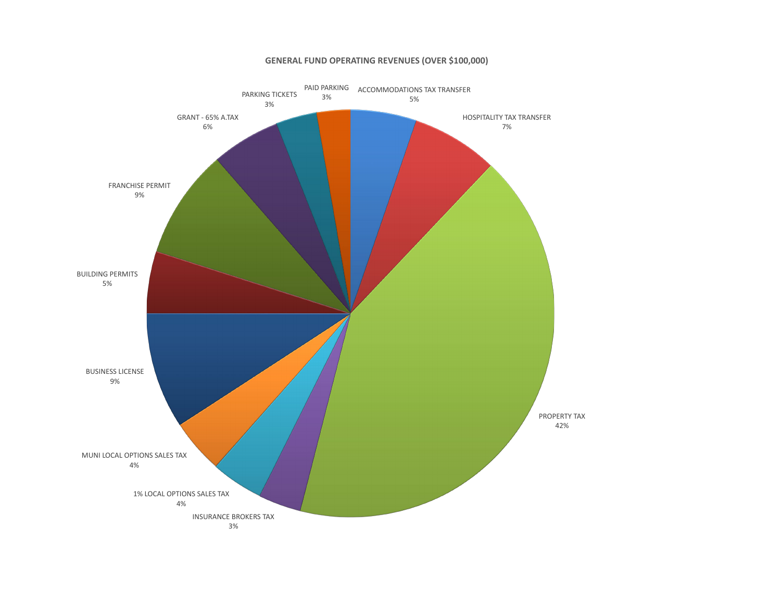#### **GENERAL FUND OPERATING REVENUES (OVER \$100,000)**

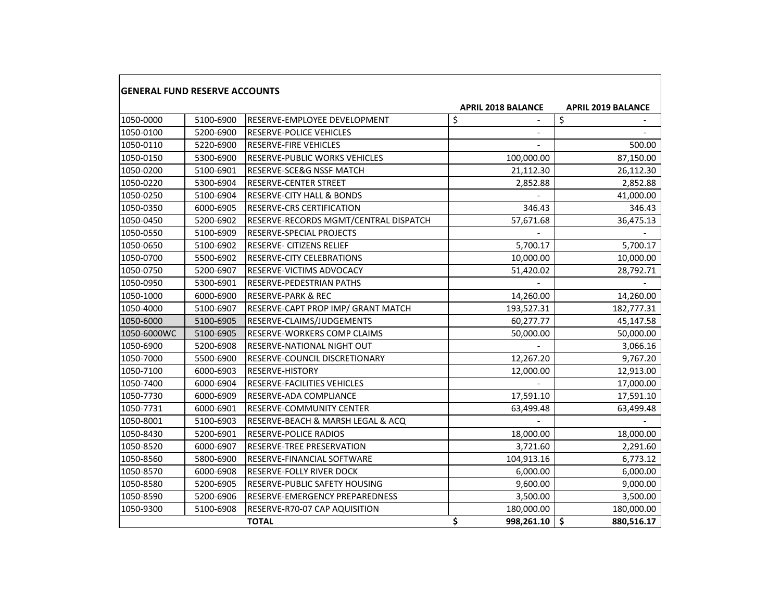| <b>GENERAL FUND RESERVE ACCOUNTS</b> |           |                                       |                           |            |                           |        |
|--------------------------------------|-----------|---------------------------------------|---------------------------|------------|---------------------------|--------|
|                                      |           |                                       | <b>APRIL 2018 BALANCE</b> |            | <b>APRIL 2019 BALANCE</b> |        |
| 1050-0000                            | 5100-6900 | RESERVE-EMPLOYEE DEVELOPMENT          | \$                        |            | \$                        |        |
| 1050-0100                            | 5200-6900 | <b>RESERVE-POLICE VEHICLES</b>        |                           |            |                           |        |
| 1050-0110                            | 5220-6900 | <b>RESERVE-FIRE VEHICLES</b>          |                           |            |                           | 500.00 |
| 1050-0150                            | 5300-6900 | <b>RESERVE-PUBLIC WORKS VEHICLES</b>  |                           | 100,000.00 | 87,150.00                 |        |
| 1050-0200                            | 5100-6901 | RESERVE-SCE&G NSSF MATCH              |                           | 21,112.30  | 26,112.30                 |        |
| 1050-0220                            | 5300-6904 | RESERVE-CENTER STREET                 |                           | 2,852.88   | 2,852.88                  |        |
| 1050-0250                            | 5100-6904 | <b>RESERVE-CITY HALL &amp; BONDS</b>  |                           |            | 41,000.00                 |        |
| 1050-0350                            | 6000-6905 | RESERVE-CRS CERTIFICATION             |                           | 346.43     |                           | 346.43 |
| 1050-0450                            | 5200-6902 | RESERVE-RECORDS MGMT/CENTRAL DISPATCH |                           | 57,671.68  | 36,475.13                 |        |
| 1050-0550                            | 5100-6909 | RESERVE-SPECIAL PROJECTS              |                           |            |                           |        |
| 1050-0650                            | 5100-6902 | RESERVE- CITIZENS RELIEF              |                           | 5,700.17   | 5,700.17                  |        |
| 1050-0700                            | 5500-6902 | RESERVE-CITY CELEBRATIONS             |                           | 10,000.00  | 10,000.00                 |        |
| 1050-0750                            | 5200-6907 | RESERVE-VICTIMS ADVOCACY              |                           | 51,420.02  | 28,792.71                 |        |
| 1050-0950                            | 5300-6901 | <b>RESERVE-PEDESTRIAN PATHS</b>       |                           |            |                           |        |
| 1050-1000                            | 6000-6900 | <b>RESERVE-PARK &amp; REC</b>         |                           | 14,260.00  | 14,260.00                 |        |
| 1050-4000                            | 5100-6907 | RESERVE-CAPT PROP IMP/ GRANT MATCH    |                           | 193,527.31 | 182,777.31                |        |
| 1050-6000                            | 5100-6905 | RESERVE-CLAIMS/JUDGEMENTS             |                           | 60,277.77  | 45,147.58                 |        |
| 1050-6000WC                          | 5100-6905 | RESERVE-WORKERS COMP CLAIMS           |                           | 50,000.00  | 50,000.00                 |        |
| 1050-6900                            | 5200-6908 | RESERVE-NATIONAL NIGHT OUT            |                           |            | 3,066.16                  |        |
| 1050-7000                            | 5500-6900 | RESERVE-COUNCIL DISCRETIONARY         |                           | 12,267.20  | 9,767.20                  |        |
| 1050-7100                            | 6000-6903 | RESERVE-HISTORY                       |                           | 12,000.00  | 12,913.00                 |        |
| 1050-7400                            | 6000-6904 | <b>RESERVE-FACILITIES VEHICLES</b>    |                           |            | 17,000.00                 |        |
| 1050-7730                            | 6000-6909 | RESERVE-ADA COMPLIANCE                |                           | 17,591.10  | 17,591.10                 |        |
| 1050-7731                            | 6000-6901 | RESERVE-COMMUNITY CENTER              |                           | 63,499.48  | 63,499.48                 |        |
| 1050-8001                            | 5100-6903 | RESERVE-BEACH & MARSH LEGAL & ACQ     |                           |            |                           |        |
| 1050-8430                            | 5200-6901 | RESERVE-POLICE RADIOS                 |                           | 18,000.00  | 18,000.00                 |        |
| 1050-8520                            | 6000-6907 | RESERVE-TREE PRESERVATION             |                           | 3,721.60   | 2,291.60                  |        |
| 1050-8560                            | 5800-6900 | RESERVE-FINANCIAL SOFTWARE            |                           | 104,913.16 | 6,773.12                  |        |
| 1050-8570                            | 6000-6908 | RESERVE-FOLLY RIVER DOCK              |                           | 6,000.00   | 6,000.00                  |        |
| 1050-8580                            | 5200-6905 | RESERVE-PUBLIC SAFETY HOUSING         |                           | 9,600.00   | 9,000.00                  |        |
| 1050-8590                            | 5200-6906 | <b>RESERVE-EMERGENCY PREPAREDNESS</b> |                           | 3,500.00   | 3,500.00                  |        |
| 1050-9300                            | 5100-6908 | RESERVE-R70-07 CAP AQUISITION         |                           | 180,000.00 | 180,000.00                |        |
|                                      |           | <b>TOTAL</b>                          | \$                        | 998,261.10 | \$<br>880,516.17          |        |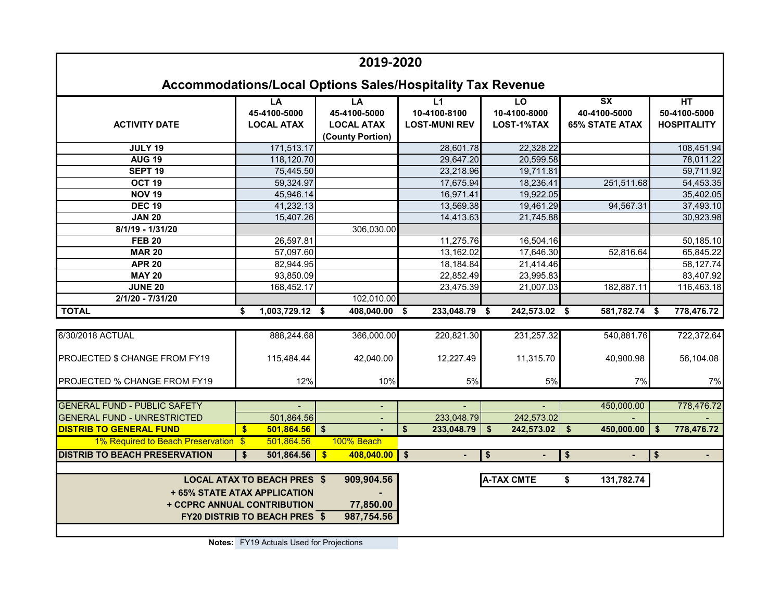|                                                                                                                                                                       |                                                    | 2019-2020                                                   |                                                                   |                                  |                                                                            |                                          |  |  |
|-----------------------------------------------------------------------------------------------------------------------------------------------------------------------|----------------------------------------------------|-------------------------------------------------------------|-------------------------------------------------------------------|----------------------------------|----------------------------------------------------------------------------|------------------------------------------|--|--|
|                                                                                                                                                                       |                                                    |                                                             | <b>Accommodations/Local Options Sales/Hospitality Tax Revenue</b> |                                  |                                                                            |                                          |  |  |
| <b>ACTIVITY DATE</b>                                                                                                                                                  | LA<br>45-4100-5000<br><b>LOCAL ATAX</b>            | LA<br>45-4100-5000<br><b>LOCAL ATAX</b><br>(County Portion) | L1<br>10-4100-8100<br><b>LOST-MUNI REV</b>                        | LO<br>10-4100-8000<br>LOST-1%TAX | $\overline{\mathsf{S}}\mathsf{X}$<br>40-4100-5000<br><b>65% STATE ATAX</b> | HT<br>50-4100-5000<br><b>HOSPITALITY</b> |  |  |
| <b>JULY 19</b>                                                                                                                                                        | 171,513.17                                         |                                                             | 28,601.78                                                         | 22,328.22                        |                                                                            | 108,451.94                               |  |  |
| <b>AUG 19</b>                                                                                                                                                         | 118,120.70                                         |                                                             | 29,647.20                                                         | 20,599.58                        |                                                                            | 78,011.22                                |  |  |
| SEPT <sub>19</sub>                                                                                                                                                    | 75,445.50                                          |                                                             | 23,218.96                                                         | 19,711.81                        |                                                                            | 59,711.92                                |  |  |
| OCT <sub>19</sub>                                                                                                                                                     | 59,324.97                                          |                                                             | 17,675.94                                                         | 18,236.41                        | 251,511.68                                                                 | 54,453.35                                |  |  |
| <b>NOV 19</b>                                                                                                                                                         | 45,946.14                                          |                                                             | 16,971.41                                                         | 19,922.05                        |                                                                            | 35,402.05                                |  |  |
| <b>DEC 19</b>                                                                                                                                                         | 41,232.13                                          |                                                             | 13,569.38                                                         | 19,461.29                        | 94,567.31                                                                  | 37,493.10                                |  |  |
| <b>JAN 20</b>                                                                                                                                                         | 15,407.26                                          |                                                             | 14,413.63                                                         | 21,745.88                        |                                                                            | 30,923.98                                |  |  |
| 8/1/19 - 1/31/20                                                                                                                                                      |                                                    | 306,030.00                                                  |                                                                   |                                  |                                                                            |                                          |  |  |
| <b>FEB 20</b>                                                                                                                                                         | 26,597.81                                          |                                                             | 11,275.76                                                         | 16,504.16                        |                                                                            | 50,185.10                                |  |  |
| <b>MAR 20</b>                                                                                                                                                         | 57,097.60                                          |                                                             | 13,162.02                                                         | 17,646.30                        | 52,816.64                                                                  | 65,845.22                                |  |  |
| <b>APR 20</b>                                                                                                                                                         | 82,944.95                                          |                                                             | 18,184.84                                                         | 21,414.46                        |                                                                            | 58,127.74                                |  |  |
| <b>MAY 20</b>                                                                                                                                                         | 93,850.09                                          |                                                             | 22,852.49                                                         | 23,995.83                        |                                                                            | 83,407.92                                |  |  |
| <b>JUNE 20</b>                                                                                                                                                        | 168,452.17                                         |                                                             | 23,475.39                                                         | 21,007.03                        | 182,887.11                                                                 | 116,463.18                               |  |  |
| 2/1/20 - 7/31/20                                                                                                                                                      |                                                    | 102,010.00                                                  |                                                                   |                                  |                                                                            |                                          |  |  |
| <b>TOTAL</b>                                                                                                                                                          | $1,003,729.12$ \$<br>S                             | 408,040.00                                                  | $233,048.79$ \$<br>Ŝ.                                             | 242,573.02                       | 581,782.74<br>Ŝ.                                                           | \$<br>778,476.72                         |  |  |
|                                                                                                                                                                       |                                                    |                                                             |                                                                   |                                  |                                                                            |                                          |  |  |
| 6/30/2018 ACTUAL                                                                                                                                                      | 888,244.68                                         | 366,000.00                                                  | 220,821.30                                                        | 231,257.32                       | 540,881.76                                                                 | 722,372.64                               |  |  |
| PROJECTED \$ CHANGE FROM FY19                                                                                                                                         | 115,484.44                                         | 42,040.00                                                   | 12,227.49                                                         | 11,315.70                        | 40,900.98                                                                  | 56,104.08                                |  |  |
| PROJECTED % CHANGE FROM FY19                                                                                                                                          | 12%                                                | 10%                                                         | 5%                                                                | $5\%$                            | 7%                                                                         | 7%                                       |  |  |
| <b>GENERAL FUND - PUBLIC SAFETY</b>                                                                                                                                   |                                                    |                                                             |                                                                   |                                  | 450,000.00                                                                 | 778,476.72                               |  |  |
| <b>GENERAL FUND - UNRESTRICTED</b>                                                                                                                                    | 501,864.56                                         |                                                             | 233,048.79                                                        | 242,573.02                       |                                                                            |                                          |  |  |
| <b>DISTRIB TO GENERAL FUND</b>                                                                                                                                        | $\bullet$<br>501,864.56                            | $\mathbf{s}$                                                | 233,048.79<br>\$                                                  | 242,573.02<br>\$                 | \$<br>450,000.00                                                           | 778,476.72<br>\$                         |  |  |
| 1% Required to Beach Preservation \$                                                                                                                                  | 501,864.56                                         | 100% Beach                                                  |                                                                   |                                  |                                                                            |                                          |  |  |
| <b>DISTRIB TO BEACH PRESERVATION</b>                                                                                                                                  | 501,864.56<br>\$                                   | 408,040.00<br>$\mathbf{s}$                                  | $\sqrt{5}$                                                        |                                  |                                                                            | $\blacksquare$                           |  |  |
|                                                                                                                                                                       |                                                    |                                                             |                                                                   | \$                               | \$                                                                         | \$                                       |  |  |
| 909,904.56<br><b>LOCAL ATAX TO BEACH PRES \$</b><br><b>A-TAX CMTE</b><br>\$<br>131,782.74<br>+ 65% STATE ATAX APPLICATION<br>+ CCPRC ANNUAL CONTRIBUTION<br>77,850.00 |                                                    |                                                             |                                                                   |                                  |                                                                            |                                          |  |  |
|                                                                                                                                                                       | 987,754.56<br><b>FY20 DISTRIB TO BEACH PRES \$</b> |                                                             |                                                                   |                                  |                                                                            |                                          |  |  |

**Notes:** FY19 Actuals Used for Projections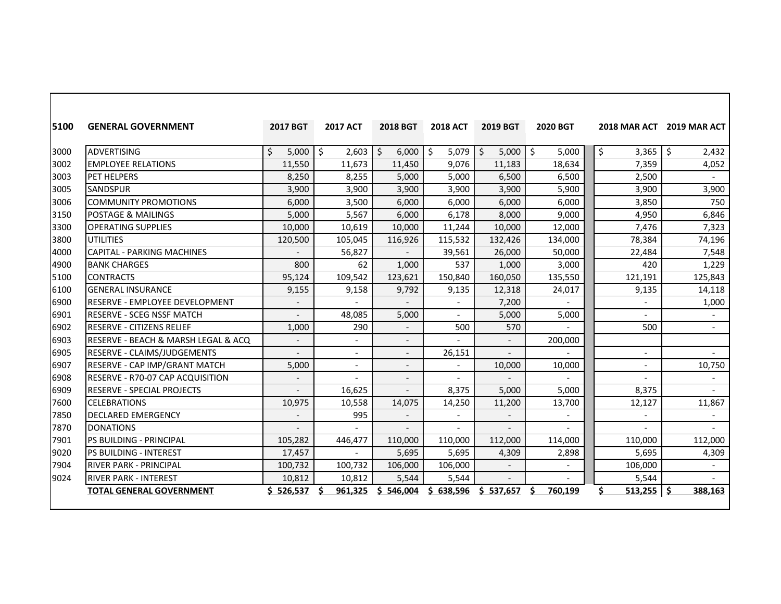| 5100 | <b>GENERAL GOVERNMENT</b>               | <b>2017 BGT</b> | <b>2017 ACT</b>          | <b>2018 BGT</b> | <b>2018 ACT</b>          | <b>2019 BGT</b>          | 2020 BGT       |                          | 2018 MAR ACT 2019 MAR ACT |
|------|-----------------------------------------|-----------------|--------------------------|-----------------|--------------------------|--------------------------|----------------|--------------------------|---------------------------|
| 3000 | <b>ADVERTISING</b>                      | \$<br>5,000     | \$<br>2,603              | \$<br>6,000     | 5,079<br>\$              | Ŝ.<br>5,000              | \$<br>5,000    | \$<br>3,365              | \$<br>2,432               |
| 3002 | <b>EMPLOYEE RELATIONS</b>               | 11,550          | 11,673                   | 11,450          | 9,076                    | 11,183                   | 18,634         | 7,359                    | 4,052                     |
| 3003 | <b>PET HELPERS</b>                      | 8,250           | 8,255                    | 5,000           | 5,000                    | 6,500                    | 6,500          | 2,500                    |                           |
| 3005 | <b>SANDSPUR</b>                         | 3,900           | 3,900                    | 3,900           | 3,900                    | 3,900                    | 5,900          | 3,900                    | 3,900                     |
| 3006 | <b>COMMUNITY PROMOTIONS</b>             | 6,000           | 3,500                    | 6,000           | 6,000                    | 6,000                    | 6,000          | 3,850                    | 750                       |
| 3150 | <b>POSTAGE &amp; MAILINGS</b>           | 5,000           | 5,567                    | 6,000           | 6,178                    | 8,000                    | 9,000          | 4,950                    | 6,846                     |
| 3300 | <b>OPERATING SUPPLIES</b>               | 10,000          | 10,619                   | 10,000          | 11,244                   | 10,000                   | 12,000         | 7,476                    | 7,323                     |
| 3800 | <b>UTILITIES</b>                        | 120,500         | 105,045                  | 116,926         | 115,532                  | 132,426                  | 134,000        | 78,384                   | 74,196                    |
| 4000 | <b>CAPITAL - PARKING MACHINES</b>       |                 | 56,827                   |                 | 39,561                   | 26,000                   | 50,000         | 22,484                   | 7,548                     |
| 4900 | <b>BANK CHARGES</b>                     | 800             | 62                       | 1,000           | 537                      | 1,000                    | 3,000          | 420                      | 1,229                     |
| 5100 | <b>CONTRACTS</b>                        | 95,124          | 109,542                  | 123,621         | 150,840                  | 160,050                  | 135,550        | 121,191                  | 125,843                   |
| 6100 | <b>GENERAL INSURANCE</b>                | 9,155           | 9,158                    | 9,792           | 9,135                    | 12,318                   | 24,017         | 9,135                    | 14,118                    |
| 6900 | RESERVE - EMPLOYEE DEVELOPMENT          |                 | $\overline{a}$           |                 | $\overline{\phantom{a}}$ | 7,200                    | $\overline{a}$ | $\overline{\phantom{a}}$ | 1,000                     |
| 6901 | <b>IRESERVE - SCEG NSSF MATCH</b>       |                 | 48,085                   | 5,000           | $\overline{\phantom{0}}$ | 5,000                    | 5,000          |                          |                           |
| 6902 | <b>IRESERVE - CITIZENS RELIEF</b>       | 1,000           | 290                      | $\overline{a}$  | 500                      | 570                      |                | 500                      | $\overline{\phantom{0}}$  |
| 6903 | RESERVE - BEACH & MARSH LEGAL & ACQ     |                 | $\overline{\phantom{0}}$ |                 |                          |                          | 200,000        |                          |                           |
| 6905 | <b>RESERVE - CLAIMS/JUDGEMENTS</b>      |                 | $\overline{\phantom{a}}$ |                 | 26,151                   |                          |                | $\overline{\phantom{a}}$ |                           |
| 6907 | RESERVE - CAP IMP/GRANT MATCH           | 5,000           | $\overline{\phantom{a}}$ |                 | $\overline{\phantom{0}}$ | 10,000                   | 10,000         | ÷,                       | 10,750                    |
| 6908 | <b>RESERVE - R70-07 CAP ACQUISITION</b> |                 |                          |                 |                          |                          |                |                          |                           |
| 6909 | <b>RESERVE - SPECIAL PROJECTS</b>       |                 | 16,625                   |                 | 8,375                    | 5,000                    | 5,000          | 8,375                    |                           |
| 7600 | <b>CELEBRATIONS</b>                     | 10,975          | 10,558                   | 14,075          | 14,250                   | 11,200                   | 13,700         | 12,127                   | 11,867                    |
| 7850 | <b>DECLARED EMERGENCY</b>               |                 | 995                      |                 | $\overline{\phantom{a}}$ |                          |                | $\overline{\phantom{a}}$ | $\overline{\phantom{0}}$  |
| 7870 | <b>DONATIONS</b>                        |                 |                          |                 | $\overline{a}$           | $\overline{\phantom{a}}$ |                | $\overline{a}$           |                           |
| 7901 | <b>IPS BUILDING - PRINCIPAL</b>         | 105,282         | 446,477                  | 110,000         | 110,000                  | 112,000                  | 114,000        | 110,000                  | 112,000                   |
| 9020 | IPS BUILDING - INTEREST                 | 17,457          |                          | 5,695           | 5,695                    | 4,309                    | 2,898          | 5,695                    | 4,309                     |
| 7904 | <b>RIVER PARK - PRINCIPAL</b>           | 100,732         | 100,732                  | 106,000         | 106,000                  | $\overline{\phantom{a}}$ |                | 106,000                  |                           |
| 9024 | <b>RIVER PARK - INTEREST</b>            | 10,812          | 10,812                   | 5,544           | 5,544                    |                          |                | 5,544                    |                           |
|      | <b>TOTAL GENERAL GOVERNMENT</b>         | 526,537         | 961,325                  | S.<br>546,004   | \$.<br>638,596           | \$537,657                | Ś<br>760,199   | \$<br>513,255            | 388,163                   |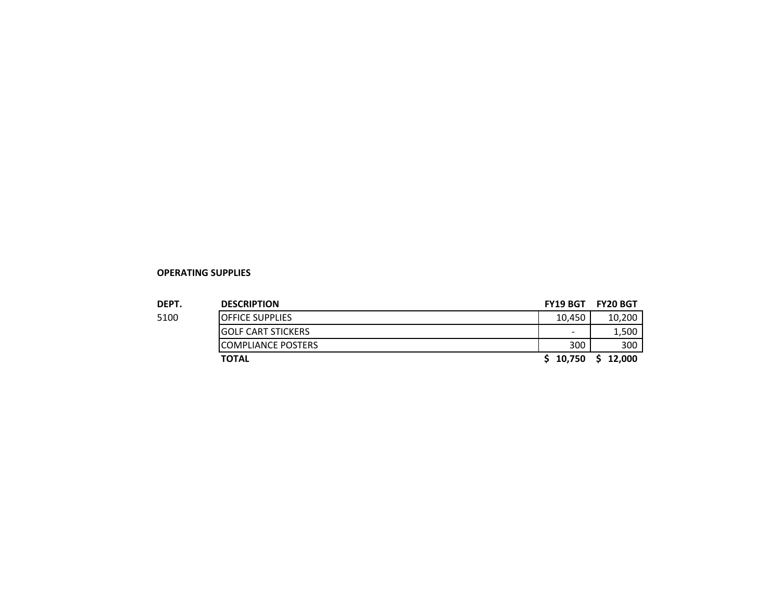#### **OPERATING SUPPLIES**

| <b>DEPT.</b> | <b>DESCRIPTION</b>         | <b>FY19 BGT</b>          | <b>FY20 BGT</b> |
|--------------|----------------------------|--------------------------|-----------------|
| 5100         | <b>IOFFICE SUPPLIES</b>    | 10.450                   | 10,200          |
|              | IGOLF CART STICKERS        | $\overline{\phantom{0}}$ | 1,500           |
|              | <b>ICOMPLIANCE POSTERS</b> | 300                      | 300             |
|              | <b>TOTAL</b>               | \$10.750                 | 12.000          |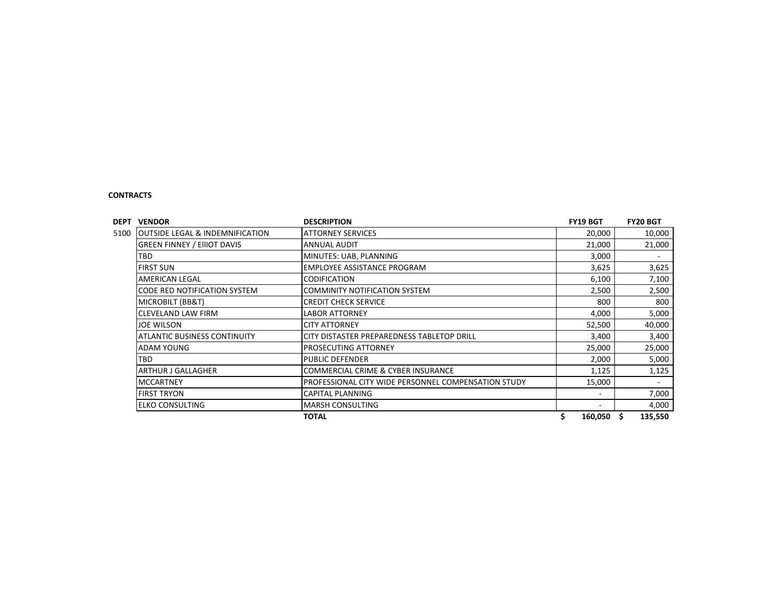#### **CONTRACTS**

| DEPT<br><b>VENDOR</b>                              | <b>DESCRIPTION</b>                                  | FY19 BGT | <b>FY20 BGT</b> |
|----------------------------------------------------|-----------------------------------------------------|----------|-----------------|
| <b>OUTSIDE LEGAL &amp; INDEMNIFICATION</b><br>5100 | <b>ATTORNEY SERVICES</b>                            | 20,000   | 10,000          |
| <b>GREEN FINNEY / EIIIOT DAVIS</b>                 | <b>ANNUAL AUDIT</b>                                 | 21,000   | 21,000          |
| <b>TBD</b>                                         | MINUTES: UAB, PLANNING                              | 3,000    | ٠               |
| <b>FIRST SUN</b>                                   | EMPLOYEE ASSISTANCE PROGRAM                         | 3,625    | 3,625           |
| <b>AMERICAN LEGAL</b>                              | <b>CODIFICATION</b>                                 | 6,100    | 7,100           |
| CODE RED NOTIFICATION SYSTEM                       | <b>COMMINITY NOTIFICATION SYSTEM</b>                | 2,500    | 2,500           |
| MICROBILT (BB&T)                                   | <b>CREDIT CHECK SERVICE</b>                         | 800      | 800             |
| <b>CLEVELAND LAW FIRM</b>                          | <b>LABOR ATTORNEY</b>                               | 4,000    | 5,000           |
| <b>JOE WILSON</b>                                  | <b>CITY ATTORNEY</b>                                | 52,500   | 40,000          |
| <b>ATLANTIC BUSINESS CONTINUITY</b>                | CITY DISTASTER PREPAREDNESS TABLETOP DRILL          | 3,400    | 3,400           |
| <b>ADAM YOUNG</b>                                  | <b>PROSECUTING ATTORNEY</b>                         | 25,000   | 25,000          |
| <b>TBD</b>                                         | <b>PUBLIC DEFENDER</b>                              | 2,000    | 5,000           |
| <b>ARTHUR J GALLAGHER</b>                          | <b>COMMERCIAL CRIME &amp; CYBER INSURANCE</b>       | 1,125    | 1,125           |
| <b>MCCARTNEY</b>                                   | PROFESSIONAL CITY WIDE PERSONNEL COMPENSATION STUDY | 15,000   | ٠               |
| <b>FIRST TRYON</b>                                 | <b>CAPITAL PLANNING</b>                             | ۰        | 7,000           |
| <b>ELKO CONSULTING</b>                             | <b>MARSH CONSULTING</b>                             |          | 4,000           |
|                                                    | <b>TOTAL</b>                                        | 160,050  | S<br>135,550    |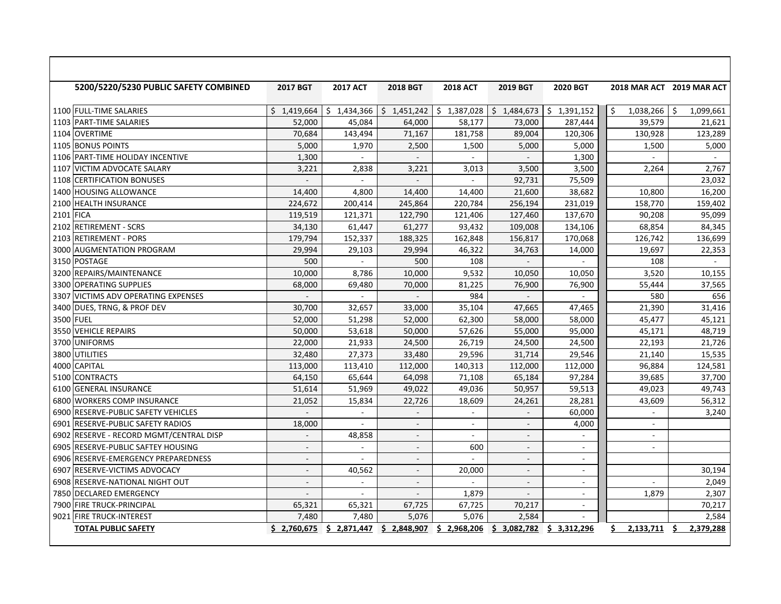|           | 5200/5220/5230 PUBLIC SAFETY COMBINED   | <b>2017 BGT</b>          | <b>2017 ACT</b>          | <b>2018 BGT</b> | <b>2018 ACT</b>          | <b>2019 BGT</b>          | <b>2020 BGT</b>          |                 | 2018 MAR ACT 2019 MAR ACT |
|-----------|-----------------------------------------|--------------------------|--------------------------|-----------------|--------------------------|--------------------------|--------------------------|-----------------|---------------------------|
|           | 1100 FULL-TIME SALARIES                 | \$1,419,664              | \$1,434,366              | \$1.451.242     | \$1,387,028              | \$1,484,673              | \$1,391,152              | 1,038,266<br>Ŝ  | -Ś<br>1,099,661           |
|           | 1103 PART-TIME SALARIES                 | 52,000                   | 45,084                   | 64,000          | 58,177                   | 73,000                   | 287,444                  | 39,579          | 21,621                    |
|           | 1104 OVERTIME                           | 70,684                   | 143,494                  | 71,167          | 181,758                  | 89,004                   | 120,306                  | 130,928         | 123,289                   |
|           | 1105 BONUS POINTS                       | 5,000                    | 1,970                    | 2,500           | 1,500                    | 5,000                    | 5,000                    | 1,500           | 5,000                     |
|           | 1106 PART-TIME HOLIDAY INCENTIVE        | 1,300                    | $\sim$                   | $\mathcal{L}$   | $\sim$                   | $\overline{a}$           | 1,300                    |                 | $\mathbf{r}$              |
| 1107      | <b>VICTIM ADVOCATE SALARY</b>           | 3,221                    | 2,838                    | 3,221           | 3,013                    | 3,500                    | 3,500                    | 2,264           | 2,767                     |
| 1108      | <b>CERTIFICATION BONUSES</b>            |                          | $\overline{\phantom{a}}$ |                 | $\overline{\phantom{a}}$ | 92,731                   | 75,509                   |                 | 23,032                    |
|           | 1400 HOUSING ALLOWANCE                  | 14,400                   | 4,800                    | 14,400          | 14,400                   | 21,600                   | 38,682                   | 10,800          | 16,200                    |
|           | 2100 HEALTH INSURANCE                   | 224,672                  | 200,414                  | 245,864         | 220,784                  | 256,194                  | 231,019                  | 158,770         | 159,402                   |
| 2101 FICA |                                         | 119,519                  | 121,371                  | 122,790         | 121,406                  | 127,460                  | 137,670                  | 90,208          | 95,099                    |
|           | 2102 RETIREMENT - SCRS                  | 34,130                   | 61,447                   | 61,277          | 93,432                   | 109,008                  | 134,106                  | 68,854          | 84,345                    |
|           | 2103 RETIREMENT - PORS                  | 179,794                  | 152,337                  | 188,325         | 162,848                  | 156,817                  | 170,068                  | 126,742         | 136,699                   |
|           | 3000 AUGMENTATION PROGRAM               | 29,994                   | 29,103                   | 29,994          | 46,322                   | 34,763                   | 14,000                   | 19,697          | 22,353                    |
|           | 3150 POSTAGE                            | 500                      | $\sim$                   | 500             | 108                      |                          |                          | 108             | ÷                         |
|           | 3200 REPAIRS/MAINTENANCE                | 10,000                   | 8,786                    | 10,000          | 9,532                    | 10,050                   | 10,050                   | 3,520           | 10,155                    |
|           | 3300 OPERATING SUPPLIES                 | 68,000                   | 69,480                   | 70,000          | 81,225                   | 76,900                   | 76,900                   | 55,444          | 37,565                    |
|           | 3307 VICTIMS ADV OPERATING EXPENSES     | $\overline{a}$           | $\sim$                   | ÷.              | 984                      | $\mathbb{L}$             | ÷.                       | 580             | 656                       |
|           | 3400 DUES, TRNG, & PROF DEV             | 30,700                   | 32,657                   | 33,000          | 35,104                   | 47,665                   | 47,465                   | 21,390          | 31,416                    |
|           | 3500 FUEL                               | 52,000                   | 51,298                   | 52,000          | 62,300                   | 58,000                   | 58,000                   | 45,477          | 45,121                    |
|           | 3550 VEHICLE REPAIRS                    | 50,000                   | 53,618                   | 50,000          | 57,626                   | 55,000                   | 95,000                   | 45,171          | 48,719                    |
|           | 3700 UNIFORMS                           | 22,000                   | 21,933                   | 24,500          | 26,719                   | 24,500                   | 24,500                   | 22,193          | 21,726                    |
|           | 3800 UTILITIES                          | 32,480                   | 27,373                   | 33,480          | 29,596                   | 31,714                   | 29,546                   | 21,140          | 15,535                    |
|           | 4000 CAPITAL                            | 113,000                  | 113,410                  | 112,000         | 140,313                  | 112,000                  | 112,000                  | 96,884          | 124,581                   |
|           | 5100 CONTRACTS                          | 64,150                   | 65,644                   | 64,098          | 71,108                   | 65,184                   | 97,284                   | 39,685          | 37,700                    |
|           | 6100 GENERAL INSURANCE                  | 51,614                   | 51,969                   | 49,022          | 49,036                   | 50,957                   | 59,513                   | 49,023          | 49,743                    |
|           | 6800 WORKERS COMP INSURANCE             | 21,052                   | 15,834                   | 22,726          | 18,609                   | 24,261                   | 28.281                   | 43,609          | 56,312                    |
|           | 6900 RESERVE-PUBLIC SAFETY VEHICLES     |                          |                          |                 |                          |                          | 60,000                   |                 | 3,240                     |
|           | 6901 RESERVE-PUBLIC SAFETY RADIOS       | 18,000                   | $\sim$                   | $\sim$          | $\sim$                   | $\blacksquare$           | 4,000                    | $\blacksquare$  |                           |
|           | 6902 RESERVE - RECORD MGMT/CENTRAL DISP | $\overline{\phantom{a}}$ | 48,858                   | $\sim$          | $\sim$                   | $\blacksquare$           | $\blacksquare$           | $\sim$          |                           |
| 6905      | <b>RESERVE-PUBLIC SAFTEY HOUSING</b>    | $\overline{a}$           |                          |                 | 600                      | $\overline{\phantom{a}}$ | ÷.                       | $\sim$          |                           |
|           | 6906 RESERVE-EMERGENCY PREPAREDNESS     | $\sim$                   | $\overline{\phantom{a}}$ | $\sim$          | $\sim$                   | $\overline{\phantom{a}}$ | $\overline{\phantom{a}}$ |                 |                           |
|           | 6907 RESERVE-VICTIMS ADVOCACY           | $\sim$                   | 40,562                   | $\sim$          | 20,000                   | ÷                        | $\sim$                   |                 | 30,194                    |
|           | 6908 RESERVE-NATIONAL NIGHT OUT         | $\mathbf{r}$             | $\sim$                   | $\sim$          |                          | $\sim$                   | ÷.                       |                 | 2,049                     |
|           | 7850 DECLARED EMERGENCY                 | $\blacksquare$           | $\blacksquare$           | $\sim$          | 1,879                    | $\overline{\phantom{a}}$ | $\overline{\phantom{a}}$ | 1,879           | 2,307                     |
|           | 7900 FIRE TRUCK-PRINCIPAL               | 65,321                   | 65,321                   | 67,725          | 67,725                   | 70,217                   | $\overline{\phantom{a}}$ |                 | 70,217                    |
|           | 9021 FIRE TRUCK-INTEREST                | 7,480                    | 7,480                    | 5,076           | 5,076                    | 2,584                    |                          |                 | 2,584                     |
|           | <b>TOTAL PUBLIC SAFETY</b>              | \$2,760,675              | \$2,871,447              | \$2,848,907     | \$2,968,206              | \$3,082,782              | \$3,312,296              | 2,133,711<br>S. | 2,379,288                 |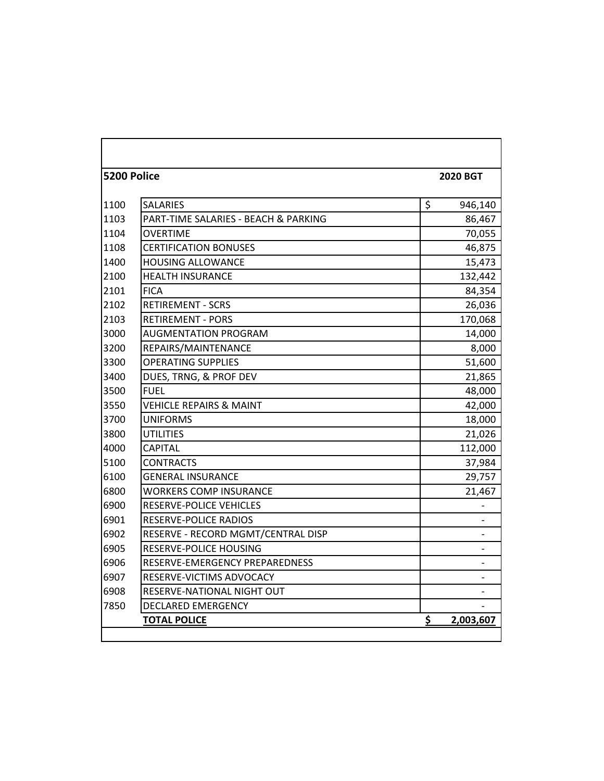| 5200 Police |                                      | <b>2020 BGT</b> |
|-------------|--------------------------------------|-----------------|
| 1100        | <b>SALARIES</b>                      | \$<br>946,140   |
| 1103        | PART-TIME SALARIES - BEACH & PARKING | 86,467          |
| 1104        | <b>OVERTIME</b>                      | 70,055          |
| 1108        | <b>CERTIFICATION BONUSES</b>         | 46,875          |
| 1400        | <b>HOUSING ALLOWANCE</b>             | 15,473          |
| 2100        | <b>HEALTH INSURANCE</b>              | 132,442         |
| 2101        | <b>FICA</b>                          | 84,354          |
| 2102        | <b>RETIREMENT - SCRS</b>             | 26,036          |
| 2103        | <b>RETIREMENT - PORS</b>             | 170,068         |
| 3000        | <b>AUGMENTATION PROGRAM</b>          | 14,000          |
| 3200        | REPAIRS/MAINTENANCE                  | 8,000           |
| 3300        | <b>OPERATING SUPPLIES</b>            | 51,600          |
| 3400        | DUES, TRNG, & PROF DEV               | 21,865          |
| 3500        | <b>FUEL</b>                          | 48,000          |
| 3550        | <b>VEHICLE REPAIRS &amp; MAINT</b>   | 42,000          |
| 3700        | <b>UNIFORMS</b>                      | 18,000          |
| 3800        | <b>UTILITIES</b>                     | 21,026          |
| 4000        | <b>CAPITAL</b>                       | 112,000         |
| 5100        | <b>CONTRACTS</b>                     | 37,984          |
| 6100        | <b>GENERAL INSURANCE</b>             | 29,757          |
| 6800        | <b>WORKERS COMP INSURANCE</b>        | 21,467          |
| 6900        | RESERVE-POLICE VEHICLES              |                 |
| 6901        | <b>RESERVE-POLICE RADIOS</b>         |                 |
| 6902        | RESERVE - RECORD MGMT/CENTRAL DISP   |                 |
| 6905        | RESERVE-POLICE HOUSING               |                 |
| 6906        | RESERVE-EMERGENCY PREPAREDNESS       |                 |
| 6907        | RESERVE-VICTIMS ADVOCACY             |                 |
| 6908        | RESERVE-NATIONAL NIGHT OUT           |                 |
| 7850        | <b>DECLARED EMERGENCY</b>            |                 |
|             | <b>TOTAL POLICE</b>                  | \$<br>2,003,607 |
|             |                                      |                 |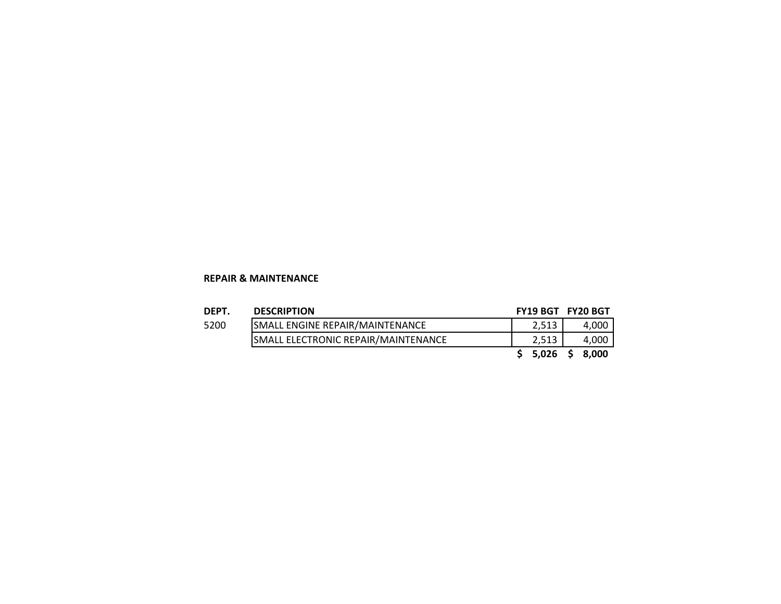#### **REPAIR & MAINTENANCE**

| DEPT. | <b>DESCRIPTION</b>                         | FY19 BGT FY20 BGT |       |
|-------|--------------------------------------------|-------------------|-------|
| 5200  | SMALL ENGINE REPAIR/MAINTENANCE            | 2.513             | 4,000 |
|       | <b>SMALL ELECTRONIC REPAIR/MAINTENANCE</b> | 2.513             | 4,000 |
|       |                                            | $$5,026$ \$       | 8.000 |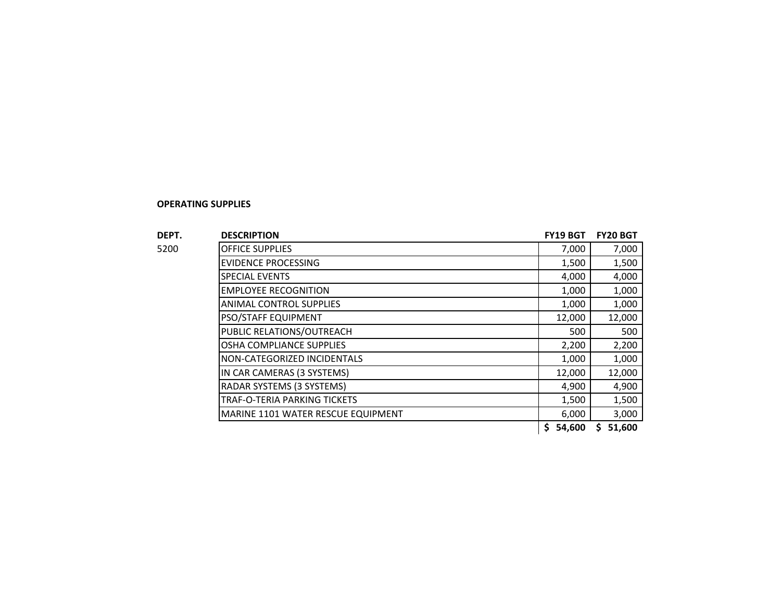#### **OPERATING SUPPLIES**

|               | <b>DESCRIPTION</b>                 |                                                                           | <b>FY20 BGT</b> |
|---------------|------------------------------------|---------------------------------------------------------------------------|-----------------|
|               | <b>OFFICE SUPPLIES</b>             | 7,000                                                                     | 7,000           |
|               | <b>EVIDENCE PROCESSING</b>         | 1,500                                                                     | 1,500           |
|               | <b>SPECIAL EVENTS</b>              | 4,000                                                                     | 4,000           |
|               | <b>EMPLOYEE RECOGNITION</b>        | 1,000                                                                     | 1,000           |
| DEPT.<br>5200 | <b>ANIMAL CONTROL SUPPLIES</b>     | 1,000                                                                     | 1,000           |
|               | PSO/STAFF EQUIPMENT                | 12,000                                                                    | 12,000          |
|               | PUBLIC RELATIONS/OUTREACH          | 500                                                                       | 500             |
|               | OSHA COMPLIANCE SUPPLIES           | 2,200                                                                     | 2,200           |
|               | NON-CATEGORIZED INCIDENTALS        | 1,000                                                                     | 1,000           |
|               | IN CAR CAMERAS (3 SYSTEMS)         | <b>FY19 BGT</b><br>12,000<br>4,900<br>1,500<br>6,000<br>54,600<br>S.<br>s | 12,000          |
|               | RADAR SYSTEMS (3 SYSTEMS)          |                                                                           | 4,900           |
|               | TRAF-O-TERIA PARKING TICKETS       |                                                                           | 1,500           |
|               | MARINE 1101 WATER RESCUE EQUIPMENT |                                                                           | 3,000           |
|               |                                    |                                                                           | 51,600          |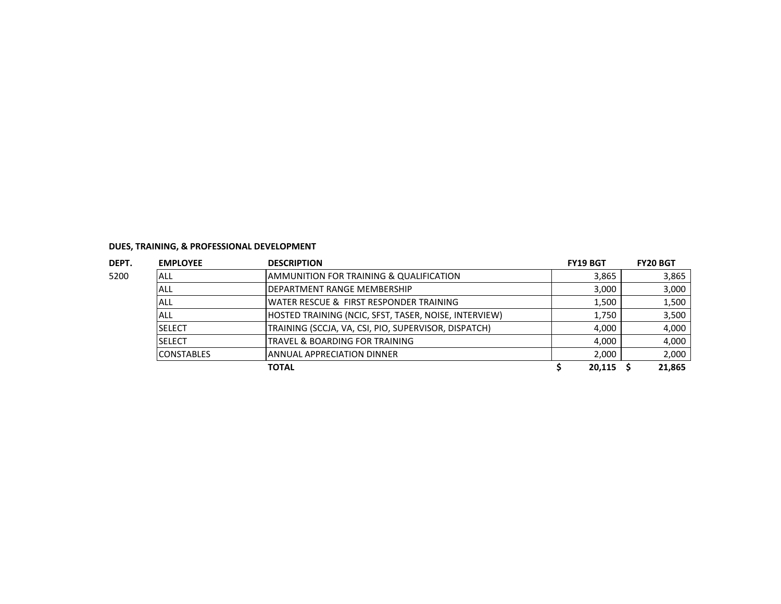| DEPT. | <b>EMPLOYEE</b>   | <b>DESCRIPTION</b>                                    | <b>FY19 BGT</b> | <b>FY20 BGT</b> |  |
|-------|-------------------|-------------------------------------------------------|-----------------|-----------------|--|
| 5200  | ALL               | AMMUNITION FOR TRAINING & QUALIFICATION               | 3.865           | 3,865           |  |
|       | ALL               | <b>DEPARTMENT RANGE MEMBERSHIP</b>                    | 3,000           | 3,000           |  |
|       | ALL               | WATER RESCUE & FIRST RESPONDER TRAINING               | 1,500           | 1,500           |  |
|       | ALL               | HOSTED TRAINING (NCIC, SFST, TASER, NOISE, INTERVIEW) | 1,750           | 3,500           |  |
|       | <b>SELECT</b>     | TRAINING (SCCJA, VA, CSI, PIO, SUPERVISOR, DISPATCH)  | 4.000           | 4,000           |  |
|       | <b>SELECT</b>     | TRAVEL & BOARDING FOR TRAINING                        | 4,000           | 4,000           |  |
|       | <b>CONSTABLES</b> | <b>ANNUAL APPRECIATION DINNER</b>                     | 2,000           | 2,000           |  |
|       |                   | TOTAL                                                 | 20,115          | 21,865          |  |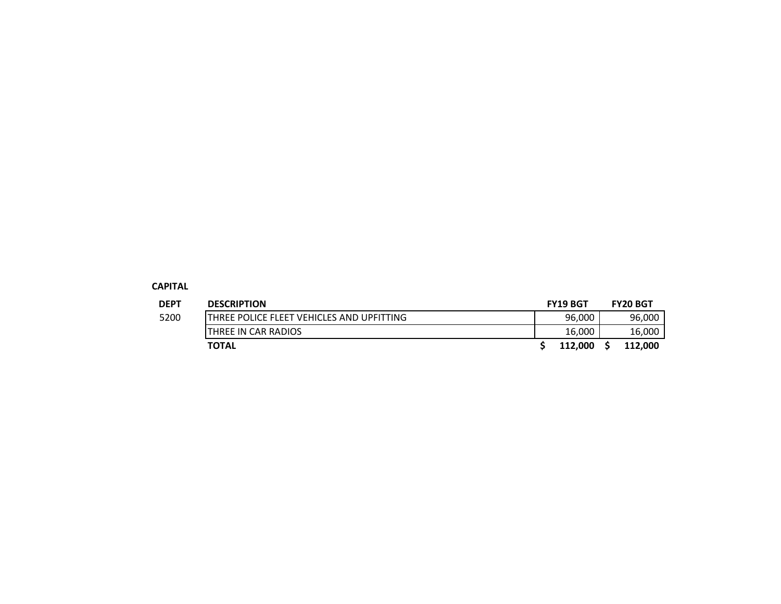#### **CAPITAL**

| <b>DEPT</b> | <b>DESCRIPTION</b>                         | <b>FY19 BGT</b> | <b>FY20 BGT</b> |
|-------------|--------------------------------------------|-----------------|-----------------|
| 5200        | ITHREE POLICE FLEET VEHICLES AND UPFITTING | 96,000          | 96,000          |
|             | THREE IN CAR RADIOS                        | 16,000          | 16,000          |
|             | <b>TOTAL</b>                               | 112.000         | 112,000         |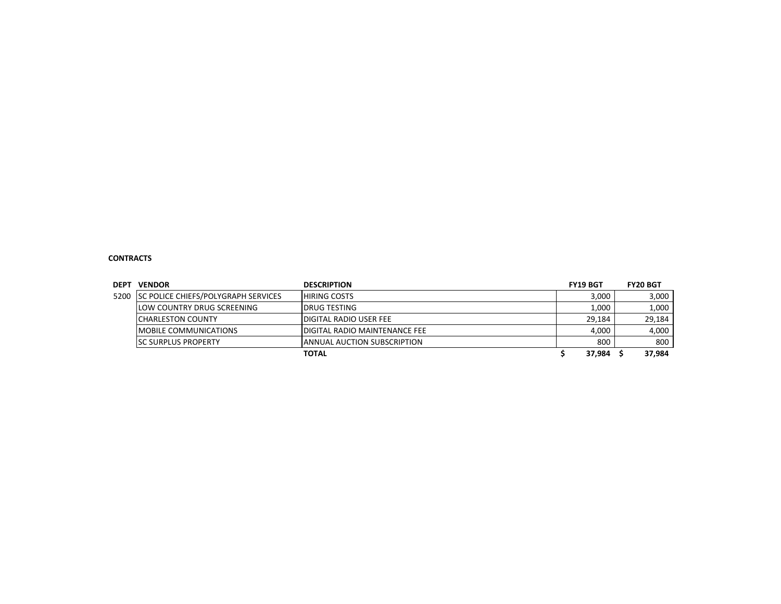#### **CONTRACTS**

| <b>DEPT</b> | <b>VENDOR</b>                              | <b>DESCRIPTION</b>             | <b>FY19 BGT</b> | <b>FY20 BGT</b> |
|-------------|--------------------------------------------|--------------------------------|-----------------|-----------------|
| 5200        | <b>SC POLICE CHIEFS/POLYGRAPH SERVICES</b> | <b>HIRING COSTS</b>            | 3,000           | 3,000           |
|             | llow country drug screening                | <b>IDRUG TESTING</b>           | 1,000           | 1,000           |
|             | ICHARLESTON COUNTY                         | IDIGITAL RADIO USER FEE        | 29.184          | 29,184          |
|             | <b>IMOBILE COMMUNICATIONS</b>              | IDIGITAL RADIO MAINTENANCE FEE | 4,000           | 4,000           |
|             | <b>ISC SURPLUS PROPERTY</b>                | IANNUAL AUCTION SUBSCRIPTION   | 800             | 800             |
|             |                                            | <b>TOTAL</b>                   | 37.984          | 37,984          |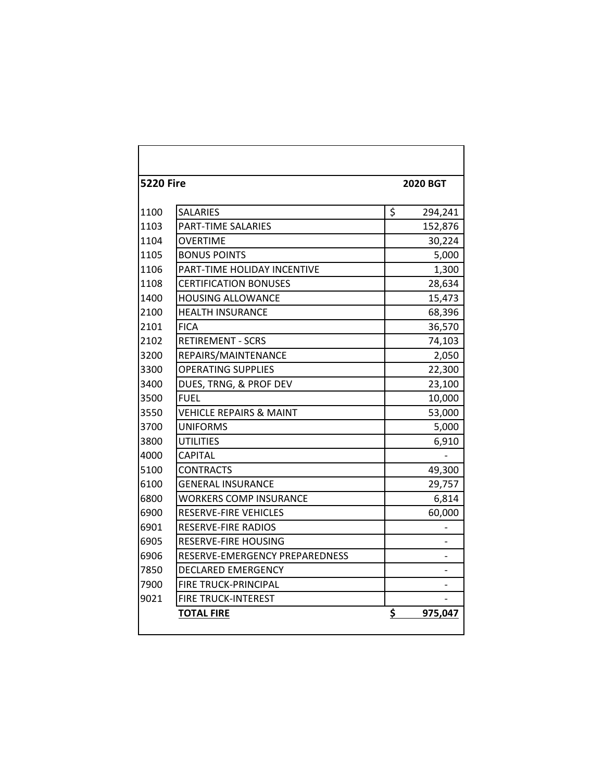| <b>5220 Fire</b> |                                    | <b>2020 BGT</b> |
|------------------|------------------------------------|-----------------|
| 1100             | <b>SALARIES</b>                    | \$<br>294,241   |
| 1103             | <b>PART-TIME SALARIES</b>          | 152,876         |
| 1104             | <b>OVERTIME</b>                    | 30,224          |
| 1105             | <b>BONUS POINTS</b>                | 5,000           |
| 1106             | <b>PART-TIME HOLIDAY INCENTIVE</b> | 1,300           |
| 1108             | <b>CERTIFICATION BONUSES</b>       | 28,634          |
| 1400             | <b>HOUSING ALLOWANCE</b>           | 15,473          |
| 2100             | <b>HEALTH INSURANCE</b>            | 68,396          |
| 2101             | <b>FICA</b>                        | 36,570          |
| 2102             | <b>RETIREMENT - SCRS</b>           | 74,103          |
| 3200             | REPAIRS/MAINTENANCE                | 2,050           |
| 3300             | <b>OPERATING SUPPLIES</b>          | 22,300          |
| 3400             | DUES, TRNG, & PROF DEV             | 23,100          |
| 3500             | <b>FUFL</b>                        | 10,000          |
| 3550             | <b>VEHICLE REPAIRS &amp; MAINT</b> | 53,000          |
| 3700             | <b>UNIFORMS</b>                    | 5,000           |
| 3800             | <b>UTILITIES</b>                   | 6,910           |
| 4000             | <b>CAPITAL</b>                     |                 |
| 5100             | <b>CONTRACTS</b>                   | 49,300          |
| 6100             | <b>GENERAL INSURANCE</b>           | 29,757          |
| 6800             | <b>WORKERS COMP INSURANCE</b>      | 6,814           |
| 6900             | <b>RESERVE-FIRE VEHICLES</b>       | 60,000          |
| 6901             | RESERVE-FIRE RADIOS                |                 |
| 6905             | RESERVE-FIRE HOUSING               |                 |
| 6906             | RESERVE-EMERGENCY PREPAREDNESS     |                 |
| 7850             | <b>DECLARED EMERGENCY</b>          |                 |
| 7900             | <b>FIRE TRUCK-PRINCIPAL</b>        |                 |
| 9021             | <b>FIRE TRUCK-INTEREST</b>         |                 |
|                  | <b>TOTAL FIRE</b>                  | \$<br>975,047   |
|                  |                                    |                 |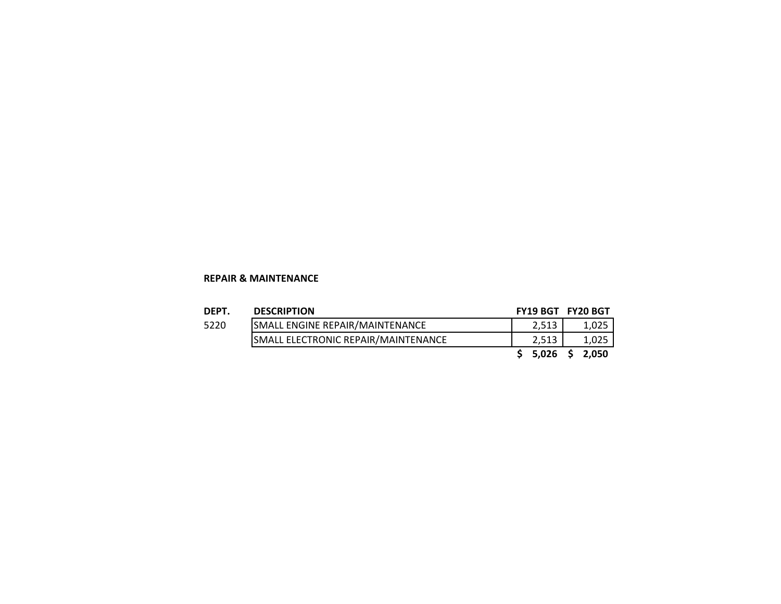#### **REPAIR & MAINTENANCE**

| DEPT. | <b>DESCRIPTION</b>                  | FY19 BGT FY20 BGT  |       |
|-------|-------------------------------------|--------------------|-------|
| 5220  | SMALL ENGINE REPAIR/MAINTENANCE     | 2.513              | 1,025 |
|       | SMALL ELECTRONIC REPAIR/MAINTENANCE | 2.513              | 1,025 |
|       |                                     | $$5,026$$ $$2,050$ |       |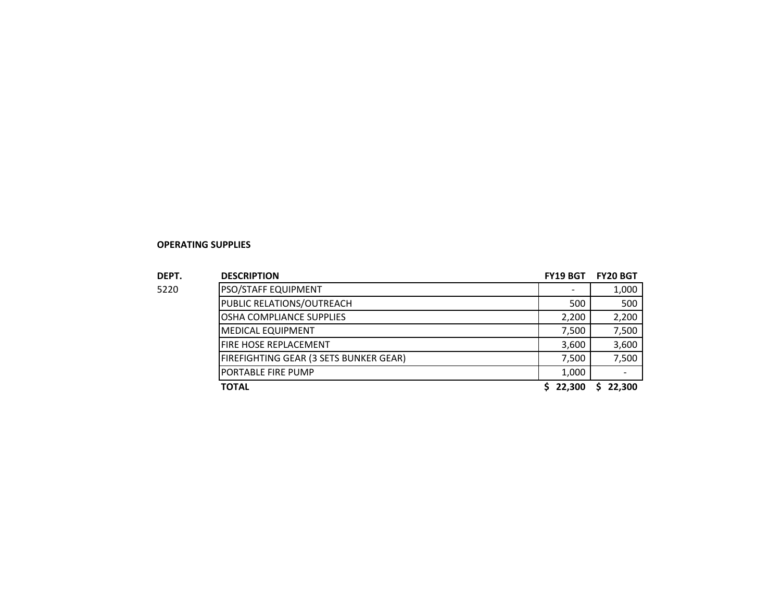#### **OPERATING SUPPLIES**

| DEPT. | <b>DESCRIPTION</b>                     | <b>FY19 BGT</b> | <b>FY20 BGT</b> |
|-------|----------------------------------------|-----------------|-----------------|
| 5220  | PSO/STAFF EQUIPMENT                    |                 | 1,000           |
|       | PUBLIC RELATIONS/OUTREACH              | 500             | 500             |
|       | OSHA COMPLIANCE SUPPLIES               | 2,200           | 2,200           |
|       | <b>MEDICAL EQUIPMENT</b>               | 7,500           | 7,500           |
|       | <b>FIRE HOSE REPLACEMENT</b>           | 3,600           | 3,600           |
|       | FIREFIGHTING GEAR (3 SETS BUNKER GEAR) | 7,500           | 7,500           |
|       | PORTABLE FIRE PUMP                     | 1,000           |                 |
|       | TOTAL                                  | \$22.300        | 22.300          |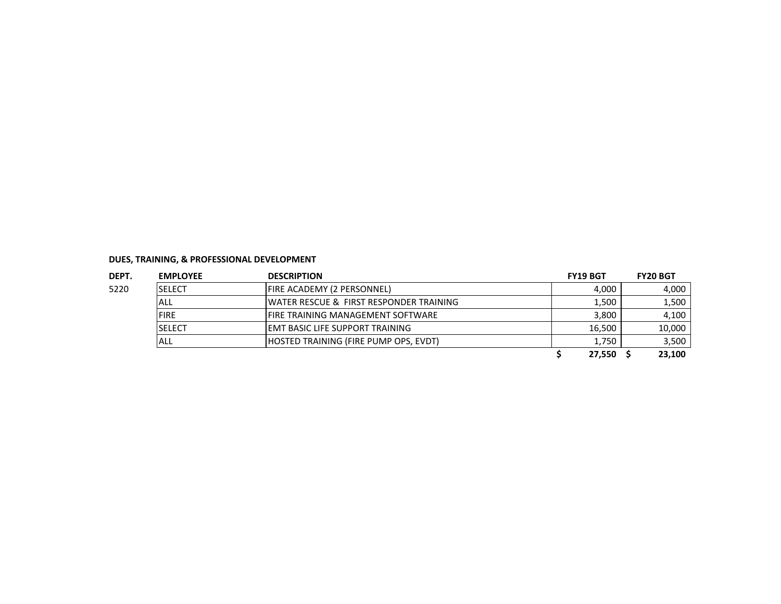| DEPT. | <b>EMPLOYEE</b> | <b>DESCRIPTION</b>                                 | <b>FY19 BGT</b> | <b>FY20 BGT</b> |
|-------|-----------------|----------------------------------------------------|-----------------|-----------------|
| 5220  | <b>SELECT</b>   | <b>FIRE ACADEMY (2 PERSONNEL)</b>                  | 4,000           | 4,000           |
|       | ALL             | <b>WATER RESCUE &amp; FIRST RESPONDER TRAINING</b> | 1,500           | 1,500           |
|       | <b>FIRE</b>     | IFIRE TRAINING MANAGEMENT SOFTWARE                 | 3,800           | 4,100           |
|       | <b>SELECT</b>   | IEMT BASIC LIFE SUPPORT TRAINING                   | 16.500          | 10,000          |
|       | ALL             | <b>IHOSTED TRAINING (FIRE PUMP OPS. EVDT)</b>      | 1,750           | 3,500           |
|       |                 |                                                    | 27,550          | 23,100          |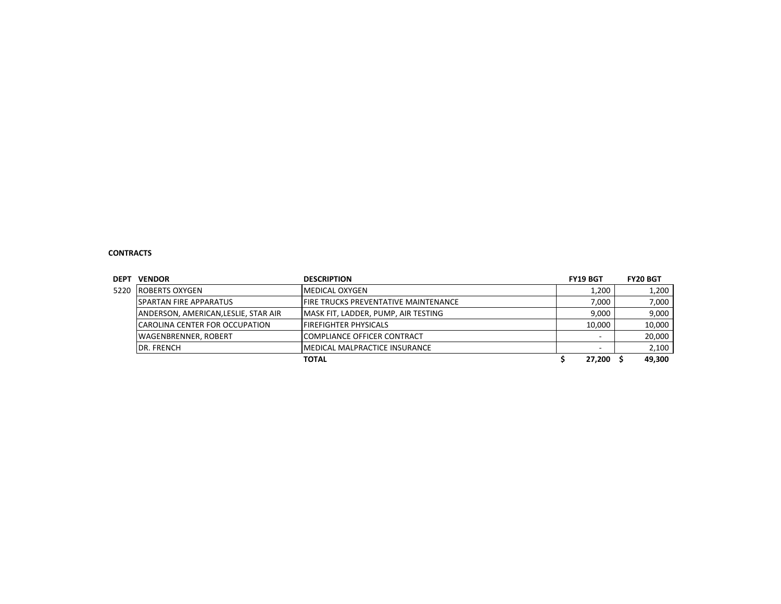#### **CONTRACTS**

| <b>DEPT</b> | <b>VENDOR</b>                         | <b>DESCRIPTION</b>                    | <b>FY19 BGT</b> | <b>FY20 BGT</b> |
|-------------|---------------------------------------|---------------------------------------|-----------------|-----------------|
| 5220        | <b>ROBERTS OXYGEN</b>                 | <b>IMEDICAL OXYGEN</b>                | 1,200           | 1,200           |
|             | <b>SPARTAN FIRE APPARATUS</b>         | IFIRE TRUCKS PREVENTATIVE MAINTENANCE | 7,000           | 7,000           |
|             | ANDERSON, AMERICAN, LESLIE, STAR AIR  | MASK FIT, LADDER, PUMP, AIR TESTING   | 9.000           | 9,000           |
|             | <b>CAROLINA CENTER FOR OCCUPATION</b> | <b>FIREFIGHTER PHYSICALS</b>          | 10.000          | 10,000          |
|             | <b>WAGENBRENNER, ROBERT</b>           | <b>ICOMPLIANCE OFFICER CONTRACT</b>   |                 | 20,000          |
|             | <b>DR. FRENCH</b>                     | IMEDICAL MALPRACTICE INSURANCE        |                 | 2,100           |
|             |                                       | 27,200                                | 49,300          |                 |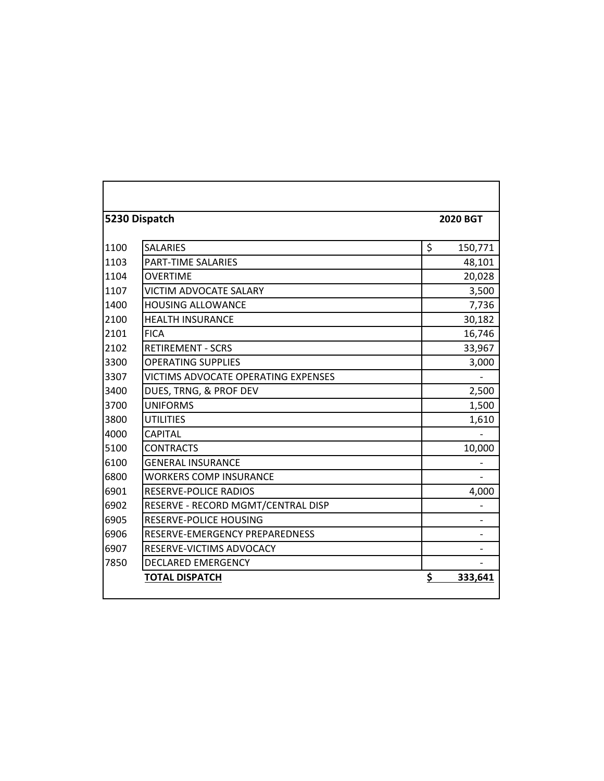|      | 5230 Dispatch                       | <b>2020 BGT</b> |
|------|-------------------------------------|-----------------|
| 1100 | <b>SALARIES</b>                     | \$<br>150,771   |
| 1103 | PART-TIME SALARIES                  | 48,101          |
| 1104 | <b>OVERTIME</b>                     | 20,028          |
| 1107 | <b>VICTIM ADVOCATE SALARY</b>       | 3,500           |
| 1400 | <b>HOUSING ALLOWANCE</b>            | 7,736           |
| 2100 | <b>HEALTH INSURANCE</b>             | 30,182          |
| 2101 | <b>FICA</b>                         | 16,746          |
| 2102 | <b>RETIREMENT - SCRS</b>            | 33,967          |
| 3300 | <b>OPERATING SUPPLIES</b>           | 3,000           |
| 3307 | VICTIMS ADVOCATE OPERATING EXPENSES |                 |
| 3400 | DUES, TRNG, & PROF DEV              | 2,500           |
| 3700 | <b>UNIFORMS</b>                     | 1,500           |
| 3800 | <b>UTILITIES</b>                    | 1,610           |
| 4000 | <b>CAPITAL</b>                      |                 |
| 5100 | <b>CONTRACTS</b>                    | 10,000          |
| 6100 | <b>GENERAL INSURANCE</b>            |                 |
| 6800 | <b>WORKERS COMP INSURANCE</b>       |                 |
| 6901 | RESERVE-POLICE RADIOS               | 4,000           |
| 6902 | RESERVE - RECORD MGMT/CENTRAL DISP  |                 |
| 6905 | <b>RESERVE-POLICE HOUSING</b>       |                 |
| 6906 | RESERVE-EMERGENCY PREPAREDNESS      |                 |
| 6907 | RESERVE-VICTIMS ADVOCACY            |                 |
| 7850 | <b>DECLARED EMERGENCY</b>           |                 |
|      | <b>TOTAL DISPATCH</b>               | \$<br>333,641   |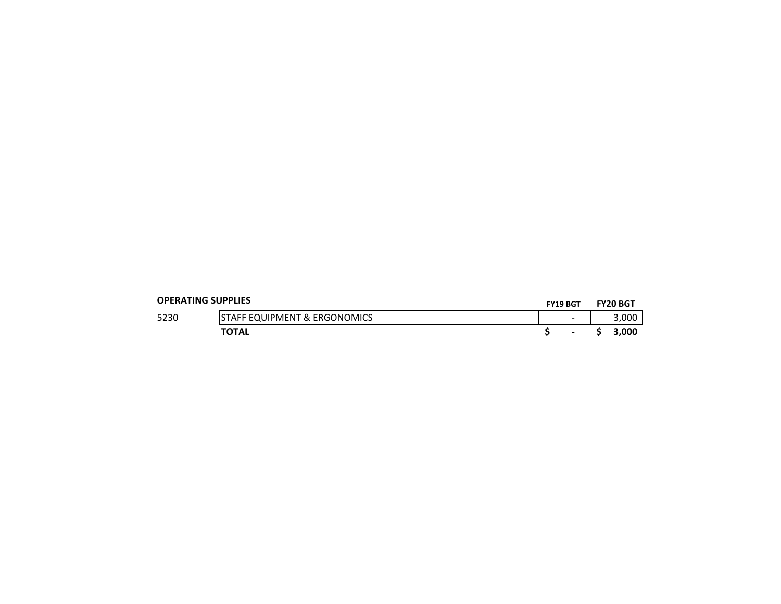| <b>OPERATING SUPPLIES</b> |                                         | <b>FY19 BGT</b> |                          | <b>FY20 BGT</b> |
|---------------------------|-----------------------------------------|-----------------|--------------------------|-----------------|
| 5230                      | <b>STAFF EQUIPMENT &amp; ERGONOMICS</b> |                 | $\overline{\phantom{0}}$ | 3.000           |
|                           | <b>TOTAL</b>                            |                 | $\blacksquare$           | 3.000           |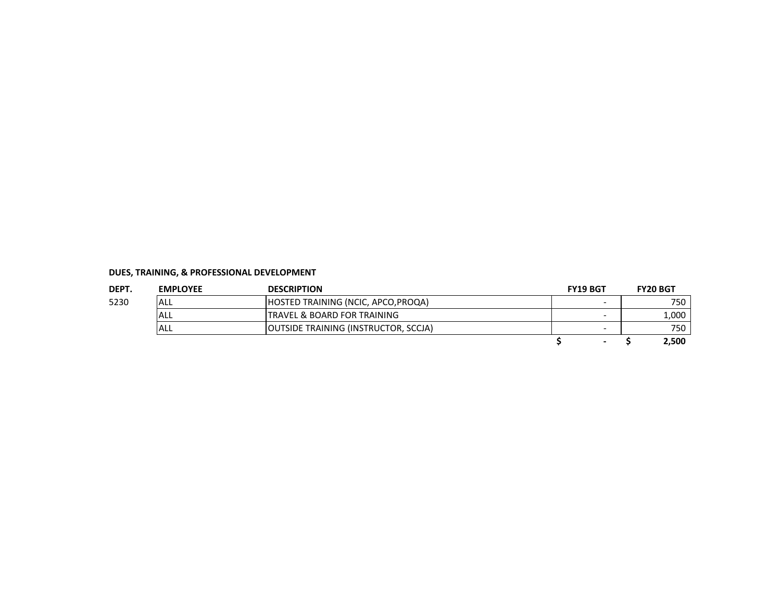| DEPT. | <b>EMPLOYEE</b> | <b>DESCRIPTION</b>                           | <b>FY19 BGT</b>          | <b>FY20 BGT</b> |
|-------|-----------------|----------------------------------------------|--------------------------|-----------------|
| 5230  | ALL             | HOSTED TRAINING (NCIC, APCO, PROQA)          | $\overline{\phantom{0}}$ | 750             |
|       | IALL            | <b>ITRAVEL &amp; BOARD FOR TRAINING</b>      | -                        | 1,000           |
|       | ALL             | <b>JOUTSIDE TRAINING (INSTRUCTOR, SCCJA)</b> | $\overline{\phantom{0}}$ | 750             |
|       |                 |                                              |                          | 2,500           |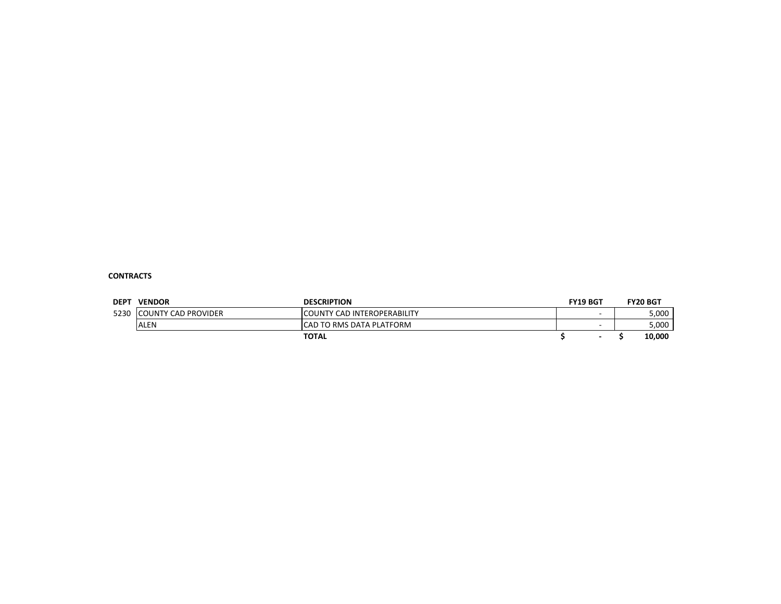#### **CONTRACTS**

| <b>DEPT</b> | <b>VENDOR</b>        | <b>DESCRIPTION</b>                 | <b>FY19 BGT</b> | <b>FY20 BGT</b> |
|-------------|----------------------|------------------------------------|-----------------|-----------------|
| 5230        | ICOUNTY CAD PROVIDER | <b>COUNTY CAD INTEROPERABILITY</b> |                 | 5,000           |
|             | <b>ALEN</b>          | ICAD TO RMS DATA PLATFORM          |                 | 5,000           |
|             |                      | <b>TOTAL</b>                       |                 | 10,000          |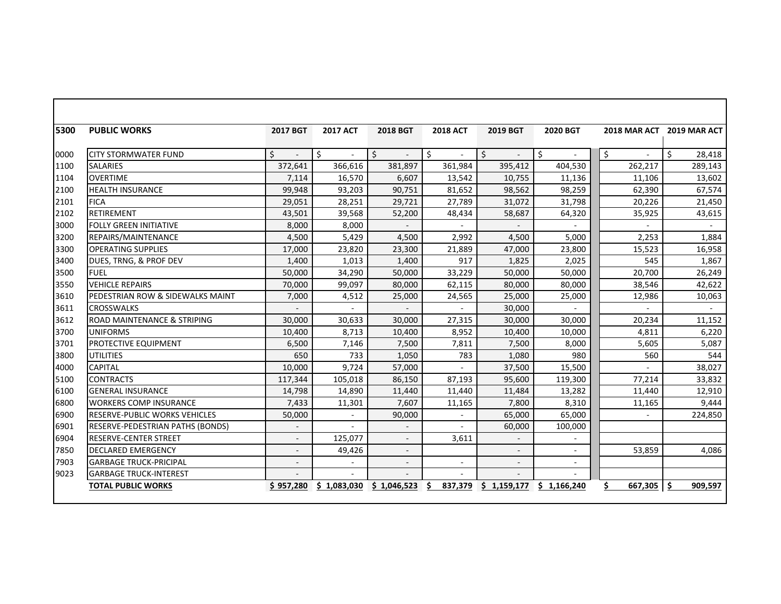| 5300 | <b>PUBLIC WORKS</b>                    | 2017 BGT                 | <b>2017 ACT</b> | <b>2018 BGT</b>                | <b>2018 ACT</b>   | 2019 BGT    | 2020 BGT    |         | 2018 MAR ACT 2019 MAR ACT |
|------|----------------------------------------|--------------------------|-----------------|--------------------------------|-------------------|-------------|-------------|---------|---------------------------|
| 0000 | <b>CITY STORMWATER FUND</b>            | Ś.                       | Ŝ.<br>×.        | Ś.<br>$\overline{\phantom{a}}$ | $\zeta$<br>$\sim$ | Ŝ.          | \$          | \$      | Ŝ.<br>28,418              |
| 1100 | <b>SALARIES</b>                        | 372,641                  | 366,616         | 381,897                        | 361,984           | 395,412     | 404,530     | 262,217 | 289,143                   |
| 1104 | <b>OVERTIME</b>                        | 7,114                    | 16,570          | 6,607                          | 13,542            | 10,755      | 11,136      | 11,106  | 13,602                    |
| 2100 | <b>HEALTH INSURANCE</b>                | 99,948                   | 93,203          | 90,751                         | 81,652            | 98,562      | 98,259      | 62,390  | 67,574                    |
| 2101 | <b>FICA</b>                            | 29,051                   | 28,251          | 29,721                         | 27,789            | 31,072      | 31,798      | 20,226  | 21,450                    |
| 2102 | <b>RETIREMENT</b>                      | 43,501                   | 39,568          | 52,200                         | 48,434            | 58,687      | 64,320      | 35,925  | 43,615                    |
| 3000 | <b>FOLLY GREEN INITIATIVE</b>          | 8,000                    | 8,000           |                                |                   |             |             |         |                           |
| 3200 | REPAIRS/MAINTENANCE                    | 4,500                    | 5,429           | 4,500                          | 2,992             | 4,500       | 5,000       | 2,253   | 1,884                     |
| 3300 | <b>OPERATING SUPPLIES</b>              | 17,000                   | 23,820          | 23,300                         | 21,889            | 47,000      | 23,800      | 15,523  | 16,958                    |
| 3400 | DUES, TRNG, & PROF DEV                 | 1,400                    | 1,013           | 1,400                          | 917               | 1,825       | 2,025       | 545     | 1,867                     |
| 3500 | <b>FUEL</b>                            | 50,000                   | 34,290          | 50,000                         | 33,229            | 50,000      | 50,000      | 20,700  | 26,249                    |
| 3550 | <b>VEHICLE REPAIRS</b>                 | 70,000                   | 99,097          | 80,000                         | 62,115            | 80,000      | 80,000      | 38,546  | 42,622                    |
| 3610 | PEDESTRIAN ROW & SIDEWALKS MAINT       | 7,000                    | 4,512           | 25,000                         | 24,565            | 25,000      | 25,000      | 12,986  | 10,063                    |
| 3611 | <b>CROSSWALKS</b>                      |                          |                 |                                |                   | 30,000      |             |         |                           |
| 3612 | <b>ROAD MAINTENANCE &amp; STRIPING</b> | 30.000                   | 30,633          | 30,000                         | 27,315            | 30,000      | 30,000      | 20,234  | 11,152                    |
| 3700 | <b>UNIFORMS</b>                        | 10,400                   | 8,713           | 10,400                         | 8,952             | 10,400      | 10,000      | 4,811   | 6,220                     |
| 3701 | PROTECTIVE EQUIPMENT                   | 6,500                    | 7,146           | 7,500                          | 7,811             | 7,500       | 8,000       | 5,605   | 5,087                     |
| 3800 | <b>UTILITIES</b>                       | 650                      | 733             | 1,050                          | 783               | 1,080       | 980         | 560     | 544                       |
| 4000 | <b>CAPITAL</b>                         | 10.000                   | 9,724           | 57,000                         | $\overline{a}$    | 37,500      | 15,500      |         | 38.027                    |
| 5100 | <b>CONTRACTS</b>                       | 117,344                  | 105,018         | 86,150                         | 87,193            | 95,600      | 119,300     | 77,214  | 33,832                    |
| 6100 | <b>GENERAL INSURANCE</b>               | 14,798                   | 14,890          | 11,440                         | 11,440            | 11,484      | 13,282      | 11,440  | 12,910                    |
| 6800 | <b>WORKERS COMP INSURANCE</b>          | 7,433                    | 11,301          | 7,607                          | 11,165            | 7,800       | 8,310       | 11,165  | 9,444                     |
| 6900 | <b>RESERVE-PUBLIC WORKS VEHICLES</b>   | 50,000                   | $\blacksquare$  | 90,000                         | $\sim$            | 65,000      | 65,000      |         | 224,850                   |
| 6901 | RESERVE-PEDESTRIAN PATHS (BONDS)       |                          |                 |                                |                   | 60,000      | 100,000     |         |                           |
| 6904 | <b>RESERVE-CENTER STREET</b>           |                          | 125,077         |                                | 3,611             |             |             |         |                           |
| 7850 | <b>DECLARED EMERGENCY</b>              | $\overline{\phantom{a}}$ | 49,426          | $\overline{\phantom{a}}$       |                   |             | ÷.          | 53,859  | 4,086                     |
| 7903 | <b>GARBAGE TRUCK-PRICIPAL</b>          |                          |                 |                                |                   |             | $\sim$      |         |                           |
| 9023 | <b>GARBAGE TRUCK-INTEREST</b>          |                          |                 |                                |                   |             |             |         |                           |
|      | <b>TOTAL PUBLIC WORKS</b>              | \$957,280                | \$1,083,030     | \$1,046,523                    | Ŝ<br>837,379      | \$1,159,177 | \$1,166,240 | 667,305 | -\$<br>909,597            |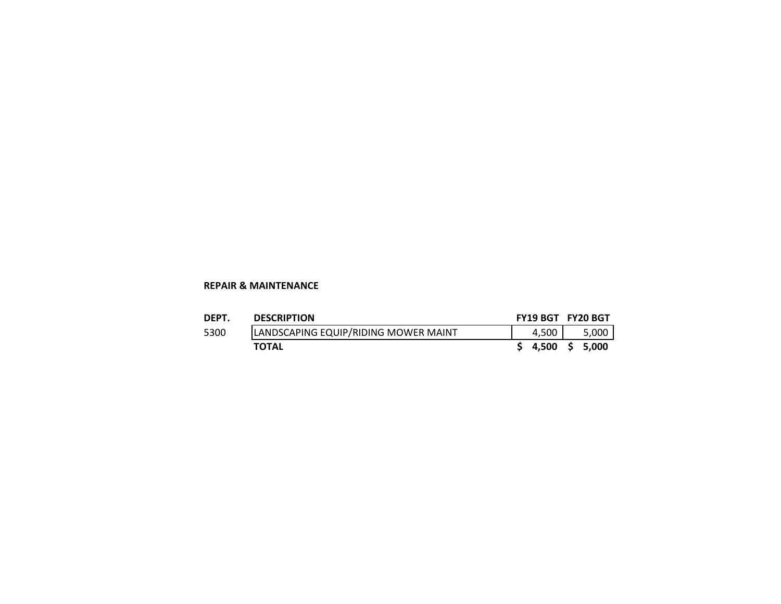#### **REPAIR & MAINTENANCE**

| DEPT. | <b>DESCRIPTION</b>                   | FY19 BGT FY20 BGT |       |
|-------|--------------------------------------|-------------------|-------|
| 5300  | LANDSCAPING EQUIP/RIDING MOWER MAINT | 4.500 L           | 5.000 |
|       | <b>TOTAL</b>                         | $$4,500 \$5,000$  |       |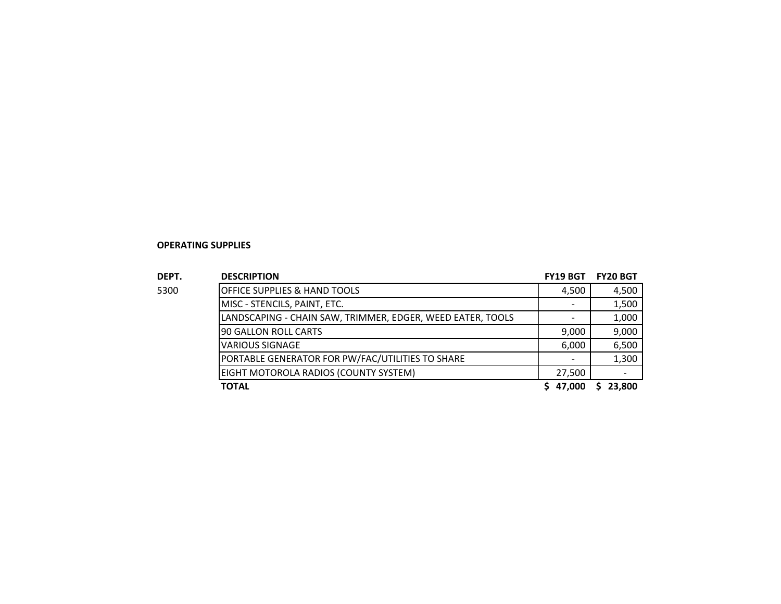#### **OPERATING SUPPLIES**

| DEPT. | <b>DESCRIPTION</b>                                         | <b>FY19 BGT</b> | <b>FY20 BGT</b> |
|-------|------------------------------------------------------------|-----------------|-----------------|
| 5300  | <b>OFFICE SUPPLIES &amp; HAND TOOLS</b>                    | 4,500           | 4,500           |
|       | MISC - STENCILS, PAINT, ETC.                               |                 | 1,500           |
|       | LANDSCAPING - CHAIN SAW, TRIMMER, EDGER, WEED EATER, TOOLS |                 | 1,000           |
|       | 190 GALLON ROLL CARTS                                      | 9,000           | 9,000           |
|       | <b>VARIOUS SIGNAGE</b>                                     | 6,000           | 6,500           |
|       | PORTABLE GENERATOR FOR PW/FAC/UTILITIES TO SHARE           |                 | 1,300           |
|       | EIGHT MOTOROLA RADIOS (COUNTY SYSTEM)                      | 27,500          |                 |
|       | TOTAL                                                      | \$47,000        | 23,800          |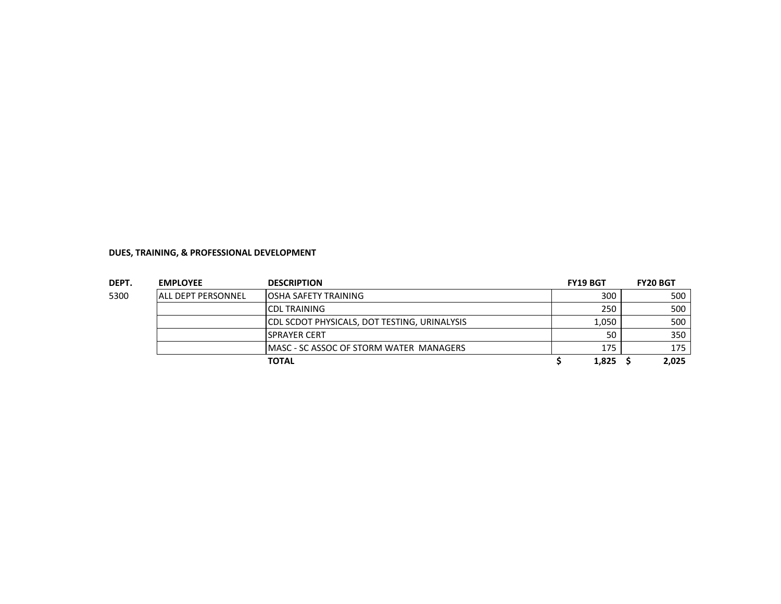| DEPT. | <b>EMPLOYEE</b>           | <b>DESCRIPTION</b>                           | <b>FY19 BGT</b> | <b>FY20 BGT</b> |
|-------|---------------------------|----------------------------------------------|-----------------|-----------------|
| 5300  | <b>ALL DEPT PERSONNEL</b> | <b>JOSHA SAFETY TRAINING</b>                 | 300             | 500             |
|       |                           | <b>ICDL TRAINING</b>                         | 250             | 500             |
|       |                           | CDL SCDOT PHYSICALS, DOT TESTING, URINALYSIS | 1.050           | 500             |
|       |                           | <b>ISPRAYER CERT</b>                         | 50              | 350             |
|       |                           | IMASC - SC ASSOC OF STORM WATER MANAGERS     | 175             | 175             |
|       |                           | TOTAL                                        | 1,825           | 2,025           |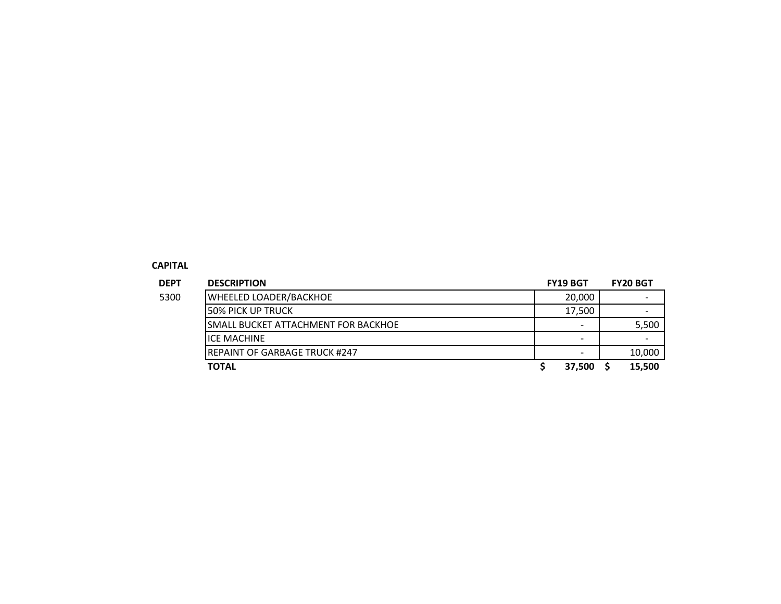#### **CAPITAL**

| <b>DEPT</b> | <b>DESCRIPTION</b>                   | <b>FY19 BGT</b>          | <b>FY20 BGT</b> |
|-------------|--------------------------------------|--------------------------|-----------------|
| 5300        | <b>WHEELED LOADER/BACKHOE</b>        | 20.000                   |                 |
|             | I50% PICK UP TRUCK                   | 17.500                   |                 |
|             | ISMALL BUCKET ATTACHMENT FOR BACKHOE | ۰                        | 5,500           |
|             | <b>ICE MACHINE</b>                   | $\overline{\phantom{0}}$ |                 |
|             | IREPAINT OF GARBAGE TRUCK #247       | $\qquad \qquad$          | 10,000          |
|             | <b>TOTAL</b>                         | 37.500                   | 15.500          |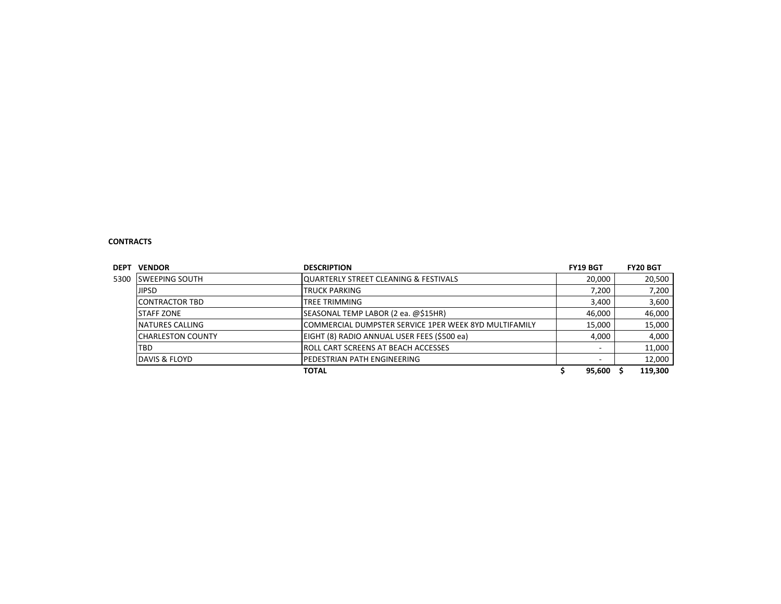#### **CONTRACTS**

| DEPT | <b>VENDOR</b>            | <b>DESCRIPTION</b>                                     | <b>FY19 BGT</b> | <b>FY20 BGT</b> |
|------|--------------------------|--------------------------------------------------------|-----------------|-----------------|
| 5300 | <b>ISWEEPING SOUTH</b>   | IQUARTERLY STREET CLEANING & FESTIVALS                 | 20,000          | 20,500          |
|      | <b>JIPSD</b>             | <b>TRUCK PARKING</b>                                   | 7,200           | 7,200           |
|      | <b>ICONTRACTOR TBD</b>   | <b>TREE TRIMMING</b>                                   | 3.400           | 3,600           |
|      | <b>STAFF ZONE</b>        | SEASONAL TEMP LABOR (2 ea. @\$15HR)                    | 46,000          | 46,000          |
|      | NATURES CALLING          | ICOMMERCIAL DUMPSTER SERVICE 1PER WEEK 8YD MULTIFAMILY | 15.000          | 15,000          |
|      | <b>CHARLESTON COUNTY</b> | EIGHT (8) RADIO ANNUAL USER FEES (\$500 ea)            | 4,000           | 4,000           |
|      | TBD                      | IROLL CART SCREENS AT BEACH ACCESSES                   |                 | 11,000          |
|      | DAVIS & FLOYD            | IPEDESTRIAN PATH ENGINEERING                           |                 | 12,000          |
|      |                          | 95,600                                                 | 119,300         |                 |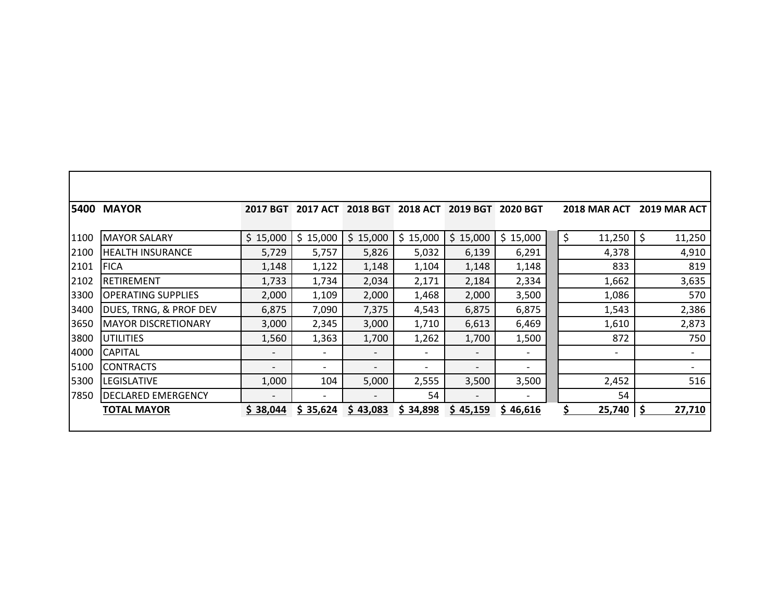|      | <b>5400 MAYOR</b>          | <b>2017 BGT</b>          | 2017 ACT                 | <b>2018 BGT</b>          | <b>2018 ACT</b>          |                          | 2019 BGT 2020 BGT            | <b>2018 MAR ACT</b>      | 2019 MAR ACT |
|------|----------------------------|--------------------------|--------------------------|--------------------------|--------------------------|--------------------------|------------------------------|--------------------------|--------------|
| 1100 | <b>MAYOR SALARY</b>        | \$15,000                 | \$15,000                 | \$15,000                 | \$15,000                 | \$15,000                 | \$15,000                     | \$<br>11,250             | \$<br>11,250 |
| 2100 | <b>HEALTH INSURANCE</b>    | 5,729                    | 5,757                    | 5,826                    | 5,032                    | 6,139                    | 6,291                        | 4,378                    | 4,910        |
| 2101 | <b>FICA</b>                | 1,148                    | 1,122                    | 1,148                    | 1,104                    | 1,148                    | 1,148                        | 833                      | 819          |
| 2102 | RETIREMENT                 | 1,733                    | 1,734                    | 2,034                    | 2,171                    | 2,184                    | 2,334                        | 1,662                    | 3,635        |
| 3300 | <b>OPERATING SUPPLIES</b>  | 2,000                    | 1,109                    | 2,000                    | 1,468                    | 2,000                    | 3,500                        | 1,086                    | 570          |
| 3400 | DUES, TRNG, & PROF DEV     | 6,875                    | 7,090                    | 7,375                    | 4,543                    | 6,875                    | 6,875                        | 1,543                    | 2,386        |
| 3650 | <b>MAYOR DISCRETIONARY</b> | 3,000                    | 2,345                    | 3,000                    | 1,710                    | 6,613                    | 6,469                        | 1,610                    | 2,873        |
| 3800 | IUTILITIES                 | 1,560                    | 1,363                    | 1,700                    | 1,262                    | 1,700                    | 1,500                        | 872                      | 750          |
| 4000 | <b>CAPITAL</b>             | -                        | $\overline{\phantom{0}}$ | $\overline{\phantom{0}}$ | $\overline{\phantom{a}}$ | $\overline{\phantom{a}}$ | $\qquad \qquad \blacksquare$ | $\overline{\phantom{a}}$ |              |
| 5100 | <b>CONTRACTS</b>           | $\overline{\phantom{0}}$ | $\overline{\phantom{0}}$ | $\overline{\phantom{0}}$ | $\overline{\phantom{0}}$ |                          | $\overline{\phantom{0}}$     |                          |              |
| 5300 | <b>LEGISLATIVE</b>         | 1,000                    | 104                      | 5,000                    | 2,555                    | 3,500                    | 3,500                        | 2,452                    | 516          |
| 7850 | <b>DECLARED EMERGENCY</b>  |                          |                          | $\overline{\phantom{a}}$ | 54                       | $\overline{\phantom{a}}$ | $\overline{\phantom{a}}$     | 54                       |              |
|      | <b>TOTAL MAYOR</b>         | \$38,044                 | \$35,624                 | \$43,083                 | \$34,898                 | \$45,159                 | \$46,616                     | Ś.<br>25,740             | 27,710<br>S  |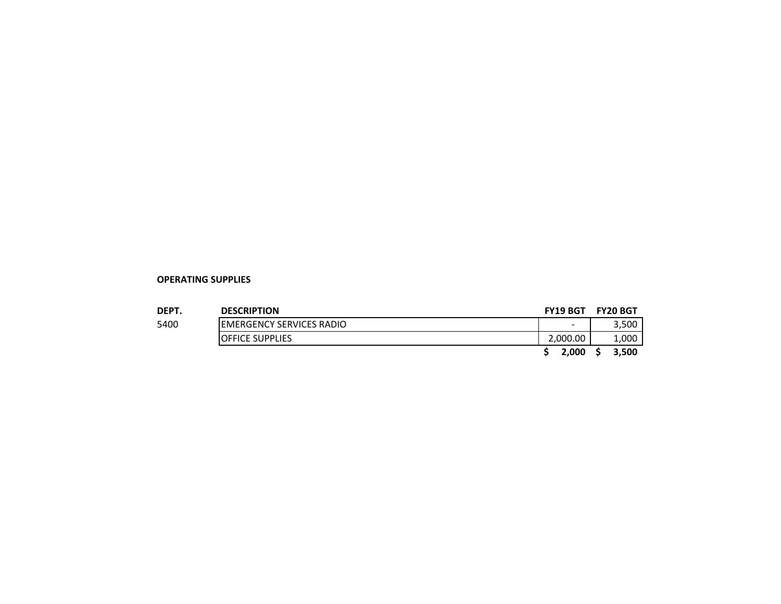#### **OPERATING SUPPLIES**

| DEPT. | <b>DESCRIPTION</b>               | <b>FY19 BGT</b> | <b>FY20 BGT</b> |
|-------|----------------------------------|-----------------|-----------------|
| 5400  | <b>IEMERGENCY SERVICES RADIO</b> | -               | 3,500           |
|       | <b>IOFFICE SUPPLIES</b>          | 2.000.00        | 1,000           |
|       |                                  | 2.000           | 3.500           |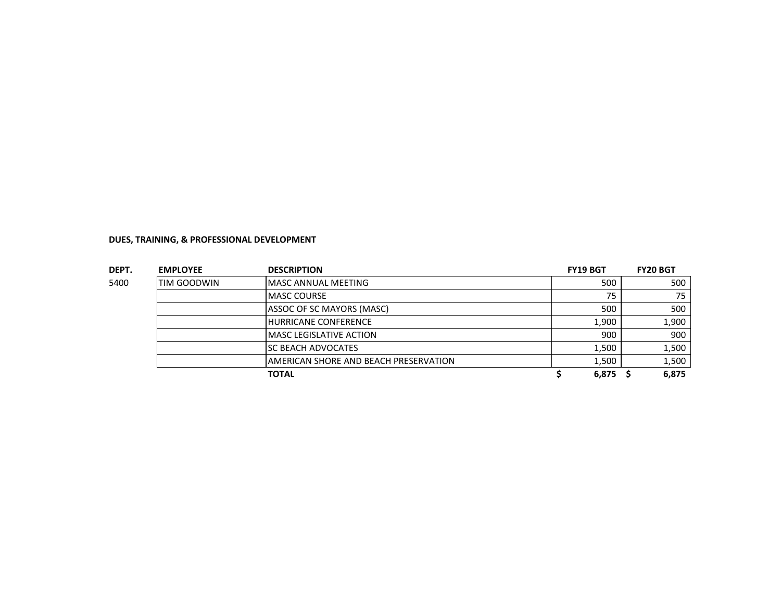|               | <b>EMPLOYEE</b>    | <b>DESCRIPTION</b>                    | <b>FY19 BGT</b> | <b>FY20 BGT</b> |
|---------------|--------------------|---------------------------------------|-----------------|-----------------|
| DEPT.<br>5400 | <b>TIM GOODWIN</b> | <b>MASC ANNUAL MEETING</b>            | 500             | 500             |
|               |                    | <b>IMASC COURSE</b>                   | 75              | 75              |
|               |                    | ASSOC OF SC MAYORS (MASC)             | 500             | 500             |
|               |                    | <b>HURRICANE CONFERENCE</b>           | 1,900           | 1,900           |
|               |                    | <b>MASC LEGISLATIVE ACTION</b>        | 900             | 900             |
|               |                    | <b>SC BEACH ADVOCATES</b>             | 1.500           | 1,500           |
|               |                    | AMERICAN SHORE AND BEACH PRESERVATION | 1,500           | 1,500           |
|               |                    | TOTAL                                 | 6,875           | 6,875           |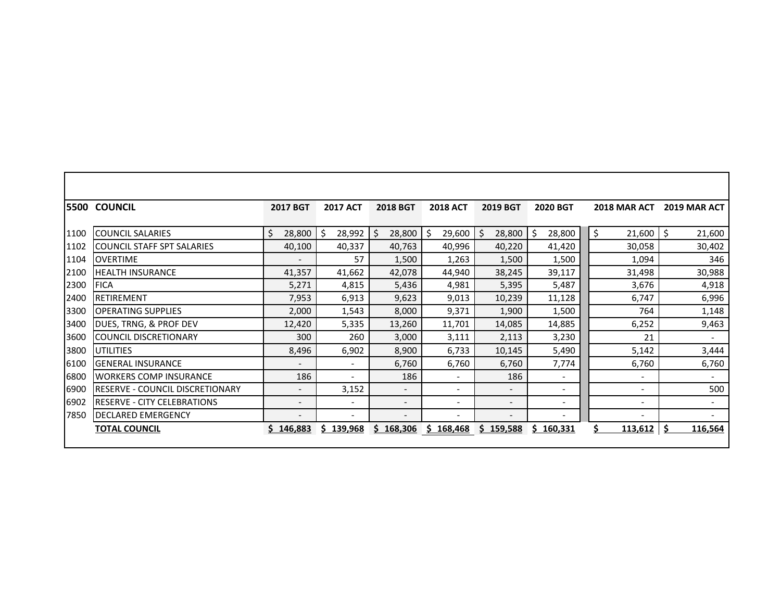|      | <b>5500 COUNCIL</b>                    | <b>2017 BGT</b>          | <b>2017 ACT</b>          | <b>2018 BGT</b>          | <b>2018 ACT</b>          | <b>2019 BGT</b>          | <b>2020 BGT</b>              | <b>2018 MAR ACT</b>      | 2019 MAR ACT                 |
|------|----------------------------------------|--------------------------|--------------------------|--------------------------|--------------------------|--------------------------|------------------------------|--------------------------|------------------------------|
| 1100 | <b>COUNCIL SALARIES</b>                | Ś<br>28,800              | \$<br>28,992             | \$<br>28,800             | 29,600<br>Ś              | 28,800<br>Ś              | 28,800<br>Ś.                 | \$<br>21,600             | Ŝ.<br>21,600                 |
| 1102 | <b>COUNCIL STAFF SPT SALARIES</b>      | 40,100                   | 40,337                   | 40,763                   | 40,996                   | 40,220                   | 41,420                       | 30,058                   | 30,402                       |
| 1104 | <b>OVERTIME</b>                        | $\overline{\phantom{a}}$ | 57                       | 1,500                    | 1,263                    | 1,500                    | 1,500                        | 1,094                    | 346                          |
| 2100 | <b>HEALTH INSURANCE</b>                | 41,357                   | 41,662                   | 42,078                   | 44,940                   | 38,245                   | 39,117                       | 31,498                   | 30,988                       |
| 2300 | <b>FICA</b>                            | 5,271                    | 4,815                    | 5,436                    | 4,981                    | 5,395                    | 5,487                        | 3,676                    | 4,918                        |
| 2400 | <b>RETIREMENT</b>                      | 7,953                    | 6,913                    | 9,623                    | 9,013                    | 10,239                   | 11,128                       | 6,747                    | 6,996                        |
| 3300 | <b>OPERATING SUPPLIES</b>              | 2,000                    | 1,543                    | 8,000                    | 9,371                    | 1,900                    | 1,500                        | 764                      | 1,148                        |
| 3400 | DUES, TRNG, & PROF DEV                 | 12,420                   | 5,335                    | 13,260                   | 11,701                   | 14,085                   | 14,885                       | 6,252                    | 9,463                        |
| 3600 | <b>COUNCIL DISCRETIONARY</b>           | 300                      | 260                      | 3,000                    | 3,111                    | 2,113                    | 3,230                        | 21                       | $\overline{\phantom{0}}$     |
| 3800 | <b>UTILITIES</b>                       | 8,496                    | 6,902                    | 8,900                    | 6,733                    | 10,145                   | 5,490                        | 5,142                    | 3,444                        |
| 6100 | <b>GENERAL INSURANCE</b>               | $\overline{\phantom{a}}$ | $\overline{\phantom{a}}$ | 6,760                    | 6,760                    | 6,760                    | 7,774                        | 6,760                    | 6,760                        |
| 6800 | <b>WORKERS COMP INSURANCE</b>          | 186                      | $\overline{\phantom{a}}$ | 186                      | $\overline{\phantom{a}}$ | 186                      | $\overline{\phantom{a}}$     | $\overline{\phantom{a}}$ | $\overline{\phantom{0}}$     |
| 6900 | <b>RESERVE - COUNCIL DISCRETIONARY</b> | $\overline{\phantom{0}}$ | 3,152                    | $\qquad \qquad -$        | $\qquad \qquad -$        | $\overline{\phantom{a}}$ | $\qquad \qquad \blacksquare$ | $\overline{\phantom{a}}$ | 500                          |
| 6902 | <b>RESERVE - CITY CELEBRATIONS</b>     | $\overline{\phantom{a}}$ | $\overline{\phantom{a}}$ | $\overline{\phantom{a}}$ | $\overline{\phantom{a}}$ | $\overline{\phantom{a}}$ | $\qquad \qquad -$            | $\overline{\phantom{a}}$ | $\overline{\phantom{a}}$     |
| 7850 | <b>DECLARED EMERGENCY</b>              | $\overline{\phantom{a}}$ | $\overline{\phantom{a}}$ | $\overline{\phantom{a}}$ | $\overline{\phantom{a}}$ | $\overline{\phantom{a}}$ | $\overline{\phantom{a}}$     | $\overline{\phantom{a}}$ | $\qquad \qquad \blacksquare$ |
|      | <b>TOTAL COUNCIL</b>                   | \$146,883                | \$139,968                | \$168,306                | \$168,468                | \$159,588                | 160,331<br>s                 | 113,612                  | 116,564                      |
|      |                                        |                          |                          |                          |                          |                          |                              |                          |                              |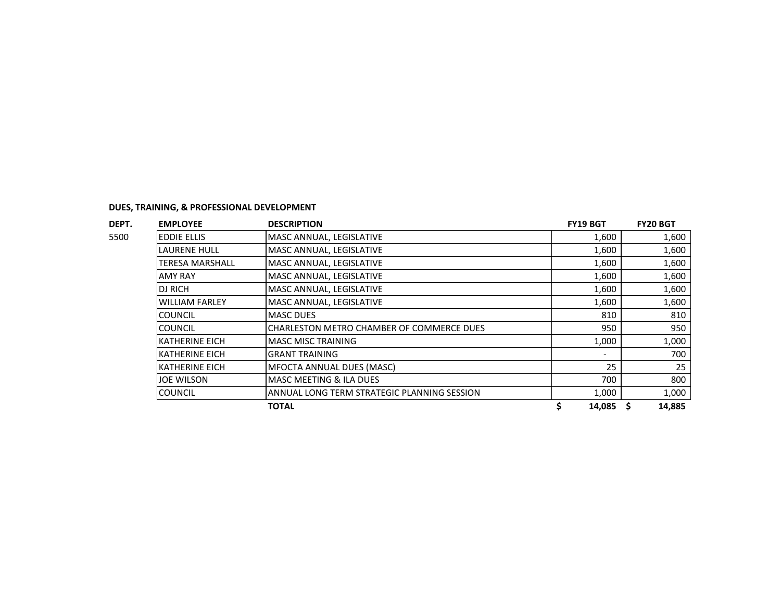|               | <b>EMPLOYEE</b>        | <b>DESCRIPTION</b>                          | <b>FY19 BGT</b>          | <b>FY20 BGT</b> |
|---------------|------------------------|---------------------------------------------|--------------------------|-----------------|
|               | <b>EDDIE ELLIS</b>     | MASC ANNUAL, LEGISLATIVE                    | 1,600                    | 1,600           |
|               | <b>LAURENE HULL</b>    | MASC ANNUAL, LEGISLATIVE                    | 1,600                    | 1,600           |
| DEPT.<br>5500 | <b>TERESA MARSHALL</b> | MASC ANNUAL, LEGISLATIVE                    | 1,600                    | 1,600           |
|               | <b>AMY RAY</b>         | MASC ANNUAL, LEGISLATIVE                    | 1,600                    | 1,600           |
|               | <b>DJ RICH</b>         | MASC ANNUAL, LEGISLATIVE                    | 1,600                    | 1,600           |
|               | <b>WILLIAM FARLEY</b>  | MASC ANNUAL, LEGISLATIVE                    | 1,600                    | 1,600           |
|               | <b>COUNCIL</b>         | <b>MASC DUES</b>                            | 810                      | 810             |
|               | <b>COUNCIL</b>         | CHARLESTON METRO CHAMBER OF COMMERCE DUES   | 950                      | 950             |
|               | <b>KATHERINE EICH</b>  | <b>MASC MISC TRAINING</b>                   | 1,000                    | 1,000           |
|               | <b>KATHERINE EICH</b>  | <b>GRANT TRAINING</b>                       | $\overline{\phantom{0}}$ | 700             |
|               | <b>KATHERINE EICH</b>  | <b>MFOCTA ANNUAL DUES (MASC)</b>            | 25                       | 25              |
|               | <b>JOE WILSON</b>      | <b>MASC MEETING &amp; ILA DUES</b>          | 700                      | 800             |
|               | <b>COUNCIL</b>         | ANNUAL LONG TERM STRATEGIC PLANNING SESSION | 1,000                    | 1,000           |
|               |                        | <b>TOTAL</b>                                | 14,085                   | 14,885          |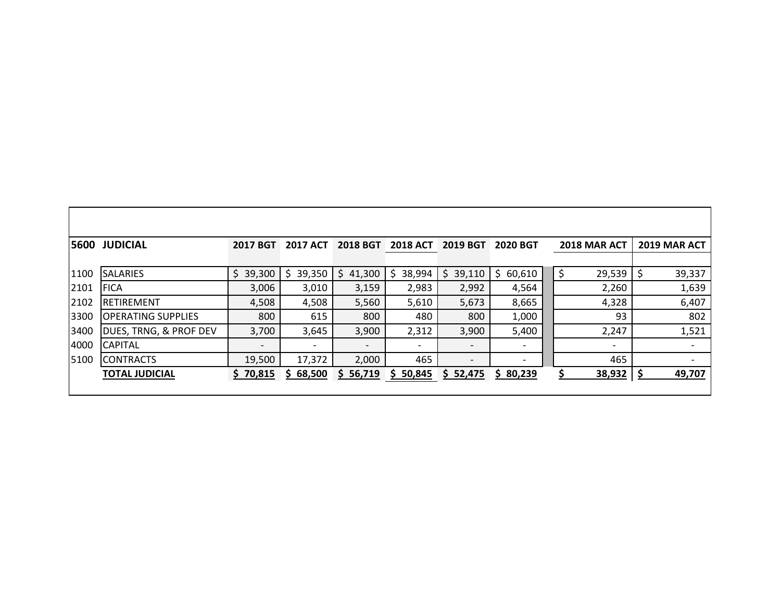|      | <b>5600 JUDICIAL</b>              | <b>2017 BGT</b> | <b>2017 ACT</b>          | <b>2018 BGT</b> | <b>2018 ACT</b> | <b>2019 BGT</b>          | <b>2020 BGT</b> | 2018 MAR ACT             |    | 2019 MAR ACT             |
|------|-----------------------------------|-----------------|--------------------------|-----------------|-----------------|--------------------------|-----------------|--------------------------|----|--------------------------|
|      |                                   |                 |                          |                 |                 |                          |                 |                          |    |                          |
| 1100 | <b>SALARIES</b>                   | \$<br>39,300    | 39,350                   | 41,300<br>S     | 38,994<br>\$    | 39,110<br>S              | \$60,610        | 29,539<br>\$             | -S | 39,337                   |
| 2101 | <b>FICA</b>                       | 3,006           | 3,010                    | 3,159           | 2,983           | 2,992                    | 4,564           | 2,260                    |    | 1,639                    |
| 2102 | <b>IRETIREMENT</b>                | 4,508           | 4,508                    | 5,560           | 5,610           | 5,673                    | 8,665           | 4,328                    |    | 6,407                    |
| 3300 | IOPERATING SUPPLIES               | 800             | 615                      | 800             | 480             | 800                      | 1,000           | 93                       |    | 802                      |
| 3400 | <b>DUES, TRNG, &amp; PROF DEV</b> | 3,700           | 3,645                    | 3,900           | 2,312           | 3,900                    | 5,400           | 2,247                    |    | 1,521                    |
| 4000 | <b>CAPITAL</b>                    | $\qquad \qquad$ | $\overline{\phantom{0}}$ |                 |                 | $\overline{\phantom{0}}$ |                 | $\overline{\phantom{a}}$ |    |                          |
| 5100 | <b>ICONTRACTS</b>                 | 19,500          | 17,372                   | 2,000           | 465             | $\overline{\phantom{a}}$ |                 | 465                      |    | $\overline{\phantom{a}}$ |
|      | <b>TOTAL JUDICIAL</b>             | \$70,815        | 68,500<br>S.             | \$56,719        | \$50,845        | \$52,475                 | \$80,239        | 38,932                   |    | 49,707                   |
|      |                                   |                 |                          |                 |                 |                          |                 |                          |    |                          |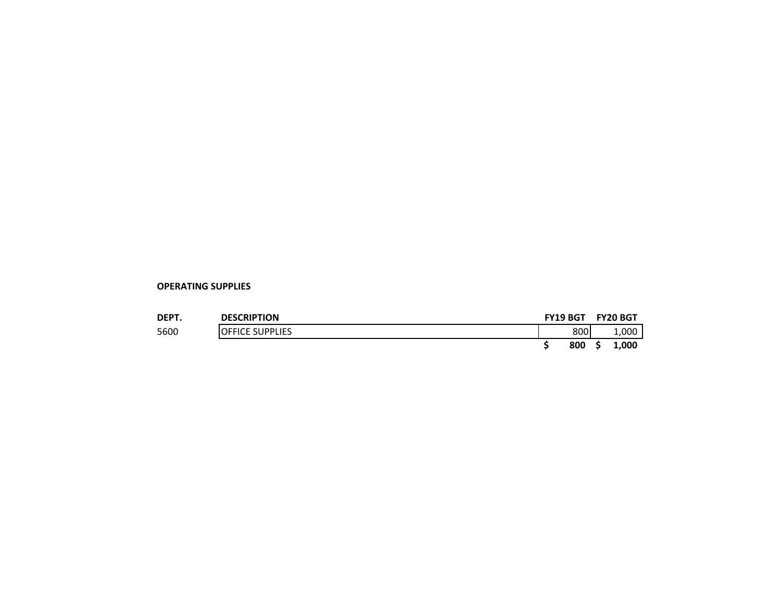| DEPT. | <b>DESCRIPTION</b>      | <b>FY19 BGT</b> | <b>FY20 BGT</b> |  |
|-------|-------------------------|-----------------|-----------------|--|
| 5600  | <b>IOFFICE SUPPLIES</b> | 800             | 1,000           |  |
|       |                         | 800             | 1.000<br>S      |  |

**OPERATING SUPPLIES**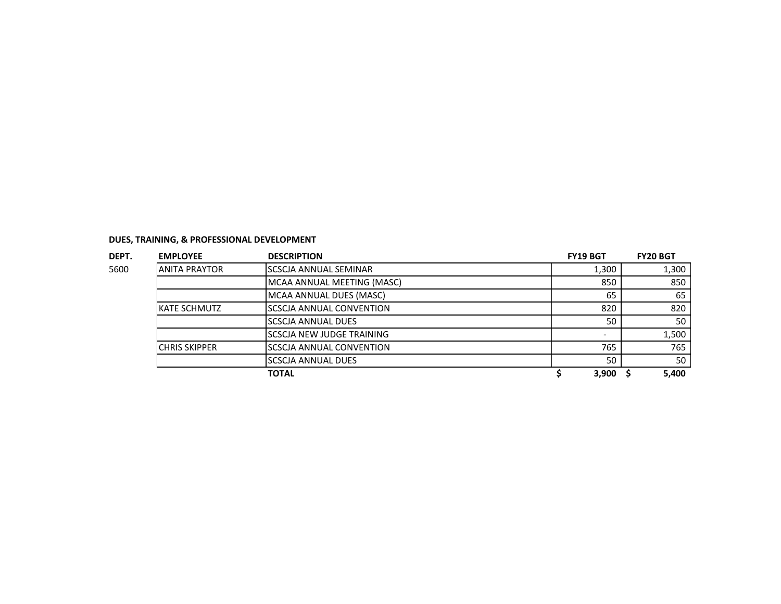| DEPT. | <b>EMPLOYEE</b>      | <b>DESCRIPTION</b>               | <b>FY19 BGT</b> | <b>FY20 BGT</b> |
|-------|----------------------|----------------------------------|-----------------|-----------------|
| 5600  | <b>ANITA PRAYTOR</b> | ISCSCJA ANNUAL SEMINAR           | 1,300           | 1,300           |
|       |                      | MCAA ANNUAL MEETING (MASC)       | 850             | 850             |
|       |                      | MCAA ANNUAL DUES (MASC)          | 65              | 65              |
|       | KATE SCHMUTZ         | <b>SCSCJA ANNUAL CONVENTION</b>  | 820             | 820             |
|       |                      | ISCSCJA ANNUAL DUES              | 50              | 50              |
|       |                      | <b>SCSCJA NEW JUDGE TRAINING</b> |                 | 1,500           |
|       | <b>CHRIS SKIPPER</b> | <b>SCSCJA ANNUAL CONVENTION</b>  | 765             | 765             |
|       |                      | <b>SCSCJA ANNUAL DUES</b>        | 50              | 50              |
|       |                      | <b>TOTAL</b>                     | 3,900           | 5,400           |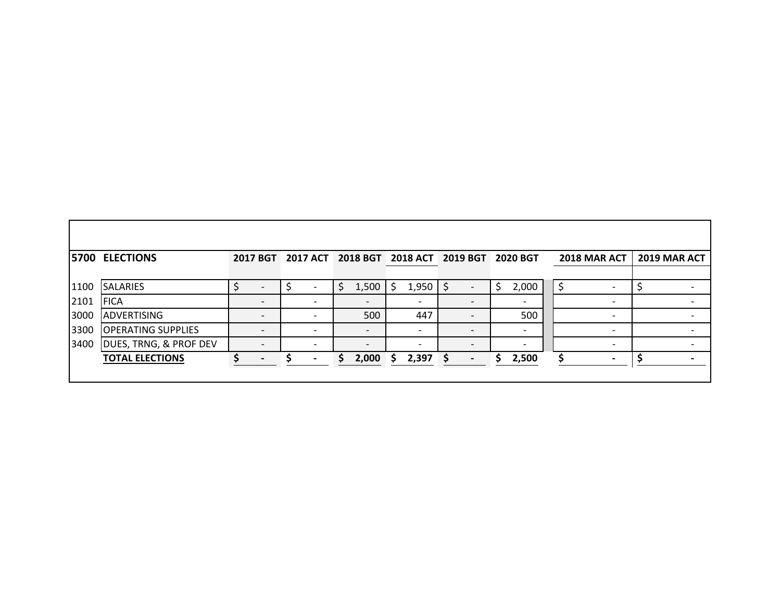|      | <b>5700 ELECTIONS</b>     |                          |                          |     |                          |    | 2017 BGT 2017 ACT 2018 BGT 2018 ACT 2019 BGT |          |                          | <b>2020 BGT</b>          | 2018 MAR ACT             | <b>2019 MAR ACT</b>      |
|------|---------------------------|--------------------------|--------------------------|-----|--------------------------|----|----------------------------------------------|----------|--------------------------|--------------------------|--------------------------|--------------------------|
|      |                           |                          |                          |     |                          |    |                                              |          |                          |                          |                          |                          |
| 1100 | <b>SALARIES</b>           |                          |                          | \$. | $1,500$   \$             |    | $1,950$   \$                                 |          |                          | 2,000                    |                          |                          |
| 2101 | <b>FICA</b>               | $\overline{\phantom{0}}$ | $\overline{\phantom{0}}$ |     |                          |    |                                              |          |                          |                          | $\overline{\phantom{0}}$ |                          |
| 3000 | <b>ADVERTISING</b>        |                          | $\overline{\phantom{0}}$ |     | 500                      |    | 447                                          |          |                          | 500                      | $\overline{\phantom{0}}$ |                          |
| 3300 | <b>OPERATING SUPPLIES</b> | $\overline{\phantom{a}}$ | $\overline{\phantom{0}}$ |     | $\overline{\phantom{0}}$ |    | $\overline{\phantom{0}}$                     |          | $\overline{\phantom{0}}$ | $\overline{\phantom{a}}$ | $\overline{\phantom{0}}$ | $\overline{\phantom{0}}$ |
| 3400 | DUES, TRNG, & PROF DEV    | $\overline{\phantom{0}}$ | $\overline{\phantom{0}}$ |     | $\overline{\phantom{0}}$ |    | $\overline{\phantom{0}}$                     |          | $\overline{\phantom{0}}$ |                          | $\overline{\phantom{0}}$ |                          |
|      | <b>TOTAL ELECTIONS</b>    |                          |                          |     | 2,000                    | S. | 2,397                                        | <b>S</b> | $\overline{\phantom{a}}$ | 2,500                    |                          |                          |
|      |                           |                          |                          |     |                          |    |                                              |          |                          |                          |                          |                          |

Г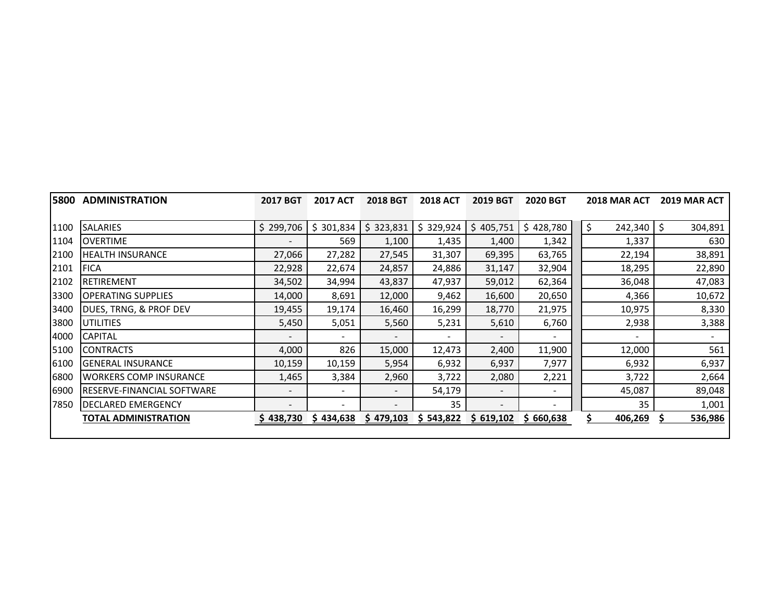| 5800 | <b>ADMINISTRATION</b>         | <b>2017 BGT</b>          | <b>2017 ACT</b>          | <b>2018 BGT</b>          | <b>2018 ACT</b> | <b>2019 BGT</b>          | <b>2020 BGT</b> | 2018 MAR ACT  | <b>2019 MAR ACT</b> |
|------|-------------------------------|--------------------------|--------------------------|--------------------------|-----------------|--------------------------|-----------------|---------------|---------------------|
|      |                               |                          |                          |                          |                 |                          |                 |               |                     |
| 1100 | <b>SALARIES</b>               | \$299,706                | \$301,834                | \$323,831                | \$329,924       | 405,751<br>Ś             | \$428,780       | \$<br>242,340 | Ŝ.<br>304,891       |
| 1104 | <b>OVERTIME</b>               | -                        | 569                      | 1,100                    | 1,435           | 1,400                    | 1,342           | 1,337         | 630                 |
| 2100 | <b>HEALTH INSURANCE</b>       | 27,066                   | 27,282                   | 27,545                   | 31,307          | 69,395                   | 63,765          | 22,194        | 38,891              |
| 2101 | <b>FICA</b>                   | 22,928                   | 22,674                   | 24,857                   | 24,886          | 31,147                   | 32,904          | 18,295        | 22,890              |
| 2102 | <b>RETIREMENT</b>             | 34,502                   | 34,994                   | 43,837                   | 47,937          | 59,012                   | 62,364          | 36,048        | 47,083              |
| 3300 | <b>OPERATING SUPPLIES</b>     | 14,000                   | 8,691                    | 12,000                   | 9,462           | 16,600                   | 20,650          | 4,366         | 10,672              |
| 3400 | DUES, TRNG, & PROF DEV        | 19,455                   | 19,174                   | 16,460                   | 16,299          | 18,770                   | 21,975          | 10,975        | 8,330               |
| 3800 | <b>UTILITIES</b>              | 5,450                    | 5,051                    | 5,560                    | 5,231           | 5,610                    | 6,760           | 2,938         | 3,388               |
| 4000 | <b>CAPITAL</b>                | -                        | $\overline{\phantom{a}}$ | $\overline{\phantom{a}}$ |                 |                          |                 |               |                     |
| 5100 | <b>CONTRACTS</b>              | 4,000                    | 826                      | 15,000                   | 12,473          | 2,400                    | 11,900          | 12,000        | 561                 |
| 6100 | <b>GENERAL INSURANCE</b>      | 10,159                   | 10,159                   | 5,954                    | 6,932           | 6,937                    | 7,977           | 6,932         | 6,937               |
| 6800 | <b>WORKERS COMP INSURANCE</b> | 1,465                    | 3,384                    | 2,960                    | 3,722           | 2,080                    | 2,221           | 3,722         | 2,664               |
| 6900 | IRESERVE-FINANCIAL SOFTWARE   | $\overline{\phantom{a}}$ | -                        | $\overline{\phantom{a}}$ | 54,179          |                          |                 | 45,087        | 89,048              |
| 7850 | <b>DECLARED EMERGENCY</b>     | $\overline{\phantom{a}}$ | -                        | $\overline{\phantom{a}}$ | 35              | $\overline{\phantom{a}}$ | -               | 35            | 1,001               |
|      | <b>TOTAL ADMINISTRATION</b>   | \$438,730                | \$434,638                | \$479,103                | \$543,822       | \$619,102                | \$660,638       | 406,269       | 536,986             |
|      |                               |                          |                          |                          |                 |                          |                 |               |                     |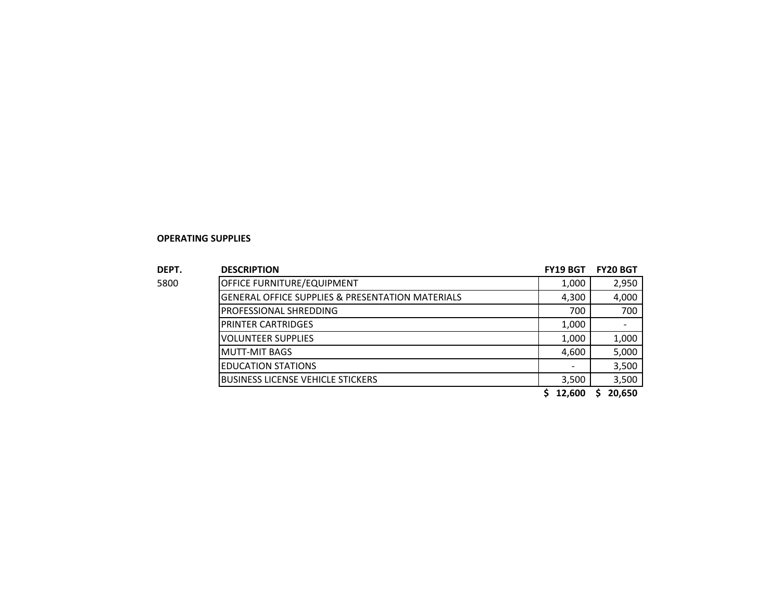#### **OPERATING SUPPLIES**

| DEPT. | <b>DESCRIPTION</b>                                          | <b>FY19 BGT</b> | <b>FY20 BGT</b> |
|-------|-------------------------------------------------------------|-----------------|-----------------|
| 5800  | OFFICE FURNITURE/EQUIPMENT                                  | 1,000           | 2,950           |
|       | <b>GENERAL OFFICE SUPPLIES &amp; PRESENTATION MATERIALS</b> | 4,300           | 4,000           |
|       | <b>PROFESSIONAL SHREDDING</b>                               | 700             | 700             |
|       | <b>PRINTER CARTRIDGES</b>                                   | 1,000           |                 |
|       | <b>VOLUNTEER SUPPLIES</b>                                   | 1,000           | 1,000           |
|       | <b>MUTT-MIT BAGS</b>                                        | 4,600           | 5,000           |
|       | <b>EDUCATION STATIONS</b>                                   |                 | 3,500           |
|       | <b>BUSINESS LICENSE VEHICLE STICKERS</b>                    | 3,500           | 3,500           |
|       |                                                             | 12,600          | 20,650          |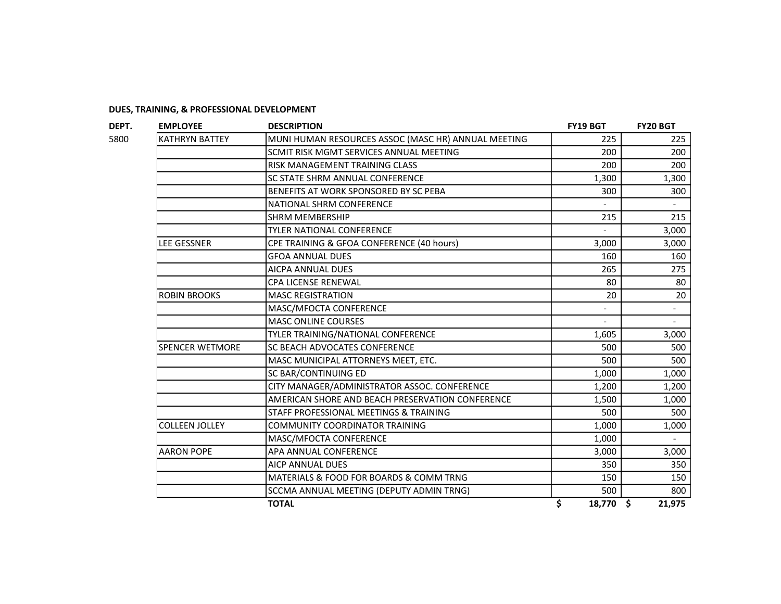|                        | <b>DESCRIPTION</b><br><b>EMPLOYEE</b>               |                 |        |  |
|------------------------|-----------------------------------------------------|-----------------|--------|--|
| <b>KATHRYN BATTEY</b>  | MUNI HUMAN RESOURCES ASSOC (MASC HR) ANNUAL MEETING | 225             | 225    |  |
|                        | SCMIT RISK MGMT SERVICES ANNUAL MEETING             | 200             | 200    |  |
|                        | <b>RISK MANAGEMENT TRAINING CLASS</b>               | 200             | 200    |  |
|                        | <b>SC STATE SHRM ANNUAL CONFERENCE</b>              | 1,300           | 1,300  |  |
|                        | BENEFITS AT WORK SPONSORED BY SC PEBA               | 300             | 300    |  |
|                        | NATIONAL SHRM CONFERENCE                            |                 |        |  |
|                        | <b>SHRM MEMBERSHIP</b>                              | 215             | 215    |  |
|                        | <b>TYLER NATIONAL CONFERENCE</b>                    |                 | 3,000  |  |
| LEE GESSNER            | CPE TRAINING & GFOA CONFERENCE (40 hours)           | 3,000           | 3,000  |  |
|                        | <b>GFOA ANNUAL DUES</b>                             | 160             | 160    |  |
|                        | <b>AICPA ANNUAL DUES</b>                            | 265             | 275    |  |
|                        | <b>CPA LICENSE RENEWAL</b>                          | 80              | 80     |  |
| <b>ROBIN BROOKS</b>    | <b>MASC REGISTRATION</b>                            | 20              | 20     |  |
|                        | MASC/MFOCTA CONFERENCE                              |                 |        |  |
|                        | <b>MASC ONLINE COURSES</b>                          |                 |        |  |
|                        | TYLER TRAINING/NATIONAL CONFERENCE                  | 1,605           | 3,000  |  |
| <b>SPENCER WETMORE</b> | SC BEACH ADVOCATES CONFERENCE                       | 500             | 500    |  |
|                        | MASC MUNICIPAL ATTORNEYS MEET, ETC.                 | 500             | 500    |  |
|                        | SC BAR/CONTINUING ED                                | 1,000           | 1,000  |  |
|                        | CITY MANAGER/ADMINISTRATOR ASSOC. CONFERENCE        | 1,200           | 1,200  |  |
|                        | AMERICAN SHORE AND BEACH PRESERVATION CONFERENCE    | 1,500           | 1,000  |  |
|                        | STAFF PROFESSIONAL MEETINGS & TRAINING              | 500             | 500    |  |
| <b>COLLEEN JOLLEY</b>  | <b>COMMUNITY COORDINATOR TRAINING</b>               | 1,000           | 1,000  |  |
|                        | MASC/MFOCTA CONFERENCE                              | 1,000           |        |  |
| <b>AARON POPE</b>      | APA ANNUAL CONFERENCE                               | 3,000           | 3,000  |  |
|                        | AICP ANNUAL DUES                                    | 350             | 350    |  |
|                        | MATERIALS & FOOD FOR BOARDS & COMM TRNG             | 150             | 150    |  |
|                        | SCCMA ANNUAL MEETING (DEPUTY ADMIN TRNG)            | 500             | 800    |  |
|                        | <b>TOTAL</b>                                        | \$<br>18,770 \$ | 21,975 |  |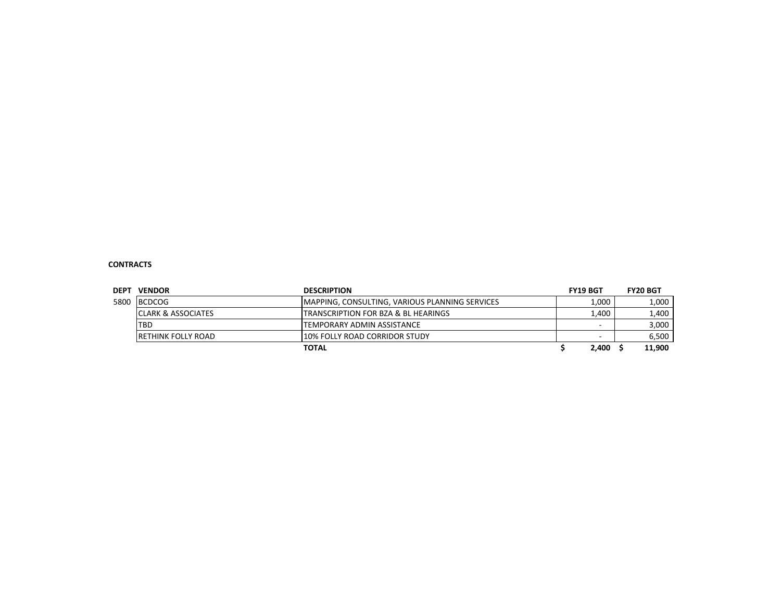#### **CONTRACTS**

| <b>DEPT</b> | <b>VENDOR</b>                 | <b>DESCRIPTION</b>                                     | <b>FY19 BGT</b> | <b>FY20 BGT</b> |
|-------------|-------------------------------|--------------------------------------------------------|-----------------|-----------------|
| 5800        | <b>BCDCOG</b>                 | <b>IMAPPING, CONSULTING, VARIOUS PLANNING SERVICES</b> | 1,000           | 1,000           |
|             | <b>CLARK &amp; ASSOCIATES</b> | <b>ITRANSCRIPTION FOR BZA &amp; BL HEARINGS</b>        | 1,400           | 1,400           |
|             | <b>TBD</b>                    | ITEMPORARY ADMIN ASSISTANCE                            |                 | 3,000           |
|             | <b>IRETHINK FOLLY ROAD</b>    | 10% FOLLY ROAD CORRIDOR STUDY                          |                 | 6,500           |
|             |                               | TOTAL                                                  | 2,400           | 11,900          |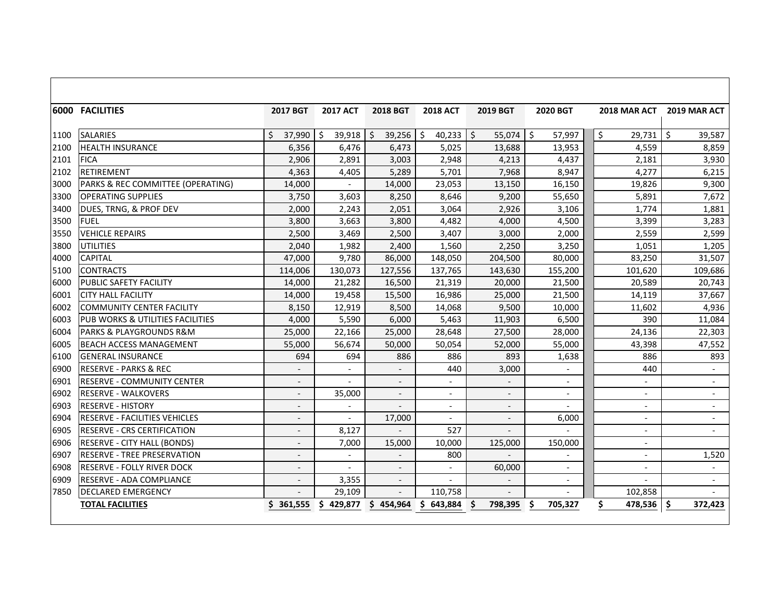|      | <b>6000 FACILITIES</b>               | 2017 BGT                 | <b>2017 ACT</b>          | <b>2018 BGT</b>          | <b>2018 ACT</b>          | 2019 BGT     | 2020 BGT                 | <b>2018 MAR ACT</b> | 2019 MAR ACT             |
|------|--------------------------------------|--------------------------|--------------------------|--------------------------|--------------------------|--------------|--------------------------|---------------------|--------------------------|
| 1100 | <b>SALARIES</b>                      | Ŝ.<br>37,990             | \$<br>39,918             | $\zeta$<br>39,256        | \$<br>40,233             | \$<br>55,074 | Ŝ.<br>57,997             | $\zeta$<br>29,731   | Ś.<br>39,587             |
| 2100 | <b>HEALTH INSURANCE</b>              | 6,356                    | 6,476                    | 6,473                    | 5,025                    | 13,688       | 13,953                   | 4,559               | 8,859                    |
| 2101 | <b>FICA</b>                          | 2,906                    | 2,891                    | 3,003                    | 2,948                    | 4,213        | 4,437                    | 2,181               | 3,930                    |
| 2102 | <b>RETIREMENT</b>                    | 4,363                    | 4,405                    | 5,289                    | 5,701                    | 7,968        | 8,947                    | 4,277               | 6,215                    |
| 3000 | PARKS & REC COMMITTEE (OPERATING)    | 14,000                   |                          | 14,000                   | 23,053                   | 13,150       | 16,150                   | 19,826              | 9,300                    |
| 3300 | <b>OPERATING SUPPLIES</b>            | 3,750                    | 3,603                    | 8,250                    | 8,646                    | 9,200        | 55,650                   | 5,891               | 7,672                    |
| 3400 | DUES, TRNG, & PROF DEV               | 2,000                    | 2,243                    | 2,051                    | 3,064                    | 2,926        | 3,106                    | 1,774               | 1,881                    |
| 3500 | <b>FUEL</b>                          | 3,800                    | 3,663                    | 3,800                    | 4,482                    | 4,000        | 4,500                    | 3,399               | 3,283                    |
| 3550 | <b>VEHICLE REPAIRS</b>               | 2,500                    | 3,469                    | 2,500                    | 3,407                    | 3,000        | 2,000                    | 2,559               | 2,599                    |
| 3800 | <b>UTILITIES</b>                     | 2,040                    | 1,982                    | 2,400                    | 1,560                    | 2,250        | 3,250                    | 1,051               | 1,205                    |
| 4000 | <b>CAPITAL</b>                       | 47,000                   | 9,780                    | 86,000                   | 148,050                  | 204,500      | 80,000                   | 83,250              | 31,507                   |
| 5100 | <b>CONTRACTS</b>                     | 114,006                  | 130,073                  | 127,556                  | 137,765                  | 143,630      | 155,200                  | 101,620             | 109,686                  |
| 6000 | PUBLIC SAFETY FACILITY               | 14,000                   | 21,282                   | 16,500                   | 21,319                   | 20,000       | 21,500                   | 20,589              | 20,743                   |
| 6001 | <b>CITY HALL FACILITY</b>            | 14,000                   | 19,458                   | 15,500                   | 16,986                   | 25,000       | 21,500                   | 14,119              | 37,667                   |
| 6002 | <b>COMMUNITY CENTER FACILITY</b>     | 8,150                    | 12,919                   | 8,500                    | 14,068                   | 9,500        | 10,000                   | 11,602              | 4,936                    |
| 6003 | PUB WORKS & UTILITIES FACILITIES     | 4,000                    | 5,590                    | 6,000                    | 5,463                    | 11,903       | 6,500                    | 390                 | 11,084                   |
| 6004 | PARKS & PLAYGROUNDS R&M              | 25,000                   | 22,166                   | 25,000                   | 28,648                   | 27,500       | 28,000                   | 24,136              | 22,303                   |
| 6005 | <b>BEACH ACCESS MANAGEMENT</b>       | 55,000                   | 56,674                   | 50,000                   | 50.054                   | 52,000       | 55,000                   | 43,398              | 47,552                   |
| 6100 | <b>GENERAL INSURANCE</b>             | 694                      | 694                      | 886                      | 886                      | 893          | 1,638                    | 886                 | 893                      |
| 6900 | <b>RESERVE - PARKS &amp; REC</b>     |                          |                          |                          | 440                      | 3,000        |                          | 440                 |                          |
| 6901 | RESERVE - COMMUNITY CENTER           | $\overline{\phantom{a}}$ |                          |                          | $\overline{\phantom{a}}$ |              | $\overline{\phantom{a}}$ |                     | $\overline{\phantom{a}}$ |
| 6902 | <b>RESERVE - WALKOVERS</b>           |                          | 35,000                   |                          |                          |              | $\overline{\phantom{a}}$ |                     |                          |
| 6903 | <b>RESERVE - HISTORY</b>             |                          |                          |                          | $\sim$                   |              |                          |                     |                          |
| 6904 | <b>RESERVE - FACILITIES VEHICLES</b> |                          |                          | 17,000                   | $\overline{\phantom{a}}$ |              | 6,000                    |                     |                          |
| 6905 | <b>RESERVE - CRS CERTIFICATION</b>   |                          | 8,127                    |                          | 527                      |              |                          |                     |                          |
| 6906 | <b>RESERVE - CITY HALL (BONDS)</b>   |                          | 7,000                    | 15,000                   | 10,000                   | 125,000      | 150,000                  |                     |                          |
| 6907 | <b>RESERVE - TREE PRESERVATION</b>   | $\overline{\phantom{a}}$ | $\overline{\phantom{a}}$ |                          | 800                      |              |                          |                     | 1,520                    |
| 6908 | <b>RESERVE - FOLLY RIVER DOCK</b>    | $\overline{a}$           | $\overline{a}$           |                          | $\overline{a}$           | 60,000       | $\overline{\phantom{a}}$ |                     |                          |
| 6909 | RESERVE - ADA COMPLIANCE             | $\overline{\phantom{a}}$ | 3,355                    | $\overline{\phantom{a}}$ | $\overline{a}$           |              | $\overline{\phantom{a}}$ |                     | $\sim$                   |
| 7850 | <b>DECLARED EMERGENCY</b>            |                          | 29,109                   |                          | 110,758                  |              |                          | 102,858             |                          |
|      | <b>TOTAL FACILITIES</b>              | \$361,555                | S<br>429,877             | 454,964<br>S.            | 643,884<br>S             | 798,395      | 705,327<br>S             | Ś.<br>478,536       | Ś<br>372,423             |

 $\blacksquare$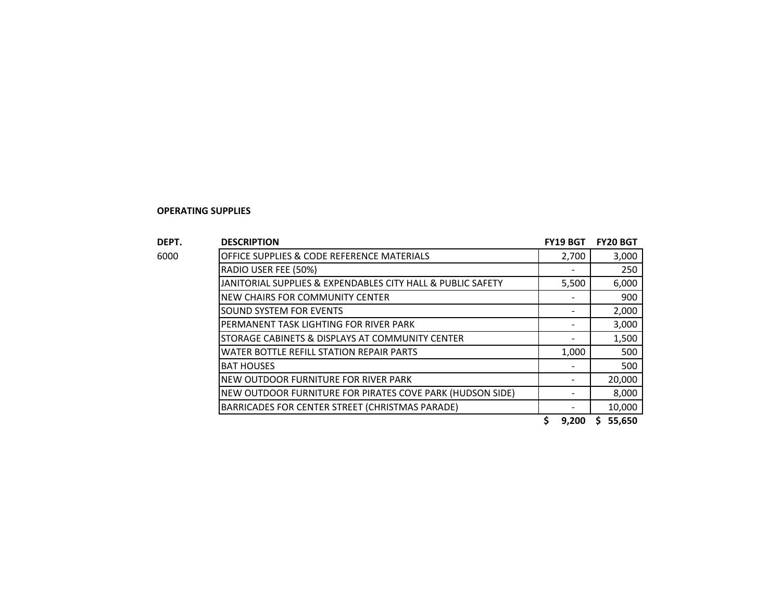#### **OPERATING SUPPLIES**

| DEPT. | <b>DESCRIPTION</b>                                          | FY19 BGT | <b>FY20 BGT</b> |
|-------|-------------------------------------------------------------|----------|-----------------|
| 6000  | OFFICE SUPPLIES & CODE REFERENCE MATERIALS                  | 2,700    | 3,000           |
|       | RADIO USER FEE (50%)                                        |          | 250             |
|       | JANITORIAL SUPPLIES & EXPENDABLES CITY HALL & PUBLIC SAFETY | 5,500    | 6,000           |
|       | NEW CHAIRS FOR COMMUNITY CENTER                             |          | 900             |
|       | SOUND SYSTEM FOR EVENTS                                     |          | 2,000           |
|       | PERMANENT TASK LIGHTING FOR RIVER PARK                      |          | 3,000           |
|       | STORAGE CABINETS & DISPLAYS AT COMMUNITY CENTER             |          | 1,500           |
|       | WATER BOTTLE REFILL STATION REPAIR PARTS                    | 1,000    | 500             |
|       | <b>BAT HOUSES</b>                                           |          | 500             |
|       | NEW OUTDOOR FURNITURE FOR RIVER PARK                        |          | 20,000          |
|       | NEW OUTDOOR FURNITURE FOR PIRATES COVE PARK (HUDSON SIDE)   |          | 8,000           |
|       | BARRICADES FOR CENTER STREET (CHRISTMAS PARADE)             |          | 10,000          |
|       |                                                             | 9,200    | 55,650<br>S     |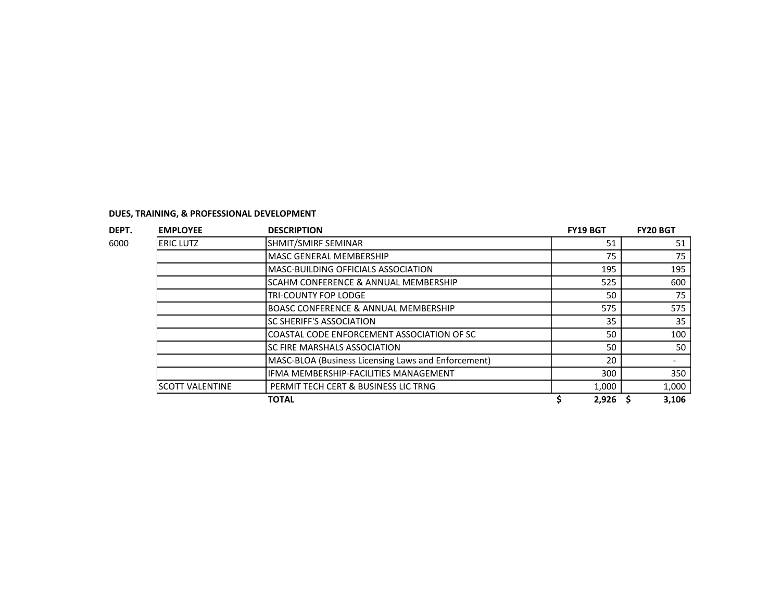| <b>EMPLOYEE</b>          | <b>DESCRIPTION</b>                                  | <b>FY19 BGT</b> | <b>FY20 BGT</b> |       |
|--------------------------|-----------------------------------------------------|-----------------|-----------------|-------|
| <b>ERIC LUTZ</b>         | SHMIT/SMIRF SEMINAR                                 | 51              |                 | 51    |
|                          | <b>MASC GENERAL MEMBERSHIP</b>                      | 75              |                 | 75    |
|                          | <b>MASC-BUILDING OFFICIALS ASSOCIATION</b>          | 195             |                 | 195   |
|                          | SCAHM CONFERENCE & ANNUAL MEMBERSHIP                | 525             |                 | 600   |
|                          | <b>TRI-COUNTY FOP LODGE</b>                         | 50              |                 | 75    |
|                          | <b>BOASC CONFERENCE &amp; ANNUAL MEMBERSHIP</b>     | 575             |                 | 575   |
|                          | <b>ISC SHERIFF'S ASSOCIATION</b>                    | 35              |                 | 35    |
|                          | COASTAL CODE ENFORCEMENT ASSOCIATION OF SC          | 50              |                 | 100   |
|                          | ISC FIRE MARSHALS ASSOCIATION                       | 50              |                 | 50    |
|                          | MASC-BLOA (Business Licensing Laws and Enforcement) | 20              |                 |       |
|                          | IFMA MEMBERSHIP-FACILITIES MANAGEMENT               | 300             |                 | 350   |
| <b>I</b> SCOTT VALENTINE | PERMIT TECH CERT & BUSINESS LIC TRNG                | 1,000           |                 | 1,000 |
|                          | <b>TOTAL</b>                                        | 2,926           |                 | 3,106 |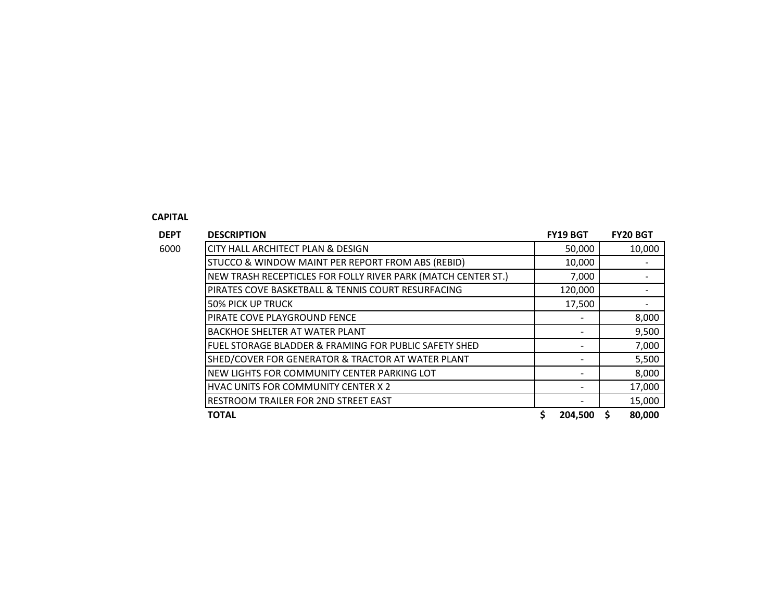#### **CAPITAL**

| <b>DEPT</b> | <b>DESCRIPTION</b>                                            | <b>FY19 BGT</b> | <b>FY20 BGT</b> |
|-------------|---------------------------------------------------------------|-----------------|-----------------|
| 6000        | <b>CITY HALL ARCHITECT PLAN &amp; DESIGN</b>                  | 50,000          | 10,000          |
|             | STUCCO & WINDOW MAINT PER REPORT FROM ABS (REBID)             | 10,000          |                 |
|             | NEW TRASH RECEPTICLES FOR FOLLY RIVER PARK (MATCH CENTER ST.) | 7,000           |                 |
|             | PIRATES COVE BASKETBALL & TENNIS COURT RESURFACING            | 120,000         |                 |
|             | <b>50% PICK UP TRUCK</b>                                      | 17,500          |                 |
|             | PIRATE COVE PLAYGROUND FENCE                                  |                 | 8,000           |
|             | <b>BACKHOE SHELTER AT WATER PLANT</b>                         |                 | 9,500           |
|             | FUEL STORAGE BLADDER & FRAMING FOR PUBLIC SAFETY SHED         |                 | 7,000           |
|             | SHED/COVER FOR GENERATOR & TRACTOR AT WATER PLANT             |                 | 5,500           |
|             | NEW LIGHTS FOR COMMUNITY CENTER PARKING LOT                   |                 | 8,000           |
|             | HVAC UNITS FOR COMMUNITY CENTER X 2                           |                 | 17,000          |
|             | <b>RESTROOM TRAILER FOR 2ND STREET EAST</b>                   |                 | 15,000          |
|             | <b>TOTAL</b>                                                  | 204,500         | 80,000          |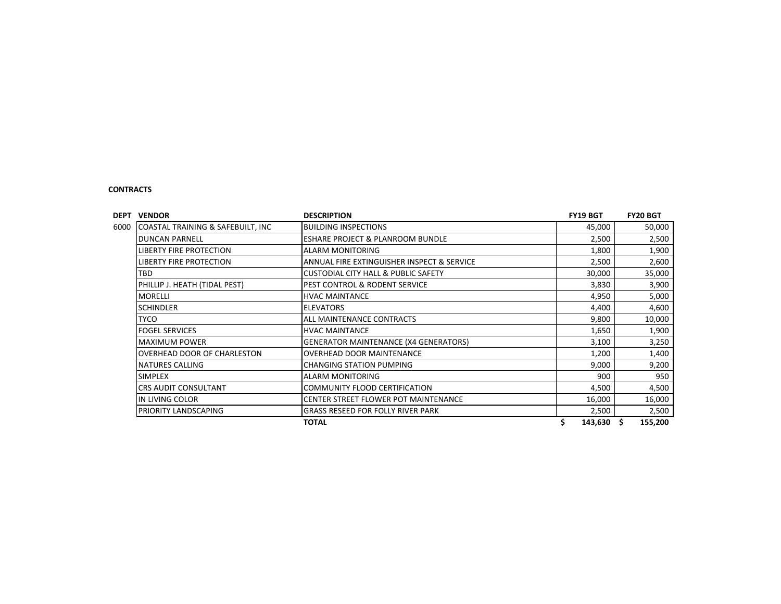#### **CONTRACTS**

| <b>DESCRIPTION</b><br><b>VENDOR</b>       | <b>FY19 BGT</b>                                | <b>FY20 BGT</b> |                |
|-------------------------------------------|------------------------------------------------|-----------------|----------------|
| COASTAL TRAINING & SAFEBUILT, INC<br>6000 | <b>BUILDING INSPECTIONS</b>                    | 45,000          | 50,000         |
| IDUNCAN PARNELL                           | <b>ESHARE PROJECT &amp; PLANROOM BUNDLE</b>    | 2,500           | 2,500          |
| <b>LIBERTY FIRE PROTECTION</b>            | <b>ALARM MONITORING</b>                        | 1,800           | 1,900          |
| <b>LIBERTY FIRE PROTECTION</b>            | ANNUAL FIRE EXTINGUISHER INSPECT & SERVICE     | 2,500           | 2,600          |
| <b>TBD</b>                                | <b>CUSTODIAL CITY HALL &amp; PUBLIC SAFETY</b> | 30,000          | 35,000         |
| PHILLIP J. HEATH (TIDAL PEST)             | PEST CONTROL & RODENT SERVICE                  | 3,830           | 3,900          |
| <b>MORELLI</b>                            | <b>HVAC MAINTANCE</b>                          | 4,950           | 5,000          |
| <b>SCHINDLER</b>                          | <b>ELEVATORS</b>                               | 4,400           | 4,600          |
| <b>TYCO</b>                               | ALL MAINTENANCE CONTRACTS                      | 9,800           | 10,000         |
| <b>FOGEL SERVICES</b>                     | <b>HVAC MAINTANCE</b>                          | 1,650           | 1,900          |
| <b>MAXIMUM POWER</b>                      | <b>GENERATOR MAINTENANCE (X4 GENERATORS)</b>   | 3,100           | 3,250          |
| OVERHEAD DOOR OF CHARLESTON               | OVERHEAD DOOR MAINTENANCE                      | 1,200           | 1,400          |
| <b>NATURES CALLING</b>                    | <b>CHANGING STATION PUMPING</b>                | 9,000           | 9,200          |
| <b>SIMPLEX</b>                            | <b>ALARM MONITORING</b>                        | 900             | 950            |
| <b>CRS AUDIT CONSULTANT</b>               | <b>COMMUNITY FLOOD CERTIFICATION</b>           | 4,500           | 4,500          |
| IN LIVING COLOR                           | CENTER STREET FLOWER POT MAINTENANCE           | 16,000          | 16,000         |
| PRIORITY LANDSCAPING                      | <b>GRASS RESEED FOR FOLLY RIVER PARK</b>       | 2,500           | 2,500          |
|                                           | <b>TOTAL</b>                                   | \$<br>143,630   | \$.<br>155,200 |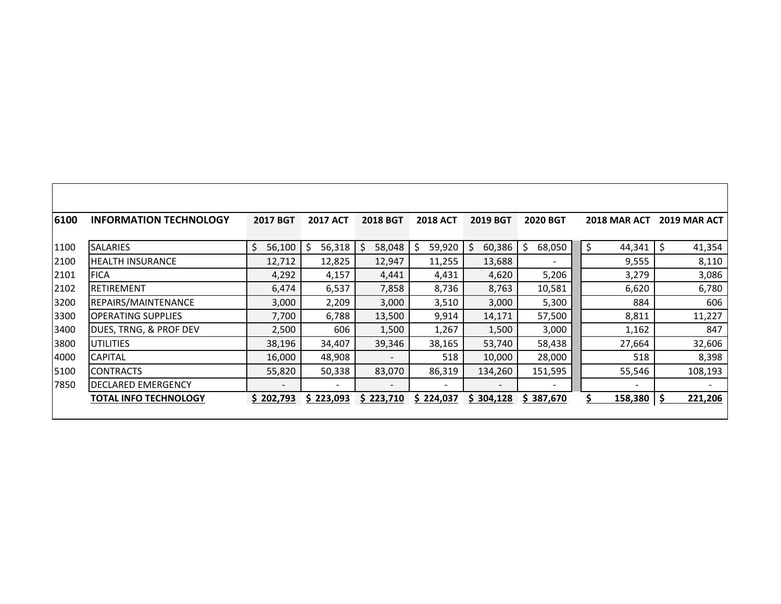| 6100 | <b>INFORMATION TECHNOLOGY</b> | <b>2017 BGT</b> | <b>2017 ACT</b>   | <b>2018 BGT</b> | <b>2018 ACT</b> | <b>2019 BGT</b>   | <b>2020 BGT</b> | <b>2018 MAR ACT</b> | <b>2019 MAR ACT</b> |
|------|-------------------------------|-----------------|-------------------|-----------------|-----------------|-------------------|-----------------|---------------------|---------------------|
| 1100 | <b>SALARIES</b>               | \$<br>56,100    | $\zeta$<br>56,318 | \$<br>58,048    | \$<br>59,920    | $\zeta$<br>60,386 | \$<br>68,050    | \$<br>44,341        | 41,354              |
| 2100 | <b>HEALTH INSURANCE</b>       | 12,712          | 12,825            | 12,947          | 11,255          | 13,688            |                 | 9,555               | 8,110               |
| 2101 | <b>FICA</b>                   | 4,292           | 4,157             | 4,441           | 4,431           | 4,620             | 5,206           | 3,279               | 3,086               |
| 2102 | <b>RETIREMENT</b>             | 6,474           | 6,537             | 7,858           | 8,736           | 8,763             | 10,581          | 6,620               | 6,780               |
| 3200 | REPAIRS/MAINTENANCE           | 3,000           | 2,209             | 3,000           | 3,510           | 3,000             | 5,300           | 884                 | 606                 |
| 3300 | <b>OPERATING SUPPLIES</b>     | 7,700           | 6,788             | 13,500          | 9,914           | 14,171            | 57,500          | 8,811               | 11,227              |
| 3400 | DUES, TRNG, & PROF DEV        | 2,500           | 606               | 1,500           | 1,267           | 1,500             | 3,000           | 1,162               | 847                 |
| 3800 | UTILITIES                     | 38,196          | 34,407            | 39,346          | 38,165          | 53,740            | 58,438          | 27,664              | 32,606              |
| 4000 | <b>CAPITAL</b>                | 16,000          | 48,908            |                 | 518             | 10,000            | 28,000          | 518                 | 8,398               |
| 5100 | <b>CONTRACTS</b>              | 55,820          | 50,338            | 83,070          | 86,319          | 134,260           | 151,595         | 55,546              | 108,193             |
| 7850 | DECLARED EMERGENCY            |                 |                   |                 |                 |                   |                 |                     |                     |
|      | TOTAL INFO TECHNOLOGY         | \$202,793       | \$223,093         | \$223,710       | \$224,037       | \$304,128         | \$387,670       | $158,380$ \$        | 221,206             |

Г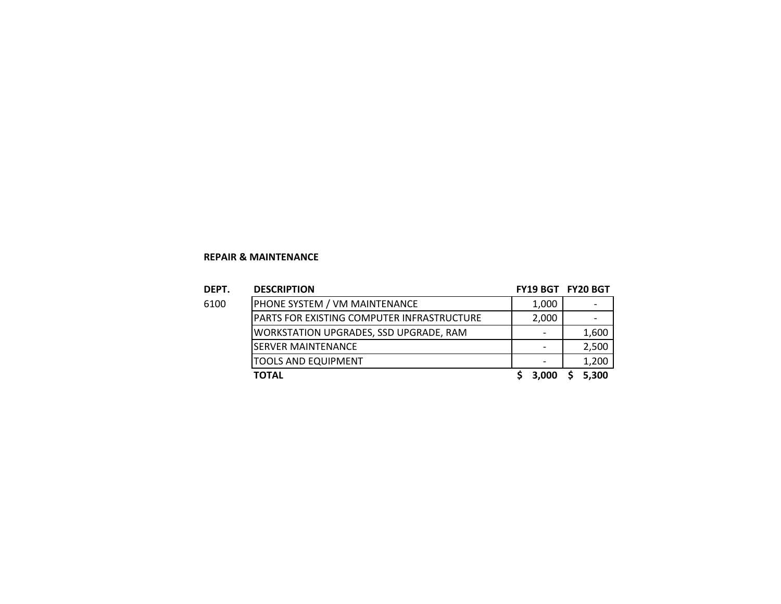#### **REPAIR & MAINTENANCE**

| DEPT. | <b>DESCRIPTION</b>                         | FY19 BGT FY20 BGT        |       |
|-------|--------------------------------------------|--------------------------|-------|
| 6100  | PHONE SYSTEM / VM MAINTENANCE              | 1,000                    |       |
|       | PARTS FOR EXISTING COMPUTER INFRASTRUCTURE | 2,000                    |       |
|       | WORKSTATION UPGRADES, SSD UPGRADE, RAM     |                          | 1,600 |
|       | <b>SERVER MAINTENANCE</b>                  | $\overline{\phantom{0}}$ | 2,500 |
|       | <b>TOOLS AND EQUIPMENT</b>                 |                          | 1,200 |
|       | <b>TOTAL</b>                               | 3,000                    | 5,300 |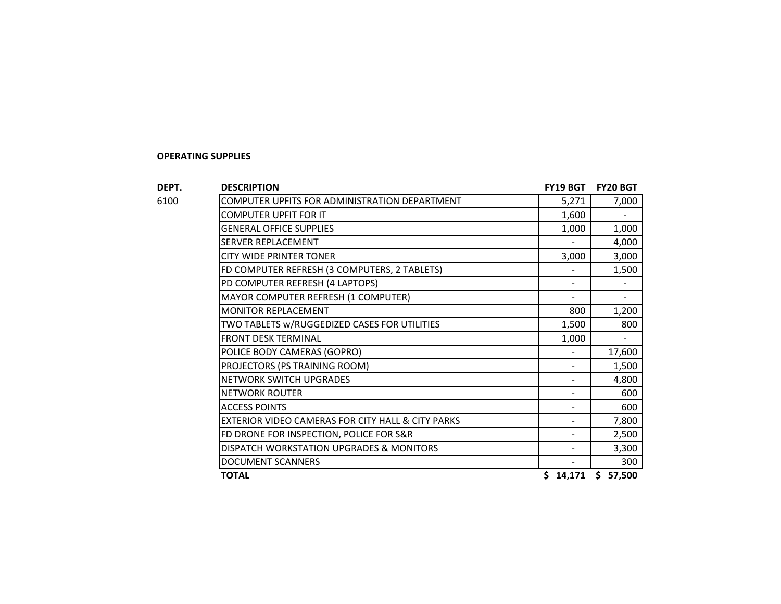#### **OPERATING SUPPLIES**

| DEPT. | <b>DESCRIPTION</b>                                | FY19 BGT | FY20 BGT      |
|-------|---------------------------------------------------|----------|---------------|
| 6100  | COMPUTER UPFITS FOR ADMINISTRATION DEPARTMENT     | 5,271    | 7,000         |
|       | COMPUTER UPFIT FOR IT                             | 1,600    |               |
|       | <b>GENERAL OFFICE SUPPLIES</b>                    | 1,000    | 1,000         |
|       | SERVER REPLACEMENT                                |          | 4,000         |
|       | <b>CITY WIDE PRINTER TONER</b>                    | 3,000    | 3,000         |
|       | FD COMPUTER REFRESH (3 COMPUTERS, 2 TABLETS)      |          | 1,500         |
|       | PD COMPUTER REFRESH (4 LAPTOPS)                   |          |               |
|       | MAYOR COMPUTER REFRESH (1 COMPUTER)               |          |               |
|       | <b>MONITOR REPLACEMENT</b>                        | 800      | 1,200         |
|       | TWO TABLETS w/RUGGEDIZED CASES FOR UTILITIES      | 1,500    | 800           |
|       | <b>FRONT DESK TERMINAL</b>                        | 1,000    |               |
|       | POLICE BODY CAMERAS (GOPRO)                       |          | 17,600        |
|       | PROJECTORS (PS TRAINING ROOM)                     |          | 1,500         |
|       | NETWORK SWITCH UPGRADES                           |          | 4,800         |
|       | <b>NETWORK ROUTER</b>                             |          | 600           |
|       | <b>ACCESS POINTS</b>                              |          | 600           |
|       | EXTERIOR VIDEO CAMERAS FOR CITY HALL & CITY PARKS |          | 7,800         |
|       | FD DRONE FOR INSPECTION, POLICE FOR S&R           |          | 2,500         |
|       | DISPATCH WORKSTATION UPGRADES & MONITORS          |          | 3,300         |
|       | <b>DOCUMENT SCANNERS</b>                          |          | 300           |
|       | <b>TOTAL</b>                                      | \$14,171 | 57,500<br>\$. |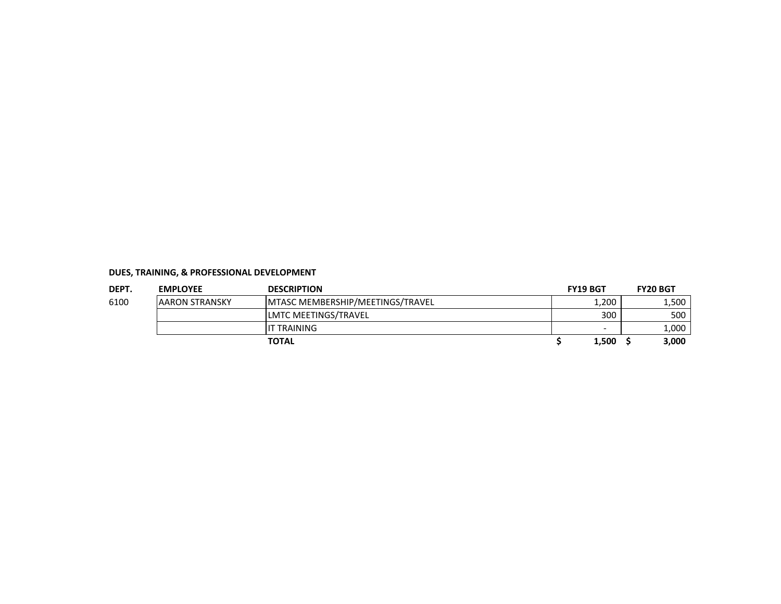| DEPT. | <b>EMPLOYEE</b>        | <b>DESCRIPTION</b>                      | <b>FY19 BGT</b>          | <b>FY20 BGT</b> |
|-------|------------------------|-----------------------------------------|--------------------------|-----------------|
| 6100  | <b>JAARON STRANSKY</b> | <b>MTASC MEMBERSHIP/MEETINGS/TRAVEL</b> | $\frac{1}{200}$          | 1,500           |
|       |                        | LMTC MEETINGS/TRAVEL                    | 300                      | 500             |
|       |                        | IT TRAINING                             | $\overline{\phantom{0}}$ | 1,000           |
|       |                        | <b>TOTAL</b>                            | 1,500                    | 3,000           |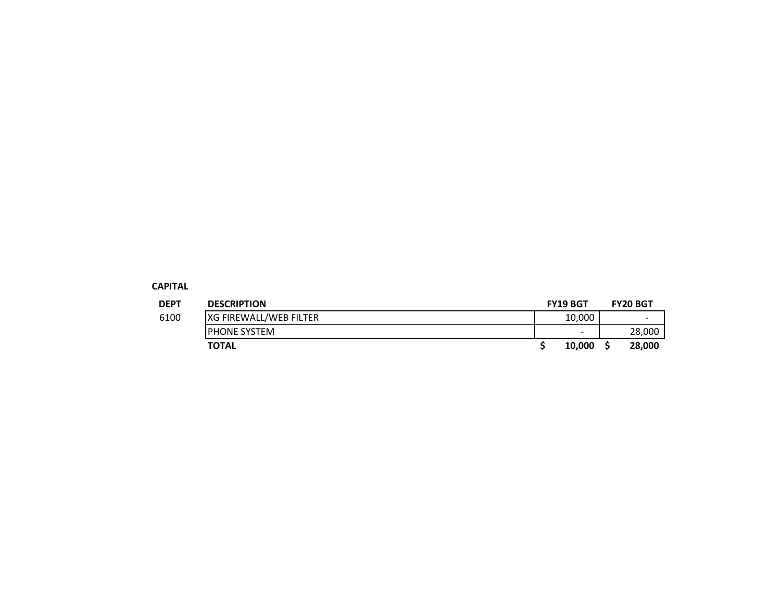#### **CAPITAL**

| <b>DEPT</b> | <b>DESCRIPTION</b>     | <b>FY19 BGT</b>          | <b>FY20 BGT</b>          |
|-------------|------------------------|--------------------------|--------------------------|
| 6100        | XG FIREWALL/WEB FILTER | 10,000                   | $\overline{\phantom{a}}$ |
|             | <b>IPHONE SYSTEM</b>   | $\overline{\phantom{a}}$ | 28,000                   |
|             | <b>TOTAL</b>           | 10.000                   | 28,000                   |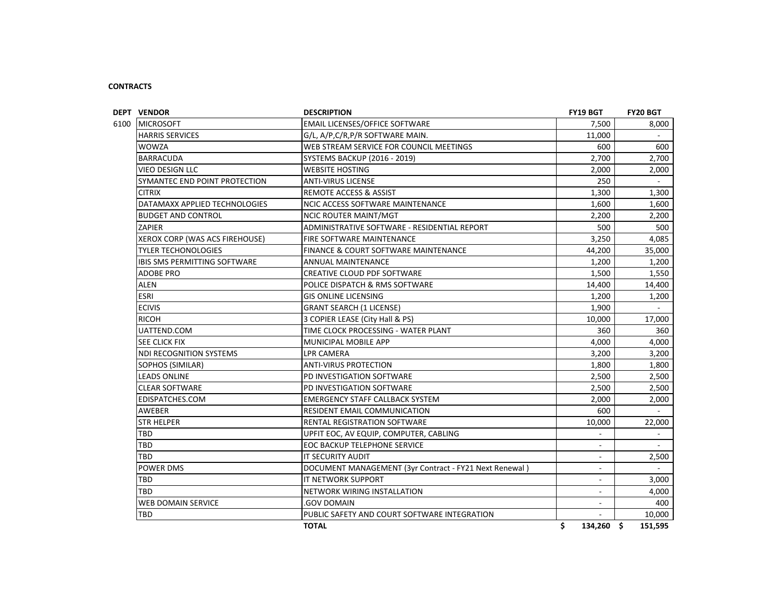#### **CONTRACTS**

| <b>DEPT VENDOR</b>             | <b>DESCRIPTION</b>                                     | FY19 BGT                 | FY20 BGT       |
|--------------------------------|--------------------------------------------------------|--------------------------|----------------|
| 6100 MICROSOFT                 | <b>EMAIL LICENSES/OFFICE SOFTWARE</b>                  | 7,500                    | 8,000          |
| <b>HARRIS SERVICES</b>         | G/L, A/P, C/R, P/R SOFTWARE MAIN.                      | 11,000                   |                |
| <b>WOWZA</b>                   | WEB STREAM SERVICE FOR COUNCIL MEETINGS                | 600                      | 600            |
| <b>BARRACUDA</b>               | <b>SYSTEMS BACKUP (2016 - 2019)</b>                    | 2,700                    | 2,700          |
| <b>VIEO DESIGN LLC</b>         | <b>WEBSITE HOSTING</b>                                 | 2,000                    | 2,000          |
| SYMANTEC END POINT PROTECTION  | <b>ANTI-VIRUS LICENSE</b>                              | 250                      |                |
| <b>CITRIX</b>                  | REMOTE ACCESS & ASSIST                                 | 1,300                    | 1,300          |
| DATAMAXX APPLIED TECHNOLOGIES  | <b>NCIC ACCESS SOFTWARE MAINTENANCE</b>                | 1.600                    | 1,600          |
| <b>BUDGET AND CONTROL</b>      | <b>NCIC ROUTER MAINT/MGT</b>                           | 2.200                    | 2,200          |
| ZAPIER                         | ADMINISTRATIVE SOFTWARE - RESIDENTIAL REPORT           | 500                      | 500            |
| XEROX CORP (WAS ACS FIREHOUSE) | <b>FIRE SOFTWARE MAINTENANCE</b>                       | 3,250                    | 4,085          |
| <b>TYLER TECHONOLOGIES</b>     | <b>FINANCE &amp; COURT SOFTWARE MAINTENANCE</b>        | 44,200                   | 35,000         |
| IBIS SMS PERMITTING SOFTWARE   | <b>ANNUAL MAINTENANCE</b>                              | 1,200                    | 1,200          |
| ADOBE PRO                      | CREATIVE CLOUD PDF SOFTWARE                            | 1,500                    | 1,550          |
| ALEN                           | POLICE DISPATCH & RMS SOFTWARE                         | 14,400                   | 14,400         |
| <b>ESRI</b>                    | <b>GIS ONLINE LICENSING</b>                            | 1,200                    | 1,200          |
| <b>ECIVIS</b>                  | <b>GRANT SEARCH (1 LICENSE)</b>                        | 1,900                    |                |
| <b>RICOH</b>                   | 3 COPIER LEASE (City Hall & PS)                        | 10,000                   | 17,000         |
| UATTEND.COM                    | TIME CLOCK PROCESSING - WATER PLANT                    | 360                      | 360            |
| SEE CLICK FIX                  | <b>MUNICIPAL MOBILE APP</b>                            | 4,000                    | 4,000          |
| NDI RECOGNITION SYSTEMS        | <b>LPR CAMERA</b>                                      | 3,200                    | 3,200          |
| SOPHOS (SIMILAR)               | <b>ANTI-VIRUS PROTECTION</b>                           | 1,800                    | 1,800          |
| <b>LEADS ONLINE</b>            | PD INVESTIGATION SOFTWARE                              | 2,500                    | 2,500          |
| <b>CLEAR SOFTWARE</b>          | PD INVESTIGATION SOFTWARE                              | 2,500                    | 2,500          |
| EDISPATCHES.COM                | <b>EMERGENCY STAFF CALLBACK SYSTEM</b>                 | 2,000                    | 2,000          |
| <b>AWEBER</b>                  | <b>RESIDENT EMAIL COMMUNICATION</b>                    | 600                      |                |
| <b>STR HELPER</b>              | <b>RENTAL REGISTRATION SOFTWARE</b>                    | 10,000                   | 22,000         |
| TBD                            | UPFIT EOC, AV EQUIP, COMPUTER, CABLING                 | $\overline{a}$           | $\blacksquare$ |
| TBD                            | EOC BACKUP TELEPHONE SERVICE                           | $\blacksquare$           | $\sim$         |
| TBD                            | IT SECURITY AUDIT                                      | $\overline{\phantom{a}}$ | 2,500          |
| <b>POWER DMS</b>               | DOCUMENT MANAGEMENT (3yr Contract - FY21 Next Renewal) | $\blacksquare$           |                |
| <b>TBD</b>                     | <b>IT NETWORK SUPPORT</b>                              | $\blacksquare$           | 3,000          |
| TBD                            | NETWORK WIRING INSTALLATION                            | $\blacksquare$           | 4,000          |
| <b>WEB DOMAIN SERVICE</b>      | <b>GOV DOMAIN</b>                                      | $\overline{a}$           | 400            |
| <b>TBD</b>                     | PUBLIC SAFETY AND COURT SOFTWARE INTEGRATION           | $\overline{a}$           | 10,000         |
|                                | <b>TOTAL</b>                                           | \$<br>134,260 \$         | 151,595        |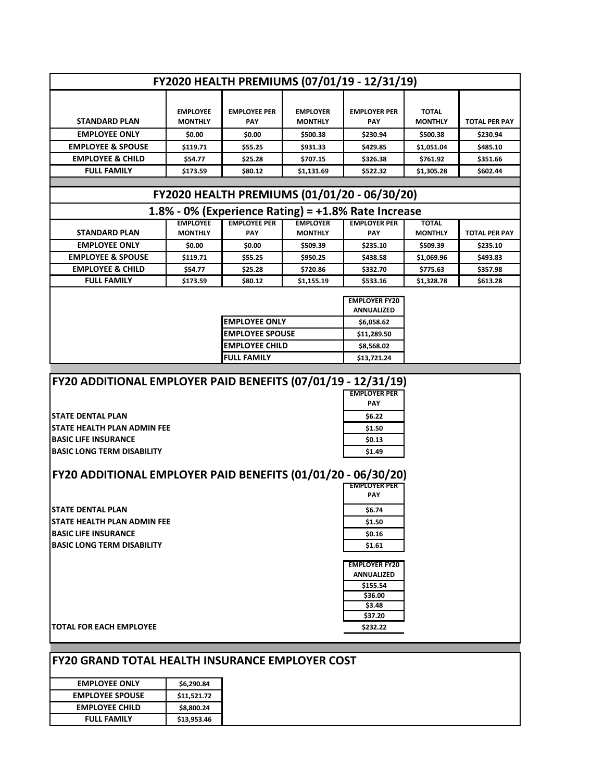| FY2020 HEALTH PREMIUMS (07/01/19 - 12/31/19) |                                   |                                   |                                   |                                                        |                                |                      |
|----------------------------------------------|-----------------------------------|-----------------------------------|-----------------------------------|--------------------------------------------------------|--------------------------------|----------------------|
|                                              |                                   |                                   |                                   |                                                        |                                |                      |
| <b>STANDARD PLAN</b>                         | <b>EMPLOYEE</b><br><b>MONTHLY</b> | <b>FMPLOYFF PFR</b><br><b>PAY</b> | <b>FMPLOYFR</b><br><b>MONTHLY</b> | <b>EMPLOYER PER</b><br><b>PAY</b>                      | <b>TOTAL</b><br><b>MONTHLY</b> | <b>TOTAL PER PAY</b> |
| <b>EMPLOYEE ONLY</b>                         | \$0.00                            | \$0.00                            | \$500.38                          | \$230.94                                               | \$500.38                       | \$230.94             |
| <b>EMPLOYEE &amp; SPOUSE</b>                 | \$119.71                          | \$55.25                           | \$931.33                          | \$429.85                                               | \$1,051.04                     | \$485.10             |
| <b>EMPLOYEE &amp; CHILD</b>                  | \$54.77                           | \$25.28                           | \$707.15                          | \$326.38                                               | \$761.92                       | \$351.66             |
| <b>FULL FAMILY</b>                           | \$173.59                          | \$80.12                           | \$1,131.69                        | \$522.32                                               | \$1,305.28                     | \$602.44             |
|                                              |                                   |                                   |                                   |                                                        |                                |                      |
|                                              |                                   |                                   |                                   |                                                        |                                |                      |
|                                              |                                   |                                   |                                   | FY2020 HEALTH PREMIUMS (01/01/20 - 06/30/20)           |                                |                      |
|                                              |                                   |                                   |                                   | 1.8% - 0% (Experience Rating) = $+1.8$ % Rate Increase |                                |                      |
| <b>STANDARD PLAN</b>                         | <b>EMPLOYEE</b><br><b>MONTHLY</b> | <b>EMPLOYEE PER</b><br><b>PAY</b> | <b>EMPLOYER</b><br><b>MONTHLY</b> | <b>EMPLOYER PER</b><br>PAY                             | <b>TOTAL</b><br><b>MONTHLY</b> | <b>TOTAL PER PAY</b> |
| <b>EMPLOYEE ONLY</b>                         | \$0.00                            | \$0.00                            | \$509.39                          | \$235.10                                               | \$509.39                       | \$235.10             |
| <b>EMPLOYEE &amp; SPOUSE</b>                 | \$119.71                          | \$55.25                           | \$950.25                          | \$438.58                                               | \$1.069.96                     | \$493.83             |
| <b>EMPLOYEE &amp; CHILD</b>                  | \$54.77                           | \$25.28                           | \$720.86                          | \$332.70                                               | \$775.63                       | \$357.98             |
| <b>FULL FAMILY</b>                           | \$173.59                          | \$80.12                           | \$1,155.19                        | \$533.16                                               | \$1,328.78                     | \$613.28             |

|                        | <b>EMPLOYER FY20</b> |
|------------------------|----------------------|
|                        | <b>ANNUALIZED</b>    |
| <b>IEMPLOYEE ONLY</b>  | \$6,058.62           |
| <b>EMPLOYEE SPOUSE</b> | \$11,289.50          |
| <b>EMPLOYEE CHILD</b>  | \$8,568.02           |
| <b>FULL FAMILY</b>     | \$13,721.24          |

# **FY20 ADDITIONAL EMPLOYER PAID BENEFITS (07/01/19 - 12/31/19)**

**STATE DENTAL PLAN STATE HEALTH PLAN ADMIN FEE BASIC LIFE INSURANCE BASIC LONG TERM DISABILITY** 

| <b>EMPLOYER PER</b> |
|---------------------|
|                     |
| PAY                 |
| \$6.22              |
| \$1.50              |
| \$0.13              |
| \$1.49              |

# **FY20 ADDITIONAL EMPLOYER PAID BENEFITS (01/01/20 - 06/30/20)**

|                                     | <b>EMPLOYER PER</b> |
|-------------------------------------|---------------------|
|                                     | <b>PAY</b>          |
| <b>ISTATE DENTAL PLAN</b>           | \$6.74              |
| <b>ISTATE HEALTH PLAN ADMIN FEE</b> | \$1.50              |
| <b>IBASIC LIFE INSURANCE</b>        | \$0.16              |
| <b>BASIC LONG TERM DISABILITY</b>   | \$1.61              |

| <b>EMPLOYER FY20</b> |
|----------------------|
| ANNUALIZED           |
| \$155.54             |
| \$36.00              |
| \$3.48               |
| \$37.20              |
| \$232.22             |

**TOTAL FOR EACH EMPLOYEE** 

| <b>FY20 GRAND TOTAL HEALTH INSURANCE EMPLOYER COST</b> |
|--------------------------------------------------------|
|--------------------------------------------------------|

| <b>EMPLOYEE ONLY</b>   | \$6,290.84  |
|------------------------|-------------|
| <b>EMPLOYEE SPOUSE</b> | \$11,521.72 |
| <b>EMPLOYEE CHILD</b>  | \$8,800.24  |
| <b>FULL FAMILY</b>     | \$13,953.46 |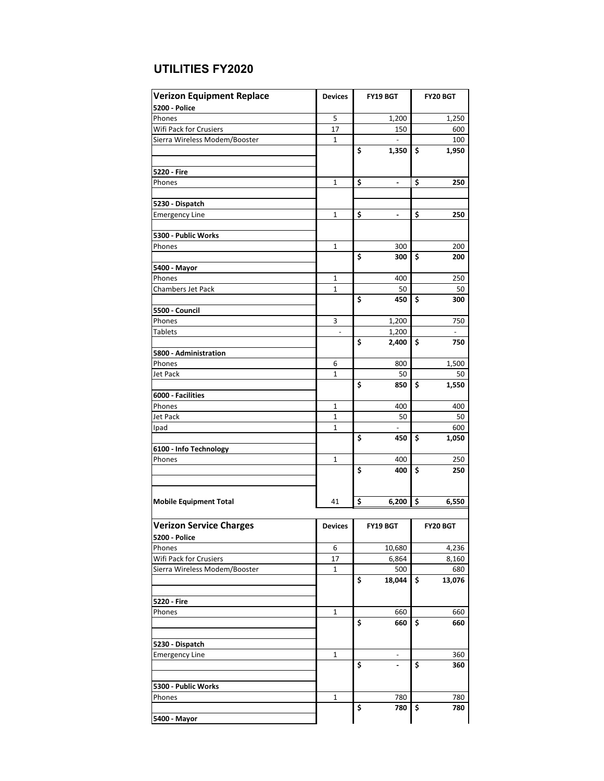| <b>Verizon Equipment Replace</b> | <b>Devices</b> | <b>FY19 BGT</b>                | <b>FY20 BGT</b> |
|----------------------------------|----------------|--------------------------------|-----------------|
| 5200 - Police                    |                |                                |                 |
| Phones                           | 5              | 1,200                          | 1,250           |
| Wifi Pack for Crusiers           | 17             | 150                            | 600             |
| Sierra Wireless Modem/Booster    | 1              |                                | 100             |
|                                  |                | \$<br>1,350                    | \$<br>1,950     |
| 5220 - Fire                      |                |                                |                 |
| Phones                           | $\mathbf{1}$   |                                | 250             |
|                                  |                | \$<br>$\overline{\phantom{a}}$ | \$              |
| 5230 - Dispatch                  |                |                                |                 |
| <b>Emergency Line</b>            | 1              | \$<br>$\overline{\phantom{a}}$ | \$<br>250       |
|                                  |                |                                |                 |
| 5300 - Public Works              |                |                                |                 |
| Phones                           | $\mathbf{1}$   | 300                            | 200             |
|                                  |                | \$<br>300                      | \$<br>200       |
| 5400 - Mayor                     |                |                                |                 |
| Phones                           | $\mathbf{1}$   | 400                            | 250             |
| <b>Chambers Jet Pack</b>         | 1              | 50                             | 50              |
|                                  |                | \$<br>450                      | \$<br>300       |
| 5500 - Council                   | 3              | 1,200                          |                 |
| Phones<br><b>Tablets</b>         |                | 1,200                          | 750             |
|                                  |                | \$<br>2,400                    | \$<br>750       |
| 5800 - Administration            |                |                                |                 |
| Phones                           | 6              | 800                            | 1,500           |
| Jet Pack                         | 1              | 50                             | 50              |
|                                  |                | \$<br>850                      | \$<br>1,550     |
| 6000 - Facilities                |                |                                |                 |
| Phones                           | $\mathbf{1}$   | 400                            | 400             |
| Jet Pack                         | 1              | 50                             | 50              |
| Ipad                             | $\mathbf{1}$   |                                | 600             |
|                                  |                | \$<br>450                      | \$<br>1,050     |
| 6100 - Info Technology           |                |                                |                 |
| Phones                           | 1              | 400<br>\$                      | 250<br>\$       |
|                                  |                | 400                            | 250             |
|                                  |                |                                |                 |
| <b>Mobile Equipment Total</b>    | 41             | \$<br>6,200                    | \$<br>6,550     |
|                                  |                |                                |                 |
| <b>Verizon Service Charges</b>   | <b>Devices</b> | FY19 BGT                       | <b>FY20 BGT</b> |
| <b>5200 - Police</b>             |                |                                |                 |
| Phones                           | 6              | 10,680                         | 4,236           |
| Wifi Pack for Crusiers           | 17             | 6,864                          | 8,160           |
| Sierra Wireless Modem/Booster    | $\mathbf{1}$   | 500                            | 680             |
|                                  |                | \$<br>18,044                   | \$<br>13,076    |
|                                  |                |                                |                 |
| 5220 - Fire                      |                |                                |                 |
| Phones                           | 1              | 660                            | 660             |
|                                  |                | \$<br>660                      | \$<br>660       |
| 5230 - Dispatch                  |                |                                |                 |
| <b>Emergency Line</b>            | 1              |                                | 360             |
|                                  |                | \$                             | \$<br>360       |
|                                  |                |                                |                 |
| 5300 - Public Works              |                |                                |                 |
| Phones                           | 1              | 780                            | 780             |
|                                  |                | \$<br>780                      | \$<br>780       |
| 5400 - Mayor                     |                |                                |                 |

# **UTILITIES FY2020**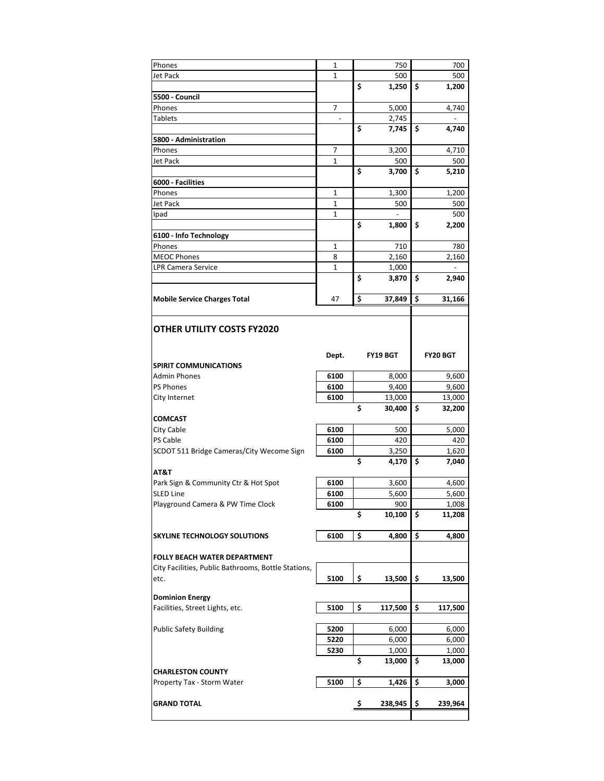| Phones                                              | 1                        | 750             | 700           |
|-----------------------------------------------------|--------------------------|-----------------|---------------|
| Jet Pack                                            | 1                        | 500             | 500           |
|                                                     |                          | \$<br>1,250     | \$<br>1,200   |
| 5500 - Council                                      |                          |                 |               |
| Phones                                              | 7                        | 5,000           | 4,740         |
| <b>Tablets</b>                                      | $\overline{\phantom{a}}$ | 2,745           |               |
|                                                     |                          | \$<br>7,745     | \$<br>4,740   |
| 5800 - Administration                               |                          |                 |               |
| Phones                                              | $\overline{7}$           | 3,200           | 4,710         |
| Jet Pack                                            | 1                        | 500             | 500           |
|                                                     |                          | \$<br>3,700     | \$<br>5,210   |
| 6000 - Facilities                                   |                          |                 |               |
| Phones                                              | 1                        | 1,300           | 1,200         |
| Jet Pack                                            | $\mathbf{1}$             | 500             | 500           |
| Ipad                                                | $\mathbf{1}$             | ÷,              | 500           |
|                                                     |                          | \$              | \$<br>2,200   |
|                                                     |                          | 1,800           |               |
| 6100 - Info Technology                              |                          |                 |               |
| Phones                                              | 1                        | 710             | 780           |
| <b>MEOC Phones</b>                                  | 8                        | 2,160           | 2,160         |
| <b>LPR Camera Service</b>                           | $\mathbf{1}$             | 1,000           |               |
|                                                     |                          | \$<br>3,870     | \$<br>2,940   |
|                                                     |                          |                 |               |
| <b>Mobile Service Charges Total</b>                 | 47                       | \$<br>37,849    | \$<br>31,166  |
|                                                     |                          |                 |               |
|                                                     |                          |                 |               |
| OTHER UTILITY COSTS FY2020                          |                          |                 |               |
|                                                     |                          |                 |               |
|                                                     | Dept.                    | <b>FY19 BGT</b> | FY20 BGT      |
| <b>SPIRIT COMMUNICATIONS</b>                        |                          |                 |               |
| <b>Admin Phones</b>                                 | 6100                     | 8,000           | 9,600         |
| <b>PS Phones</b>                                    | 6100                     | 9,400           | 9,600         |
|                                                     |                          |                 |               |
| City Internet                                       | 6100                     | 13,000          | 13,000        |
|                                                     |                          | \$<br>30,400    | \$            |
| <b>COMCAST</b>                                      |                          |                 | 32,200        |
|                                                     |                          |                 |               |
| City Cable<br>PS Cable                              | 6100<br>6100             | 500<br>420      | 5,000<br>420  |
|                                                     |                          |                 |               |
| SCDOT 511 Bridge Cameras/City Wecome Sign           | 6100                     | 3,250           | 1,620         |
|                                                     |                          | \$<br>4,170     | \$<br>7,040   |
| AT&T                                                |                          |                 |               |
| Park Sign & Community Ctr & Hot Spot                | 6100                     | 3,600           | 4,600         |
| <b>SLED Line</b>                                    | 6100                     | 5,600           | 5,600         |
| Playground Camera & PW Time Clock                   | 6100                     | 900             | 1,008         |
|                                                     |                          | \$<br>10,100    | \$<br>11,208  |
|                                                     |                          |                 |               |
| SKYLINE TECHNOLOGY SOLUTIONS                        | 6100                     | \$<br>4,800     | \$<br>4,800   |
|                                                     |                          |                 |               |
| <b>FOLLY BEACH WATER DEPARTMENT</b>                 |                          |                 |               |
| City Facilities, Public Bathrooms, Bottle Stations, |                          |                 |               |
| etc.                                                | 5100                     | \$<br>13,500    | \$<br>13,500  |
|                                                     |                          |                 |               |
| <b>Dominion Energy</b>                              |                          |                 |               |
| Facilities, Street Lights, etc.                     | 5100                     | \$<br>117,500   | \$<br>117,500 |
|                                                     |                          |                 |               |
| <b>Public Safety Building</b>                       | 5200                     | 6,000           | 6,000         |
|                                                     | 5220                     | 6,000           | 6,000         |
|                                                     | 5230                     | 1,000           | 1,000         |
|                                                     |                          | \$<br>13,000    | \$<br>13,000  |
| <b>CHARLESTON COUNTY</b>                            |                          |                 |               |
| Property Tax - Storm Water                          | 5100                     | \$<br>1,426     | \$<br>3,000   |
|                                                     |                          |                 |               |
| <b>GRAND TOTAL</b>                                  |                          | \$<br>238,945   | \$<br>239,964 |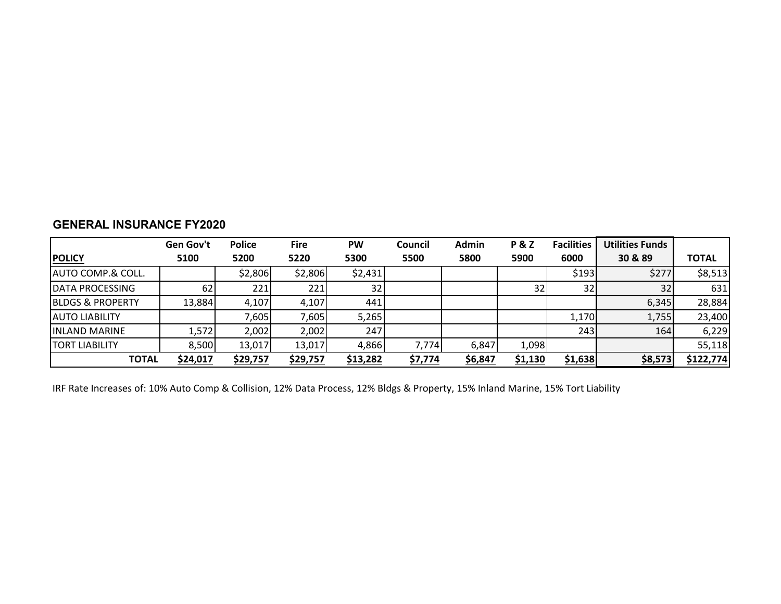|                               | Gen Gov't | <b>Police</b> | <b>Fire</b> | <b>PW</b> | Council | Admin   | <b>P&amp;Z</b> | <b>Facilities</b> | <b>Utilities Funds</b> |              |
|-------------------------------|-----------|---------------|-------------|-----------|---------|---------|----------------|-------------------|------------------------|--------------|
| <b>POLICY</b>                 | 5100      | 5200          | 5220        | 5300      | 5500    | 5800    | 5900           | 6000              | 30 & 89                | <b>TOTAL</b> |
| <b>JAUTO COMP.&amp; COLL.</b> |           | \$2,806       | \$2,806     | \$2,431   |         |         |                | \$193             | \$277                  | \$8,513      |
| <b>IDATA PROCESSING</b>       | 62        | 221           | 221         | 32        |         |         | 32             | 32                | 32                     | 631          |
| <b>BLDGS &amp; PROPERTY</b>   | 13,884    | 4,107         | 4,107       | 441       |         |         |                |                   | 6,345                  | 28,884       |
| <b>AUTO LIABILITY</b>         |           | 7,605         | 7,605       | 5,265     |         |         |                | 1,170             | 1,755                  | 23,400       |
| <b>IINLAND MARINE</b>         | 1,572     | 2,002         | 2,002       | 247       |         |         |                | 243               | 164                    | 6,229        |
| <b>TORT LIABILITY</b>         | 8,500     | 13,017        | 13,017      | 4,866     | 7,774   | 6,847   | 1,098          |                   |                        | 55,118       |
| <b>TOTAL</b>                  | \$24,017  | \$29,757      | \$29,757    | \$13,282  | \$7,774 | \$6,847 | <u>\$1,130</u> | \$1,638           | \$8,573                | \$122,774    |

# **GENERAL INSURANCE FY2020**

IRF Rate Increases of: 10% Auto Comp & Collision, 12% Data Process, 12% Bldgs & Property, 15% Inland Marine, 15% Tort Liability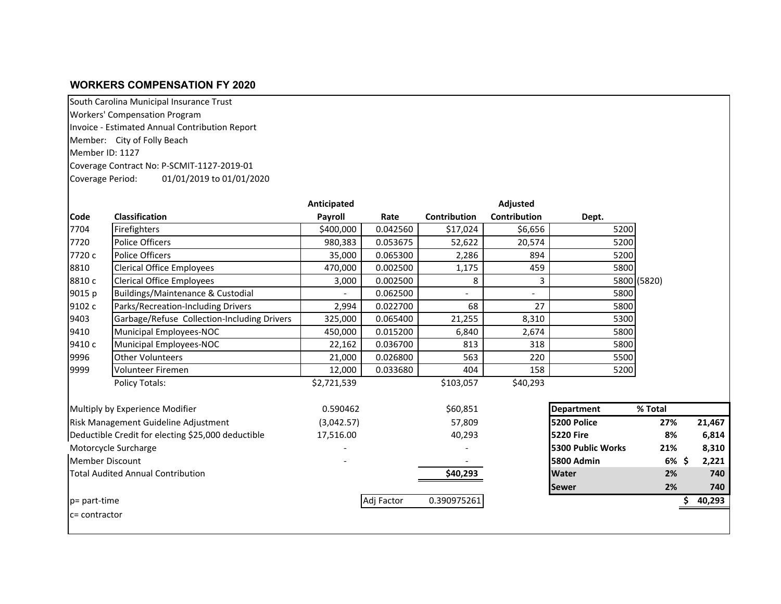### **WORKERS COMPENSATION FY 2020**

South Carolina Municipal Insurance Trust

Workers' Compensation Program

Invoice - Estimated Annual Contribution Report

Member: City of Folly Beach

Member ID: 1127

Coverage Contract No: P-SCMIT-1127-2019-01

Coverage Period: 01/01/2019 to 01/01/2020

|                        |                                                    | Anticipated |            |                          | Adjusted                 |                   |             |        |
|------------------------|----------------------------------------------------|-------------|------------|--------------------------|--------------------------|-------------------|-------------|--------|
| <b>Code</b>            | <b>Classification</b>                              | Payroll     | Rate       | <b>Contribution</b>      | <b>Contribution</b>      | Dept.             |             |        |
| 7704                   | Firefighters                                       | \$400,000   | 0.042560   | \$17,024                 | \$6,656                  | 5200              |             |        |
| 7720                   | <b>Police Officers</b>                             | 980,383     | 0.053675   | 52,622                   | 20,574                   | 5200              |             |        |
| 7720 с                 | <b>Police Officers</b>                             |             | 0.065300   | 2,286                    | 894                      | 5200              |             |        |
| 8810                   | <b>Clerical Office Employees</b>                   |             | 0.002500   | 1,175                    | 459                      | 5800              |             |        |
| 8810c                  | <b>Clerical Office Employees</b>                   | 3,000       | 0.002500   | 8                        | 3                        |                   | 5800 (5820) |        |
| 9015 p                 | Buildings/Maintenance & Custodial                  |             | 0.062500   | $\overline{\phantom{a}}$ | $\overline{\phantom{a}}$ | 5800              |             |        |
| 9102 c                 | Parks/Recreation-Including Drivers                 | 2,994       | 0.022700   | 68                       | 27                       | 5800              |             |        |
| 9403                   | Garbage/Refuse Collection-Including Drivers        | 325,000     | 0.065400   | 21,255                   | 8,310                    | 5300              |             |        |
| 9410                   | Municipal Employees-NOC                            | 450,000     | 0.015200   | 6,840                    | 2,674                    | 5800              |             |        |
| 9410 с                 | Municipal Employees-NOC                            | 22,162      | 0.036700   | 813                      | 318                      | 5800              |             |        |
| 9996                   | <b>Other Volunteers</b>                            | 21,000      | 0.026800   | 563                      | 220                      | 5500              |             |        |
| 9999                   | Volunteer Firemen                                  | 12,000      | 0.033680   | 404                      | 158                      | 5200              |             |        |
|                        | <b>Policy Totals:</b>                              | \$2,721,539 |            | \$103,057                | \$40,293                 |                   |             |        |
|                        | Multiply by Experience Modifier                    | 0.590462    |            | \$60,851                 |                          | <b>Department</b> | % Total     |        |
|                        | <b>Risk Management Guideline Adjustment</b>        | (3,042.57)  |            | 57,809                   |                          | 5200 Police       | 27%         | 21,467 |
|                        | Deductible Credit for electing \$25,000 deductible | 17,516.00   |            | 40,293                   |                          | <b>5220 Fire</b>  | 8%          | 6,814  |
|                        | Motorcycle Surcharge                               |             |            |                          |                          | 5300 Public Works | 21%         | 8,310  |
| <b>Member Discount</b> |                                                    |             |            |                          |                          | 5800 Admin        | $6\%$ \$    | 2,221  |
|                        | <b>Total Audited Annual Contribution</b>           |             |            | \$40,293                 |                          | <b>Water</b>      | 2%          | 740    |
|                        |                                                    |             |            |                          |                          | <b>Sewer</b>      | 2%          | 740    |
| p= part-time           |                                                    |             | Adj Factor | 0.390975261              |                          |                   |             | 40,293 |
| Ic= contractor         |                                                    |             |            |                          |                          |                   |             |        |
|                        |                                                    |             |            |                          |                          |                   |             |        |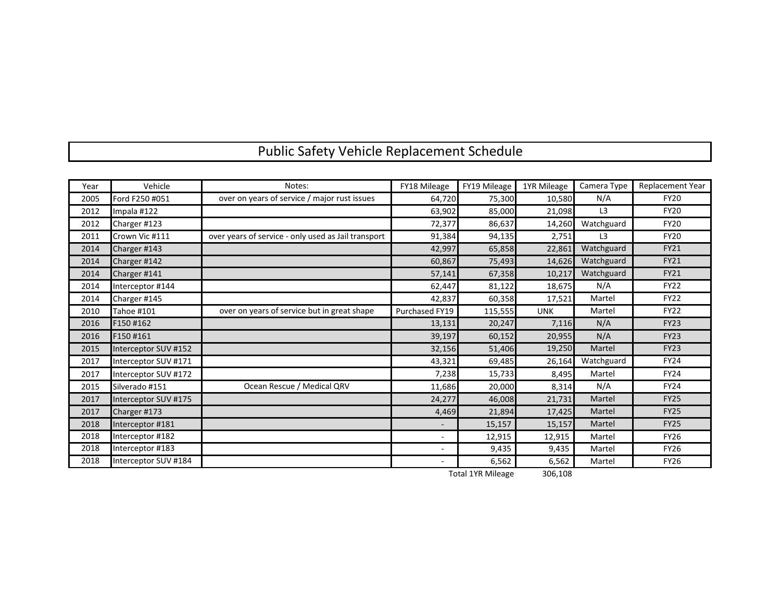# Public Safety Vehicle Replacement Schedule

| Year | Vehicle              | Notes:                                              | FY18 Mileage             | FY19 Mileage | 1YR Mileage | Camera Type    | Replacement Year |
|------|----------------------|-----------------------------------------------------|--------------------------|--------------|-------------|----------------|------------------|
| 2005 | Ford F250 #051       | over on years of service / major rust issues        | 64,720                   | 75,300       | 10,580      | N/A            | <b>FY20</b>      |
| 2012 | Impala #122          |                                                     | 63,902                   | 85,000       | 21,098      | L <sub>3</sub> | <b>FY20</b>      |
| 2012 | Charger #123         |                                                     | 72,377                   | 86,637       | 14,260      | Watchguard     | <b>FY20</b>      |
| 2011 | Crown Vic #111       | over years of service - only used as Jail transport | 91,384                   | 94,135       | 2,751       | L <sub>3</sub> | <b>FY20</b>      |
| 2014 | Charger #143         |                                                     | 42,997                   | 65,858       | 22,861      | Watchguard     | <b>FY21</b>      |
| 2014 | Charger #142         |                                                     | 60,867                   | 75,493       | 14,626      | Watchguard     | <b>FY21</b>      |
| 2014 | Charger #141         |                                                     | 57,141                   | 67,358       | 10,217      | Watchguard     | <b>FY21</b>      |
| 2014 | Interceptor #144     |                                                     | 62,447                   | 81,122       | 18,675      | N/A            | <b>FY22</b>      |
| 2014 | Charger #145         |                                                     | 42,837                   | 60,358       | 17,521      | Martel         | <b>FY22</b>      |
| 2010 | Tahoe #101           | over on years of service but in great shape         | Purchased FY19           | 115,555      | <b>UNK</b>  | Martel         | <b>FY22</b>      |
| 2016 | F150#162             |                                                     | 13,131                   | 20,247       | 7,116       | N/A            | <b>FY23</b>      |
| 2016 | F150#161             |                                                     | 39,197                   | 60,152       | 20,955      | N/A            | <b>FY23</b>      |
| 2015 | Interceptor SUV #152 |                                                     | 32,156                   | 51,406       | 19,250      | Martel         | <b>FY23</b>      |
| 2017 | Interceptor SUV #171 |                                                     | 43,321                   | 69,485       | 26,164      | Watchguard     | <b>FY24</b>      |
| 2017 | Interceptor SUV #172 |                                                     | 7,238                    | 15,733       | 8,495       | Martel         | <b>FY24</b>      |
| 2015 | Silverado #151       | Ocean Rescue / Medical QRV                          | 11,686                   | 20,000       | 8,314       | N/A            | <b>FY24</b>      |
| 2017 | Interceptor SUV #175 |                                                     | 24,277                   | 46,008       | 21,731      | Martel         | <b>FY25</b>      |
| 2017 | Charger #173         |                                                     | 4,469                    | 21,894       | 17,425      | Martel         | <b>FY25</b>      |
| 2018 | Interceptor #181     |                                                     |                          | 15,157       | 15,157      | Martel         | <b>FY25</b>      |
| 2018 | Interceptor #182     |                                                     | $\overline{\phantom{a}}$ | 12,915       | 12,915      | Martel         | <b>FY26</b>      |
| 2018 | Interceptor #183     |                                                     |                          | 9,435        | 9,435       | Martel         | <b>FY26</b>      |
| 2018 | Interceptor SUV #184 |                                                     |                          | 6,562        | 6,562       | Martel         | <b>FY26</b>      |

Total 1YR Mileage 306,108